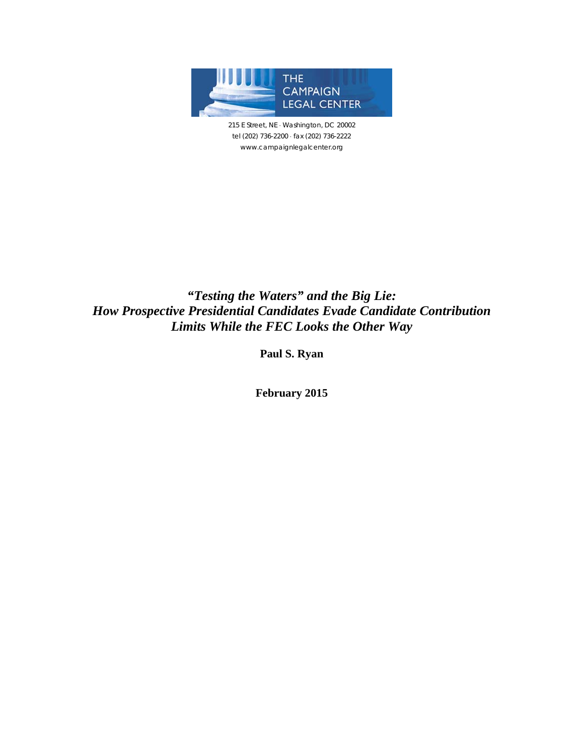

215 E Street, NE · Washington, DC 20002 tel (202) 736-2200 fax (202) 736-2222 www.campaignlegalcenter.org

# *"Testing the Waters" and the Big Lie: How Prospective Presidential Candidates Evade Candidate Contribution Limits While the FEC Looks the Other Way*

**Paul S. Ryan** 

**February 2015**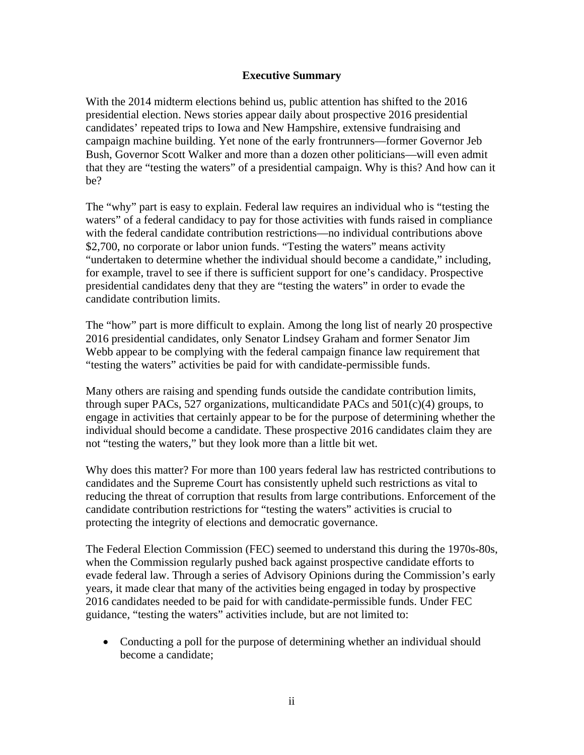#### **Executive Summary**

With the 2014 midterm elections behind us, public attention has shifted to the 2016 presidential election. News stories appear daily about prospective 2016 presidential candidates' repeated trips to Iowa and New Hampshire, extensive fundraising and campaign machine building. Yet none of the early frontrunners—former Governor Jeb Bush, Governor Scott Walker and more than a dozen other politicians—will even admit that they are "testing the waters" of a presidential campaign. Why is this? And how can it be?

The "why" part is easy to explain. Federal law requires an individual who is "testing the waters" of a federal candidacy to pay for those activities with funds raised in compliance with the federal candidate contribution restrictions—no individual contributions above \$2,700, no corporate or labor union funds. "Testing the waters" means activity "undertaken to determine whether the individual should become a candidate," including, for example, travel to see if there is sufficient support for one's candidacy. Prospective presidential candidates deny that they are "testing the waters" in order to evade the candidate contribution limits.

The "how" part is more difficult to explain. Among the long list of nearly 20 prospective 2016 presidential candidates, only Senator Lindsey Graham and former Senator Jim Webb appear to be complying with the federal campaign finance law requirement that "testing the waters" activities be paid for with candidate-permissible funds.

Many others are raising and spending funds outside the candidate contribution limits, through super PACs, 527 organizations, multicandidate PACs and  $501(c)(4)$  groups, to engage in activities that certainly appear to be for the purpose of determining whether the individual should become a candidate. These prospective 2016 candidates claim they are not "testing the waters," but they look more than a little bit wet.

Why does this matter? For more than 100 years federal law has restricted contributions to candidates and the Supreme Court has consistently upheld such restrictions as vital to reducing the threat of corruption that results from large contributions. Enforcement of the candidate contribution restrictions for "testing the waters" activities is crucial to protecting the integrity of elections and democratic governance.

The Federal Election Commission (FEC) seemed to understand this during the 1970s-80s, when the Commission regularly pushed back against prospective candidate efforts to evade federal law. Through a series of Advisory Opinions during the Commission's early years, it made clear that many of the activities being engaged in today by prospective 2016 candidates needed to be paid for with candidate-permissible funds. Under FEC guidance, "testing the waters" activities include, but are not limited to:

 Conducting a poll for the purpose of determining whether an individual should become a candidate;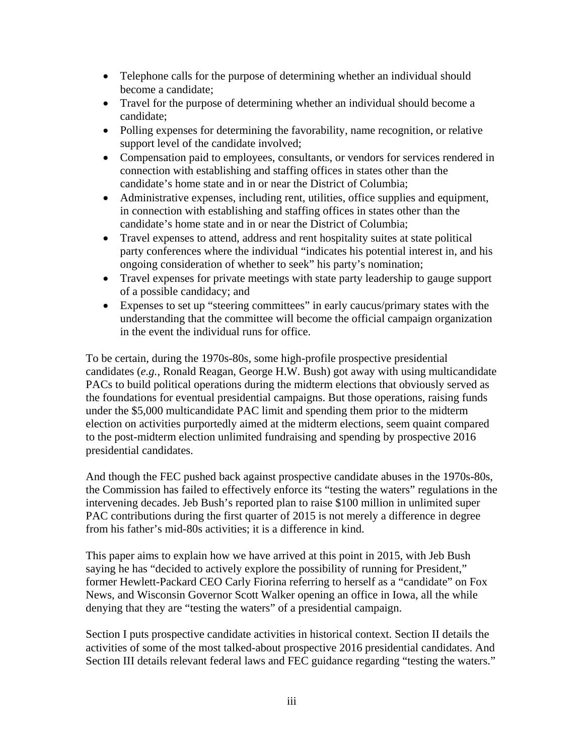- Telephone calls for the purpose of determining whether an individual should become a candidate;
- Travel for the purpose of determining whether an individual should become a candidate;
- Polling expenses for determining the favorability, name recognition, or relative support level of the candidate involved;
- Compensation paid to employees, consultants, or vendors for services rendered in connection with establishing and staffing offices in states other than the candidate's home state and in or near the District of Columbia;
- Administrative expenses, including rent, utilities, office supplies and equipment, in connection with establishing and staffing offices in states other than the candidate's home state and in or near the District of Columbia;
- Travel expenses to attend, address and rent hospitality suites at state political party conferences where the individual "indicates his potential interest in, and his ongoing consideration of whether to seek" his party's nomination;
- Travel expenses for private meetings with state party leadership to gauge support of a possible candidacy; and
- Expenses to set up "steering committees" in early caucus/primary states with the understanding that the committee will become the official campaign organization in the event the individual runs for office.

To be certain, during the 1970s-80s, some high-profile prospective presidential candidates (*e.g.*, Ronald Reagan, George H.W. Bush) got away with using multicandidate PACs to build political operations during the midterm elections that obviously served as the foundations for eventual presidential campaigns. But those operations, raising funds under the \$5,000 multicandidate PAC limit and spending them prior to the midterm election on activities purportedly aimed at the midterm elections, seem quaint compared to the post-midterm election unlimited fundraising and spending by prospective 2016 presidential candidates.

And though the FEC pushed back against prospective candidate abuses in the 1970s-80s, the Commission has failed to effectively enforce its "testing the waters" regulations in the intervening decades. Jeb Bush's reported plan to raise \$100 million in unlimited super PAC contributions during the first quarter of 2015 is not merely a difference in degree from his father's mid-80s activities; it is a difference in kind.

This paper aims to explain how we have arrived at this point in 2015, with Jeb Bush saying he has "decided to actively explore the possibility of running for President," former Hewlett-Packard CEO Carly Fiorina referring to herself as a "candidate" on Fox News, and Wisconsin Governor Scott Walker opening an office in Iowa, all the while denying that they are "testing the waters" of a presidential campaign.

Section I puts prospective candidate activities in historical context. Section II details the activities of some of the most talked-about prospective 2016 presidential candidates. And Section III details relevant federal laws and FEC guidance regarding "testing the waters."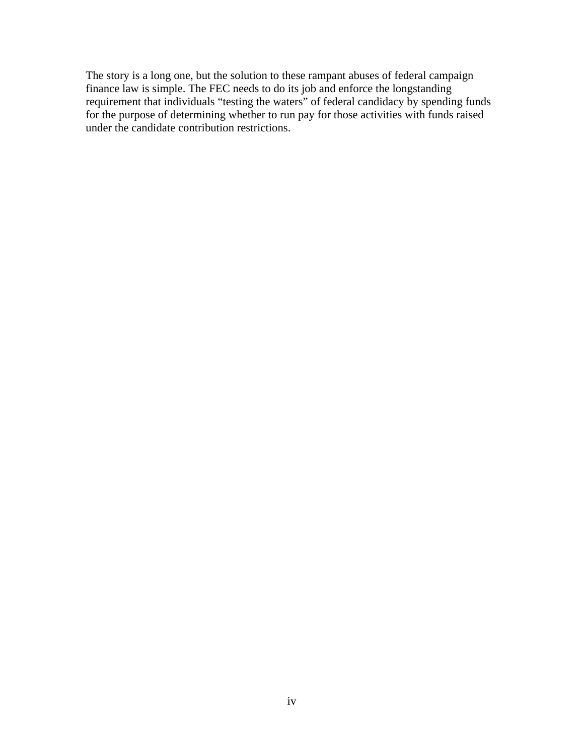The story is a long one, but the solution to these rampant abuses of federal campaign finance law is simple. The FEC needs to do its job and enforce the longstanding requirement that individuals "testing the waters" of federal candidacy by spending funds for the purpose of determining whether to run pay for those activities with funds raised under the candidate contribution restrictions.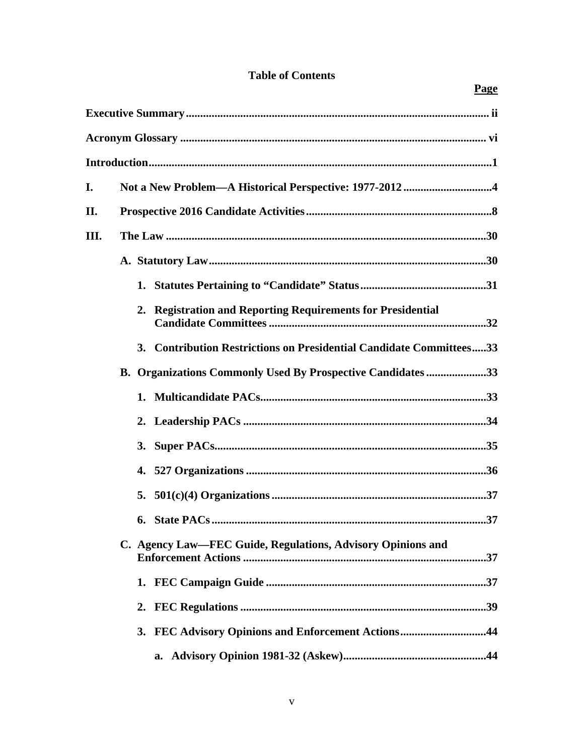# **Table of Contents**

|      |                                                                     | Page |  |  |
|------|---------------------------------------------------------------------|------|--|--|
|      |                                                                     |      |  |  |
|      |                                                                     |      |  |  |
|      |                                                                     |      |  |  |
| I.   |                                                                     |      |  |  |
| II.  |                                                                     |      |  |  |
| III. |                                                                     |      |  |  |
|      |                                                                     |      |  |  |
|      |                                                                     |      |  |  |
|      | 2. Registration and Reporting Requirements for Presidential         |      |  |  |
|      | 3. Contribution Restrictions on Presidential Candidate Committees33 |      |  |  |
|      | B. Organizations Commonly Used By Prospective Candidates 33         |      |  |  |
|      |                                                                     |      |  |  |
|      |                                                                     |      |  |  |
|      |                                                                     |      |  |  |
|      |                                                                     |      |  |  |
|      |                                                                     |      |  |  |
|      |                                                                     |      |  |  |
|      | C. Agency Law—FEC Guide, Regulations, Advisory Opinions and         |      |  |  |
|      |                                                                     |      |  |  |
|      | 2.                                                                  |      |  |  |
|      | 3. FEC Advisory Opinions and Enforcement Actions44                  |      |  |  |
|      | a.                                                                  |      |  |  |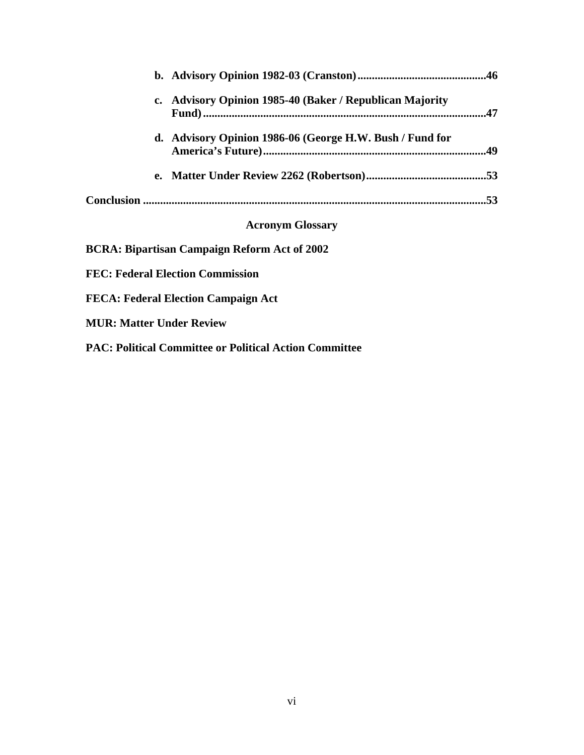| c. Advisory Opinion 1985-40 (Baker / Republican Majority |     |
|----------------------------------------------------------|-----|
| d. Advisory Opinion 1986-06 (George H.W. Bush / Fund for |     |
|                                                          |     |
|                                                          | .53 |
| <b>Acronym Glossary</b>                                  |     |
| <b>BCRA: Bipartisan Campaign Reform Act of 2002</b>      |     |

**FEC: Federal Election Commission** 

**FECA: Federal Election Campaign Act** 

**MUR: Matter Under Review** 

**PAC: Political Committee or Political Action Committee**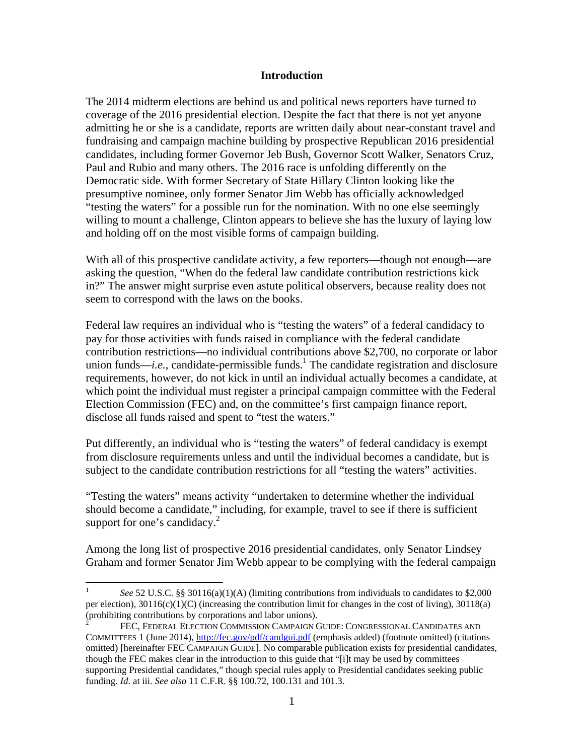#### **Introduction**

The 2014 midterm elections are behind us and political news reporters have turned to coverage of the 2016 presidential election. Despite the fact that there is not yet anyone admitting he or she is a candidate, reports are written daily about near-constant travel and fundraising and campaign machine building by prospective Republican 2016 presidential candidates, including former Governor Jeb Bush, Governor Scott Walker, Senators Cruz, Paul and Rubio and many others. The 2016 race is unfolding differently on the Democratic side. With former Secretary of State Hillary Clinton looking like the presumptive nominee, only former Senator Jim Webb has officially acknowledged "testing the waters" for a possible run for the nomination. With no one else seemingly willing to mount a challenge, Clinton appears to believe she has the luxury of laying low and holding off on the most visible forms of campaign building.

With all of this prospective candidate activity, a few reporters—though not enough—are asking the question, "When do the federal law candidate contribution restrictions kick in?" The answer might surprise even astute political observers, because reality does not seem to correspond with the laws on the books.

Federal law requires an individual who is "testing the waters" of a federal candidacy to pay for those activities with funds raised in compliance with the federal candidate contribution restrictions—no individual contributions above \$2,700, no corporate or labor union funds—*i.e.*, candidate-permissible funds.<sup>1</sup> The candidate registration and disclosure requirements, however, do not kick in until an individual actually becomes a candidate, at which point the individual must register a principal campaign committee with the Federal Election Commission (FEC) and, on the committee's first campaign finance report, disclose all funds raised and spent to "test the waters."

Put differently, an individual who is "testing the waters" of federal candidacy is exempt from disclosure requirements unless and until the individual becomes a candidate, but is subject to the candidate contribution restrictions for all "testing the waters" activities.

"Testing the waters" means activity "undertaken to determine whether the individual should become a candidate," including, for example, travel to see if there is sufficient support for one's candidacy. $2$ 

Among the long list of prospective 2016 presidential candidates, only Senator Lindsey Graham and former Senator Jim Webb appear to be complying with the federal campaign

 $\frac{1}{1}$  *See* 52 U.S.C. §§ 30116(a)(1)(A) (limiting contributions from individuals to candidates to \$2,000 per election),  $30116(c)(1)(C)$  (increasing the contribution limit for changes in the cost of living),  $30118(a)$ (prohibiting contributions by corporations and labor unions).

<sup>2</sup> FEC, FEDERAL ELECTION COMMISSION CAMPAIGN GUIDE: CONGRESSIONAL CANDIDATES AND COMMITTEES 1 (June 2014), http://fec.gov/pdf/candgui.pdf (emphasis added) (footnote omitted) (citations omitted) [hereinafter FEC CAMPAIGN GUIDE]. No comparable publication exists for presidential candidates, though the FEC makes clear in the introduction to this guide that "[i]t may be used by committees supporting Presidential candidates," though special rules apply to Presidential candidates seeking public funding. *Id*. at iii. *See also* 11 C.F.R. §§ 100.72, 100.131 and 101.3.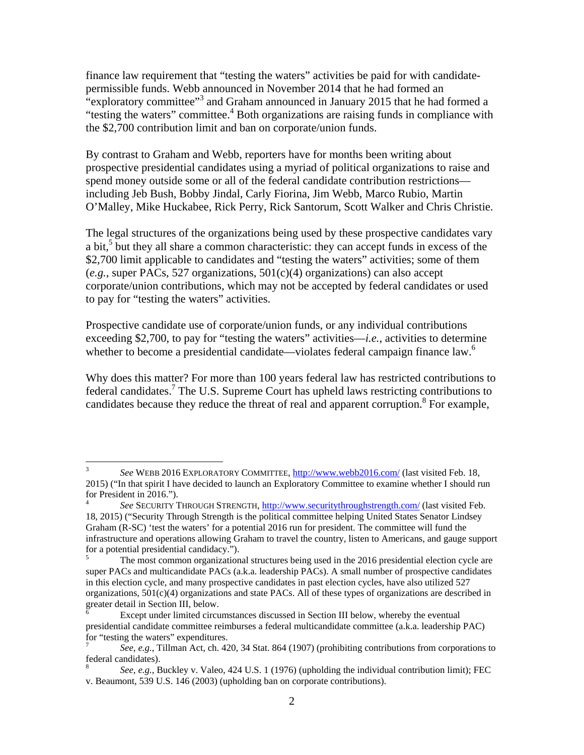finance law requirement that "testing the waters" activities be paid for with candidatepermissible funds. Webb announced in November 2014 that he had formed an "exploratory committee"<sup>3</sup> and Graham announced in January 2015 that he had formed a "testing the waters" committee.<sup>4</sup> Both organizations are raising funds in compliance with the \$2,700 contribution limit and ban on corporate/union funds.

By contrast to Graham and Webb, reporters have for months been writing about prospective presidential candidates using a myriad of political organizations to raise and spend money outside some or all of the federal candidate contribution restrictions including Jeb Bush, Bobby Jindal, Carly Fiorina, Jim Webb, Marco Rubio, Martin O'Malley, Mike Huckabee, Rick Perry, Rick Santorum, Scott Walker and Chris Christie.

The legal structures of the organizations being used by these prospective candidates vary a bit, $5$  but they all share a common characteristic: they can accept funds in excess of the \$2,700 limit applicable to candidates and "testing the waters" activities; some of them (*e.g.*, super PACs, 527 organizations, 501(c)(4) organizations) can also accept corporate/union contributions, which may not be accepted by federal candidates or used to pay for "testing the waters" activities.

Prospective candidate use of corporate/union funds, or any individual contributions exceeding \$2,700, to pay for "testing the waters" activities—*i.e.*, activities to determine whether to become a presidential candidate—violates federal campaign finance law.<sup>6</sup>

Why does this matter? For more than 100 years federal law has restricted contributions to federal candidates.<sup>7</sup> The U.S. Supreme Court has upheld laws restricting contributions to candidates because they reduce the threat of real and apparent corruption.<sup>8</sup> For example,

 $\frac{1}{3}$  *See* WEBB 2016 EXPLORATORY COMMITTEE, http://www.webb2016.com/ (last visited Feb. 18, 2015) ("In that spirit I have decided to launch an Exploratory Committee to examine whether I should run for President in 2016.").

<sup>4</sup> *See* SECURITY THROUGH STRENGTH, http://www.securitythroughstrength.com/ (last visited Feb. 18, 2015) ("Security Through Strength is the political committee helping United States Senator Lindsey Graham (R-SC) 'test the waters' for a potential 2016 run for president. The committee will fund the infrastructure and operations allowing Graham to travel the country, listen to Americans, and gauge support for a potential presidential candidacy.").

<sup>5</sup> The most common organizational structures being used in the 2016 presidential election cycle are super PACs and multicandidate PACs (a.k.a. leadership PACs). A small number of prospective candidates in this election cycle, and many prospective candidates in past election cycles, have also utilized 527 organizations,  $501(c)(4)$  organizations and state PACs. All of these types of organizations are described in greater detail in Section III, below.

Except under limited circumstances discussed in Section III below, whereby the eventual presidential candidate committee reimburses a federal multicandidate committee (a.k.a. leadership PAC) for "testing the waters" expenditures.

<sup>7</sup> *See, e.g.*, Tillman Act, ch. 420, 34 Stat. 864 (1907) (prohibiting contributions from corporations to federal candidates).

<sup>8</sup> *See, e.g.*, Buckley v. Valeo, 424 U.S. 1 (1976) (upholding the individual contribution limit); FEC v. Beaumont, 539 U.S. 146 (2003) (upholding ban on corporate contributions).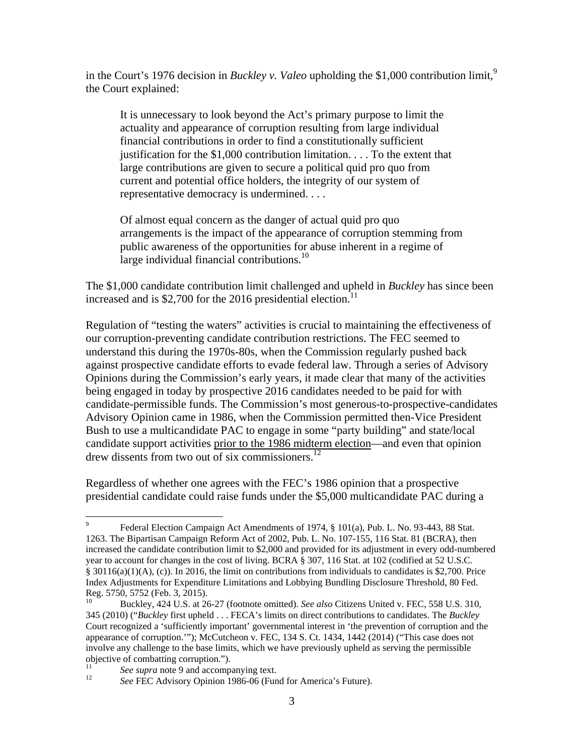in the Court's 1976 decision in *Buckley v. Valeo* upholding the \$1,000 contribution limit,<sup>9</sup> the Court explained:

It is unnecessary to look beyond the Act's primary purpose to limit the actuality and appearance of corruption resulting from large individual financial contributions in order to find a constitutionally sufficient justification for the \$1,000 contribution limitation. . . . To the extent that large contributions are given to secure a political quid pro quo from current and potential office holders, the integrity of our system of representative democracy is undermined. . . .

Of almost equal concern as the danger of actual quid pro quo arrangements is the impact of the appearance of corruption stemming from public awareness of the opportunities for abuse inherent in a regime of large individual financial contributions. $^{10}$ 

The \$1,000 candidate contribution limit challenged and upheld in *Buckley* has since been increased and is \$2,700 for the 2016 presidential election.<sup>11</sup>

Regulation of "testing the waters" activities is crucial to maintaining the effectiveness of our corruption-preventing candidate contribution restrictions. The FEC seemed to understand this during the 1970s-80s, when the Commission regularly pushed back against prospective candidate efforts to evade federal law. Through a series of Advisory Opinions during the Commission's early years, it made clear that many of the activities being engaged in today by prospective 2016 candidates needed to be paid for with candidate-permissible funds. The Commission's most generous-to-prospective-candidates Advisory Opinion came in 1986, when the Commission permitted then-Vice President Bush to use a multicandidate PAC to engage in some "party building" and state/local candidate support activities prior to the 1986 midterm election—and even that opinion drew dissents from two out of six commissioners.<sup>12</sup>

Regardless of whether one agrees with the FEC's 1986 opinion that a prospective presidential candidate could raise funds under the \$5,000 multicandidate PAC during a

<sup>-&</sup>lt;br>9 Federal Election Campaign Act Amendments of 1974, § 101(a), Pub. L. No. 93-443, 88 Stat. 1263. The Bipartisan Campaign Reform Act of 2002, Pub. L. No. 107-155, 116 Stat. 81 (BCRA), then increased the candidate contribution limit to \$2,000 and provided for its adjustment in every odd-numbered year to account for changes in the cost of living. BCRA § 307, 116 Stat. at 102 (codified at 52 U.S.C.  $§ 30116(a)(1)(A), (c)$ ). In 2016, the limit on contributions from individuals to candidates is \$2,700. Price Index Adjustments for Expenditure Limitations and Lobbying Bundling Disclosure Threshold, 80 Fed. Reg. 5750, 5752 (Feb. 3, 2015).

<sup>10</sup> Buckley, 424 U.S. at 26-27 (footnote omitted). *See also* Citizens United v. FEC, 558 U.S. 310, 345 (2010) ("*Buckley* first upheld . . . FECA's limits on direct contributions to candidates. The *Buckley* Court recognized a 'sufficiently important' governmental interest in 'the prevention of corruption and the appearance of corruption.'"); McCutcheon v. FEC, 134 S. Ct. 1434, 1442 (2014) ("This case does not involve any challenge to the base limits, which we have previously upheld as serving the permissible objective of combatting corruption.").

<sup>&</sup>lt;sup>11</sup> See supra note 9 and accompanying text.<br><sup>12</sup> See FEC Advisory Opinion 1986-06 (Fund for America's Future).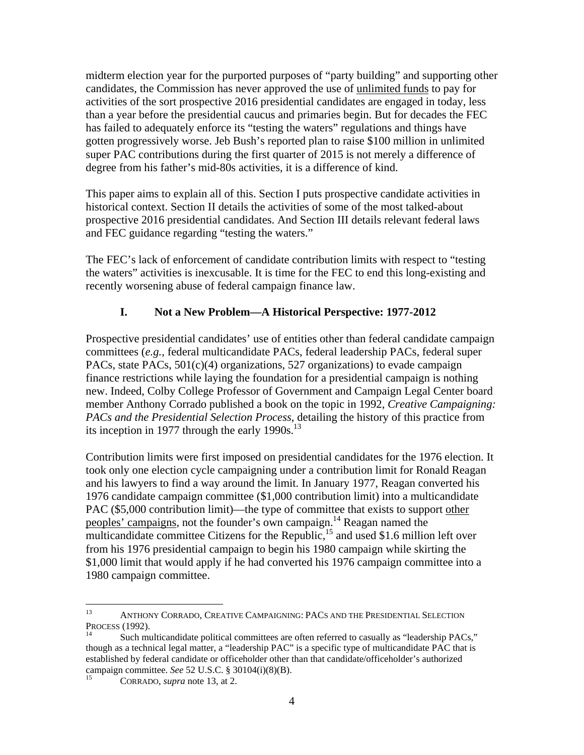midterm election year for the purported purposes of "party building" and supporting other candidates, the Commission has never approved the use of unlimited funds to pay for activities of the sort prospective 2016 presidential candidates are engaged in today, less than a year before the presidential caucus and primaries begin. But for decades the FEC has failed to adequately enforce its "testing the waters" regulations and things have gotten progressively worse. Jeb Bush's reported plan to raise \$100 million in unlimited super PAC contributions during the first quarter of 2015 is not merely a difference of degree from his father's mid-80s activities, it is a difference of kind.

This paper aims to explain all of this. Section I puts prospective candidate activities in historical context. Section II details the activities of some of the most talked-about prospective 2016 presidential candidates. And Section III details relevant federal laws and FEC guidance regarding "testing the waters."

The FEC's lack of enforcement of candidate contribution limits with respect to "testing the waters" activities is inexcusable. It is time for the FEC to end this long-existing and recently worsening abuse of federal campaign finance law.

# **I. Not a New Problem—A Historical Perspective: 1977-2012**

Prospective presidential candidates' use of entities other than federal candidate campaign committees (*e.g.*, federal multicandidate PACs, federal leadership PACs, federal super PACs, state PACs,  $501(c)(4)$  organizations, 527 organizations) to evade campaign finance restrictions while laying the foundation for a presidential campaign is nothing new. Indeed, Colby College Professor of Government and Campaign Legal Center board member Anthony Corrado published a book on the topic in 1992, *Creative Campaigning: PACs and the Presidential Selection Process*, detailing the history of this practice from its inception in 1977 through the early  $1990s$ .<sup>13</sup>

Contribution limits were first imposed on presidential candidates for the 1976 election. It took only one election cycle campaigning under a contribution limit for Ronald Reagan and his lawyers to find a way around the limit. In January 1977, Reagan converted his 1976 candidate campaign committee (\$1,000 contribution limit) into a multicandidate PAC (\$5,000 contribution limit)—the type of committee that exists to support other peoples' campaigns, not the founder's own campaign.<sup>14</sup> Reagan named the multicandidate committee Citizens for the Republic,<sup>15</sup> and used \$1.6 million left over from his 1976 presidential campaign to begin his 1980 campaign while skirting the \$1,000 limit that would apply if he had converted his 1976 campaign committee into a 1980 campaign committee.

<sup>13</sup>  $13$  ANTHONY CORRADO, CREATIVE CAMPAIGNING: PACS AND THE PRESIDENTIAL SELECTION PROCESS (1992).

Such multicandidate political committees are often referred to casually as "leadership PACs," though as a technical legal matter, a "leadership PAC" is a specific type of multicandidate PAC that is established by federal candidate or officeholder other than that candidate/officeholder's authorized campaign committee. *See* 52 U.S.C. § 30104(i)(8)(B).<br><sup>15</sup> CORRADO, *supra* note 13, at 2.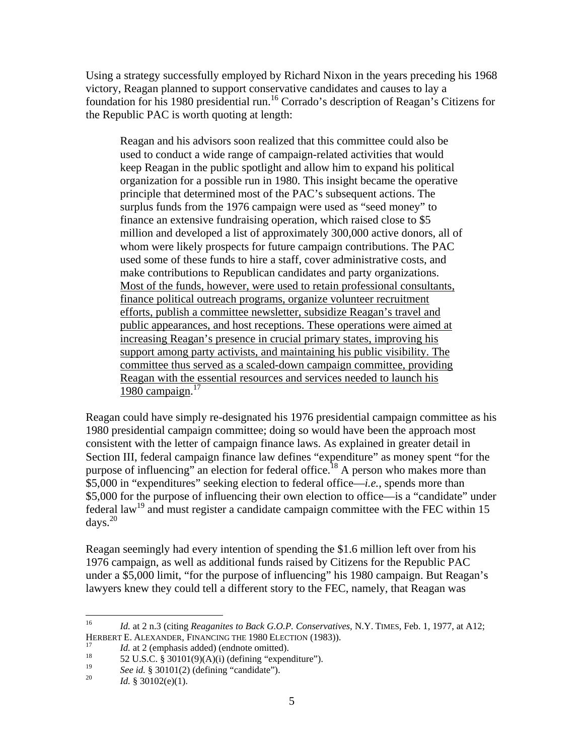Using a strategy successfully employed by Richard Nixon in the years preceding his 1968 victory, Reagan planned to support conservative candidates and causes to lay a foundation for his 1980 presidential run.16 Corrado's description of Reagan's Citizens for the Republic PAC is worth quoting at length:

Reagan and his advisors soon realized that this committee could also be used to conduct a wide range of campaign-related activities that would keep Reagan in the public spotlight and allow him to expand his political organization for a possible run in 1980. This insight became the operative principle that determined most of the PAC's subsequent actions. The surplus funds from the 1976 campaign were used as "seed money" to finance an extensive fundraising operation, which raised close to \$5 million and developed a list of approximately 300,000 active donors, all of whom were likely prospects for future campaign contributions. The PAC used some of these funds to hire a staff, cover administrative costs, and make contributions to Republican candidates and party organizations. Most of the funds, however, were used to retain professional consultants, finance political outreach programs, organize volunteer recruitment efforts, publish a committee newsletter, subsidize Reagan's travel and public appearances, and host receptions. These operations were aimed at increasing Reagan's presence in crucial primary states, improving his support among party activists, and maintaining his public visibility. The committee thus served as a scaled-down campaign committee, providing Reagan with the essential resources and services needed to launch his 1980 campaign. $17$ 

Reagan could have simply re-designated his 1976 presidential campaign committee as his 1980 presidential campaign committee; doing so would have been the approach most consistent with the letter of campaign finance laws. As explained in greater detail in Section III, federal campaign finance law defines "expenditure" as money spent "for the purpose of influencing" an election for federal office.<sup>18</sup> A person who makes more than \$5,000 in "expenditures" seeking election to federal office—*i.e.*, spends more than \$5,000 for the purpose of influencing their own election to office—is a "candidate" under federal law<sup>19</sup> and must register a candidate campaign committee with the FEC within 15 days. $20$ 

Reagan seemingly had every intention of spending the \$1.6 million left over from his 1976 campaign, as well as additional funds raised by Citizens for the Republic PAC under a \$5,000 limit, "for the purpose of influencing" his 1980 campaign. But Reagan's lawyers knew they could tell a different story to the FEC, namely, that Reagan was

 $16\,$ 16 *Id.* at 2 n.3 (citing *Reaganites to Back G.O.P. Conservatives*, N.Y. TIMES, Feb. 1, 1977, at A12; HERBERT E. ALEXANDER, FINANCING THE 1980 ELECTION (1983)).<br>
<sup>17</sup> *Id.* at 2 (emphasis added) (endnote omitted).<br>
<sup>18</sup> 52 U.S.C. § 30101(9)(A)(i) (defining "expenditure").<br>
<sup>19</sup> 6. i.d. § 20101(2) (defining "expendidate").

<sup>&</sup>lt;sup>19</sup> *See id.* § 30101(2) (defining "candidate"). *Id.* § 30102(e)(1).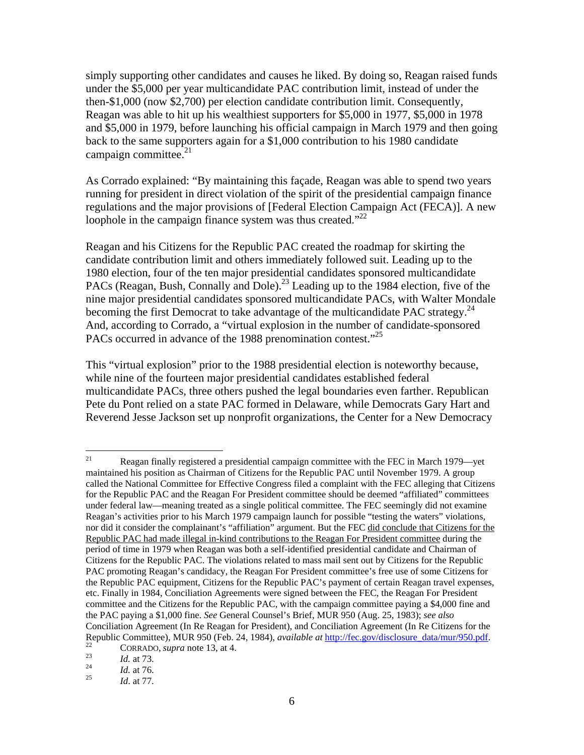simply supporting other candidates and causes he liked. By doing so, Reagan raised funds under the \$5,000 per year multicandidate PAC contribution limit, instead of under the then-\$1,000 (now \$2,700) per election candidate contribution limit. Consequently, Reagan was able to hit up his wealthiest supporters for \$5,000 in 1977, \$5,000 in 1978 and \$5,000 in 1979, before launching his official campaign in March 1979 and then going back to the same supporters again for a \$1,000 contribution to his 1980 candidate campaign committee. $2<sup>1</sup>$ 

As Corrado explained: "By maintaining this façade, Reagan was able to spend two years running for president in direct violation of the spirit of the presidential campaign finance regulations and the major provisions of [Federal Election Campaign Act (FECA)]. A new loophole in the campaign finance system was thus created."<sup>22</sup>

Reagan and his Citizens for the Republic PAC created the roadmap for skirting the candidate contribution limit and others immediately followed suit. Leading up to the 1980 election, four of the ten major presidential candidates sponsored multicandidate PACs (Reagan, Bush, Connally and Dole).<sup>23</sup> Leading up to the 1984 election, five of the nine major presidential candidates sponsored multicandidate PACs, with Walter Mondale becoming the first Democrat to take advantage of the multicandidate PAC strategy.<sup>24</sup> And, according to Corrado, a "virtual explosion in the number of candidate-sponsored PACs occurred in advance of the 1988 prenomination contest."<sup>25</sup>

This "virtual explosion" prior to the 1988 presidential election is noteworthy because, while nine of the fourteen major presidential candidates established federal multicandidate PACs, three others pushed the legal boundaries even farther. Republican Pete du Pont relied on a state PAC formed in Delaware, while Democrats Gary Hart and Reverend Jesse Jackson set up nonprofit organizations, the Center for a New Democracy

 $21$ 21 Reagan finally registered a presidential campaign committee with the FEC in March 1979—yet maintained his position as Chairman of Citizens for the Republic PAC until November 1979. A group called the National Committee for Effective Congress filed a complaint with the FEC alleging that Citizens for the Republic PAC and the Reagan For President committee should be deemed "affiliated" committees under federal law—meaning treated as a single political committee. The FEC seemingly did not examine Reagan's activities prior to his March 1979 campaign launch for possible "testing the waters" violations, nor did it consider the complainant's "affiliation" argument. But the FEC did conclude that Citizens for the Republic PAC had made illegal in-kind contributions to the Reagan For President committee during the period of time in 1979 when Reagan was both a self-identified presidential candidate and Chairman of Citizens for the Republic PAC. The violations related to mass mail sent out by Citizens for the Republic PAC promoting Reagan's candidacy, the Reagan For President committee's free use of some Citizens for the Republic PAC equipment, Citizens for the Republic PAC's payment of certain Reagan travel expenses, etc. Finally in 1984, Conciliation Agreements were signed between the FEC, the Reagan For President committee and the Citizens for the Republic PAC, with the campaign committee paying a \$4,000 fine and the PAC paying a \$1,000 fine. *See* General Counsel's Brief, MUR 950 (Aug. 25, 1983); *see also* Conciliation Agreement (In Re Reagan for President), and Conciliation Agreement (In Re Citizens for the Republic Committee), MUR 950 (Feb. 24, 1984), *available at* http://fec.gov/disclosure\_data/mur/950.pdf.<br>
<sup>22</sup> CORRADO, *supra* note 13, at 4.<br> *Id.* at 73.<br> *Id.* at 76.<br> *Id.* at 77.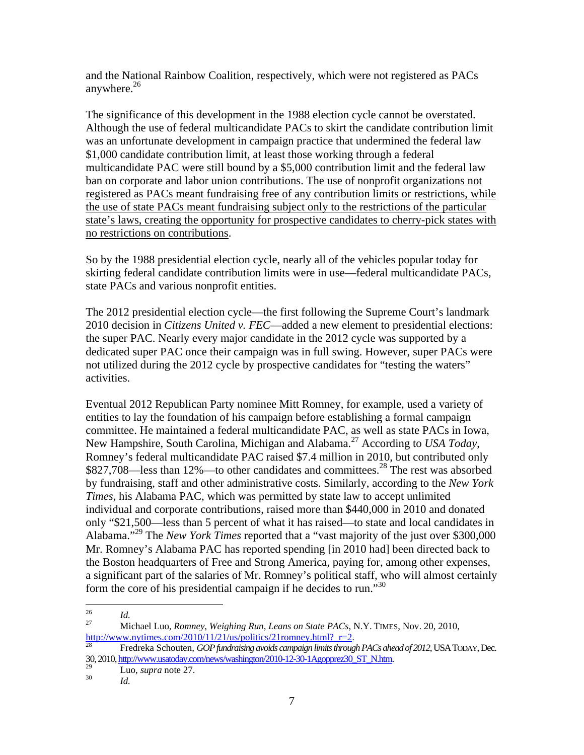and the National Rainbow Coalition, respectively, which were not registered as PACs anywhere. $26$ 

The significance of this development in the 1988 election cycle cannot be overstated. Although the use of federal multicandidate PACs to skirt the candidate contribution limit was an unfortunate development in campaign practice that undermined the federal law \$1,000 candidate contribution limit, at least those working through a federal multicandidate PAC were still bound by a \$5,000 contribution limit and the federal law ban on corporate and labor union contributions. The use of nonprofit organizations not registered as PACs meant fundraising free of any contribution limits or restrictions, while the use of state PACs meant fundraising subject only to the restrictions of the particular state's laws, creating the opportunity for prospective candidates to cherry-pick states with no restrictions on contributions.

So by the 1988 presidential election cycle, nearly all of the vehicles popular today for skirting federal candidate contribution limits were in use—federal multicandidate PACs, state PACs and various nonprofit entities.

The 2012 presidential election cycle—the first following the Supreme Court's landmark 2010 decision in *Citizens United v. FEC*—added a new element to presidential elections: the super PAC. Nearly every major candidate in the 2012 cycle was supported by a dedicated super PAC once their campaign was in full swing. However, super PACs were not utilized during the 2012 cycle by prospective candidates for "testing the waters" activities.

Eventual 2012 Republican Party nominee Mitt Romney, for example, used a variety of entities to lay the foundation of his campaign before establishing a formal campaign committee. He maintained a federal multicandidate PAC, as well as state PACs in Iowa, New Hampshire, South Carolina, Michigan and Alabama.27 According to *USA Today*, Romney's federal multicandidate PAC raised \$7.4 million in 2010, but contributed only \$827,708—less than 12%—to other candidates and committees.<sup>28</sup> The rest was absorbed by fundraising, staff and other administrative costs. Similarly, according to the *New York Times*, his Alabama PAC, which was permitted by state law to accept unlimited individual and corporate contributions, raised more than \$440,000 in 2010 and donated only "\$21,500—less than 5 percent of what it has raised—to state and local candidates in Alabama."29 The *New York Times* reported that a "vast majority of the just over \$300,000 Mr. Romney's Alabama PAC has reported spending [in 2010 had] been directed back to the Boston headquarters of Free and Strong America, paying for, among other expenses, a significant part of the salaries of Mr. Romney's political staff, who will almost certainly form the core of his presidential campaign if he decides to run."<sup>30</sup>

<sup>26</sup> 

<sup>&</sup>lt;sup>26</sup><br>
27 Michael Luo, *Romney, Weighing Run, Leans on State PACs*, N.Y. TIMES, Nov. 20, 2010,<br>
28 Mith://www.nytimes.com/2010/11/21/us/politics/21romney.html?\_r=2.

Fredreka Schouten, GOP fundraising avoids campaign limits through PACs ahead of 2012, USA TODAY, Dec. 30, 2010, http://www.usatoday.com/news/washington/2010-12-30-1Agopprez30\_ST\_N.htm. 29 Luo, *supra* note 27. 30 *Id.*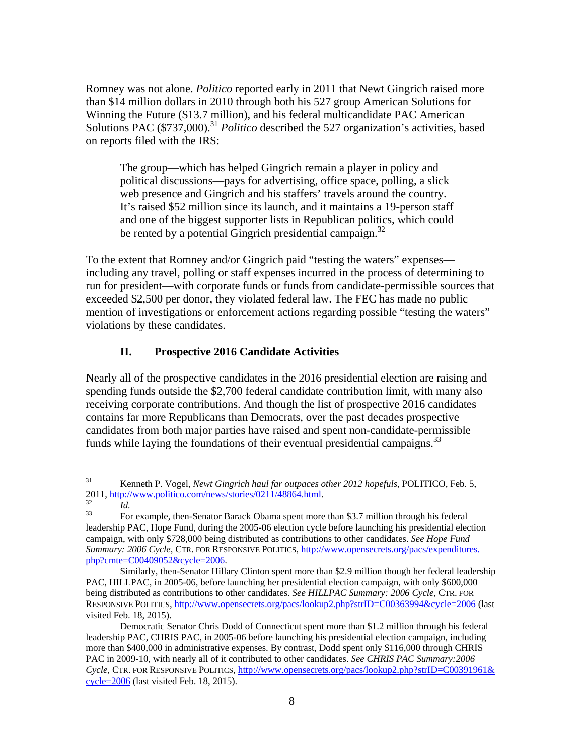Romney was not alone. *Politico* reported early in 2011 that Newt Gingrich raised more than \$14 million dollars in 2010 through both his 527 group American Solutions for Winning the Future (\$13.7 million), and his federal multicandidate PAC American Solutions PAC (\$737,000).<sup>31</sup> *Politico* described the 527 organization's activities, based on reports filed with the IRS:

The group—which has helped Gingrich remain a player in policy and political discussions—pays for advertising, office space, polling, a slick web presence and Gingrich and his staffers' travels around the country. It's raised \$52 million since its launch, and it maintains a 19-person staff and one of the biggest supporter lists in Republican politics, which could be rented by a potential Gingrich presidential campaign. $32$ 

To the extent that Romney and/or Gingrich paid "testing the waters" expenses including any travel, polling or staff expenses incurred in the process of determining to run for president—with corporate funds or funds from candidate-permissible sources that exceeded \$2,500 per donor, they violated federal law. The FEC has made no public mention of investigations or enforcement actions regarding possible "testing the waters" violations by these candidates.

# **II. Prospective 2016 Candidate Activities**

Nearly all of the prospective candidates in the 2016 presidential election are raising and spending funds outside the \$2,700 federal candidate contribution limit, with many also receiving corporate contributions. And though the list of prospective 2016 candidates contains far more Republicans than Democrats, over the past decades prospective candidates from both major parties have raised and spent non-candidate-permissible funds while laying the foundations of their eventual presidential campaigns.<sup>33</sup>

<sup>31</sup> 31 Kenneth P. Vogel, *Newt Gingrich haul far outpaces other 2012 hopefuls*, POLITICO, Feb. 5, 2011, http://www.politico.com/news/stories/0211/48864.html.<br><sup>32</sup> *Id.* For example, then-Senator Barack Obama spent more than \$3.7 million through his federal

leadership PAC, Hope Fund, during the 2005-06 election cycle before launching his presidential election campaign, with only \$728,000 being distributed as contributions to other candidates. *See Hope Fund Summary: 2006 Cycle*, CTR. FOR RESPONSIVE POLITICS, http://www.opensecrets.org/pacs/expenditures. php?cmte=C00409052&cycle=2006.

Similarly, then-Senator Hillary Clinton spent more than \$2.9 million though her federal leadership PAC, HILLPAC, in 2005-06, before launching her presidential election campaign, with only \$600,000 being distributed as contributions to other candidates. *See HILLPAC Summary: 2006 Cycle*, CTR. FOR RESPONSIVE POLITICS, http://www.opensecrets.org/pacs/lookup2.php?strID=C00363994&cycle=2006 (last visited Feb. 18, 2015).

Democratic Senator Chris Dodd of Connecticut spent more than \$1.2 million through his federal leadership PAC, CHRIS PAC, in 2005-06 before launching his presidential election campaign, including more than \$400,000 in administrative expenses. By contrast, Dodd spent only \$116,000 through CHRIS PAC in 2009-10, with nearly all of it contributed to other candidates. *See CHRIS PAC Summary:2006 Cycle*, CTR. FOR RESPONSIVE POLITICS, http://www.opensecrets.org/pacs/lookup2.php?strID=C00391961& cycle=2006 (last visited Feb. 18, 2015).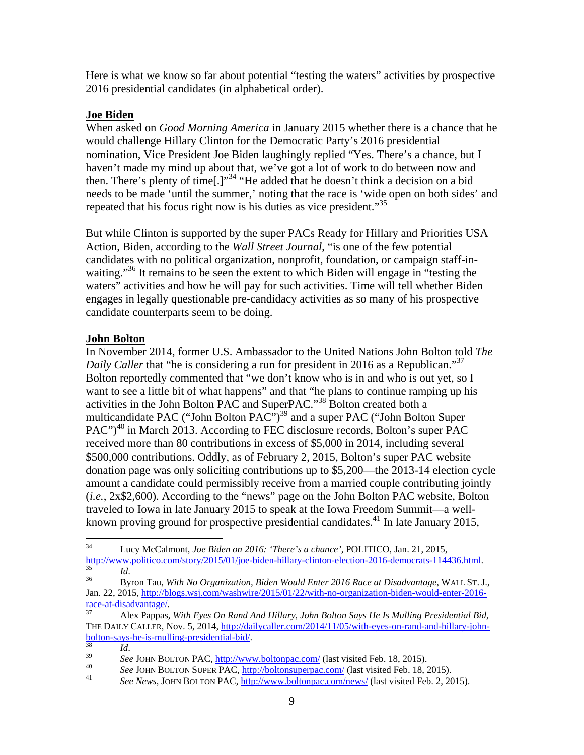Here is what we know so far about potential "testing the waters" activities by prospective 2016 presidential candidates (in alphabetical order).

# **Joe Biden**

When asked on *Good Morning America* in January 2015 whether there is a chance that he would challenge Hillary Clinton for the Democratic Party's 2016 presidential nomination, Vice President Joe Biden laughingly replied "Yes. There's a chance, but I haven't made my mind up about that, we've got a lot of work to do between now and then. There's plenty of time[.]"<sup>34</sup> "He added that he doesn't think a decision on a bid needs to be made 'until the summer,' noting that the race is 'wide open on both sides' and repeated that his focus right now is his duties as vice president."<sup>35</sup>

But while Clinton is supported by the super PACs Ready for Hillary and Priorities USA Action, Biden, according to the *Wall Street Journal*, "is one of the few potential candidates with no political organization, nonprofit, foundation, or campaign staff-inwaiting."<sup>36</sup> It remains to be seen the extent to which Biden will engage in "testing the waters" activities and how he will pay for such activities. Time will tell whether Biden engages in legally questionable pre-candidacy activities as so many of his prospective candidate counterparts seem to be doing.

### **John Bolton**

In November 2014, former U.S. Ambassador to the United Nations John Bolton told *The Daily Caller* that "he is considering a run for president in 2016 as a Republican."<sup>37</sup> Bolton reportedly commented that "we don't know who is in and who is out yet, so I want to see a little bit of what happens" and that "he plans to continue ramping up his activities in the John Bolton PAC and SuperPAC."<sup>38</sup> Bolton created both a multicandidate PAC ("John Bolton PAC")<sup>39</sup> and a super PAC ("John Bolton Super  $PAC$ ")<sup>40</sup> in March 2013. According to FEC disclosure records, Bolton's super PAC received more than 80 contributions in excess of \$5,000 in 2014, including several \$500,000 contributions. Oddly, as of February 2, 2015, Bolton's super PAC website donation page was only soliciting contributions up to \$5,200—the 2013-14 election cycle amount a candidate could permissibly receive from a married couple contributing jointly (*i.e.*, 2x\$2,600). According to the "news" page on the John Bolton PAC website, Bolton traveled to Iowa in late January 2015 to speak at the Iowa Freedom Summit—a wellknown proving ground for prospective presidential candidates.<sup>41</sup> In late January 2015,

 $34$ 34 Lucy McCalmont, *Joe Biden on 2016: 'There's a chance'*, POLITICO, Jan. 21, 2015, http://www.politico.com/story/2015/01/joe-biden-hillary-clinton-election-2016-democrats-114436.html. 35 *Id*. 36 Byron Tau, *With No Organization, Biden Would Enter 2016 Race at Disadvantage*, WALL ST. J.,

Jan. 22, 2015, http://blogs.wsj.com/washwire/2015/01/22/with-no-organization-biden-would-enter-2016-

Alex Pappas, *With Eyes On Rand And Hillary, John Bolton Says He Is Mulling Presidential Bid,* THE DAILY CALLER, Nov. 5, 2014, http://dailycaller.com/2014/11/05/with-eyes-on-rand-and-hillary-john-<br>bolton-says-he-is-mulling-presidential-bid/.

<sup>&</sup>lt;sup>38</sup><br> *Id.* See JOHN BOLTON PAC, <u>http://www.boltonpac.com/</u> (last visited Feb. 18, 2015).<br> *See JOHN BOLTON SUPER PAC*, <u>http://boltonsuperpac.com/</u> (last visited Feb. 18, 2015).<br> *See News*, JOHN BOLTON PAC, <u>http://www</u>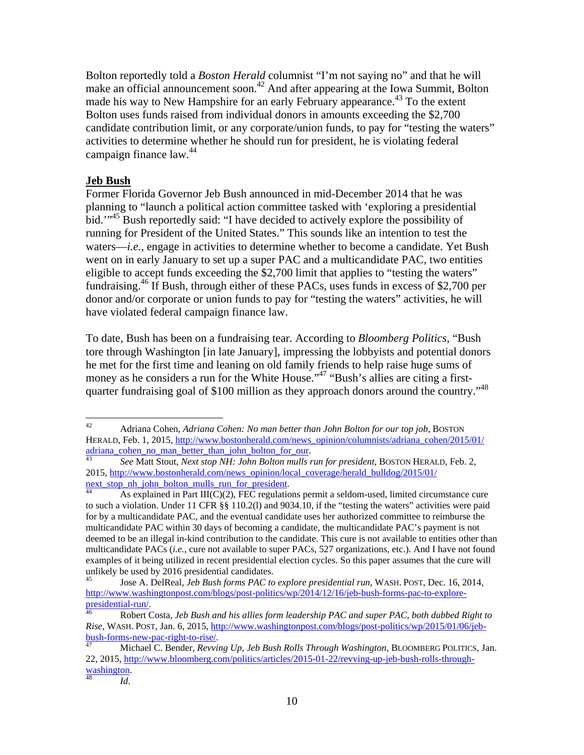Bolton reportedly told a *Boston Herald* columnist "I'm not saying no" and that he will make an official announcement soon.42 And after appearing at the Iowa Summit, Bolton made his way to New Hampshire for an early February appearance.<sup>43</sup> To the extent Bolton uses funds raised from individual donors in amounts exceeding the \$2,700 candidate contribution limit, or any corporate/union funds, to pay for "testing the waters" activities to determine whether he should run for president, he is violating federal campaign finance law.<sup>44</sup>

### **Jeb Bush**

Former Florida Governor Jeb Bush announced in mid-December 2014 that he was planning to "launch a political action committee tasked with 'exploring a presidential bid.'"<sup>45</sup> Bush reportedly said: "I have decided to actively explore the possibility of running for President of the United States." This sounds like an intention to test the waters—*i.e.*, engage in activities to determine whether to become a candidate. Yet Bush went on in early January to set up a super PAC and a multicandidate PAC, two entities eligible to accept funds exceeding the \$2,700 limit that applies to "testing the waters" fundraising.<sup>46</sup> If Bush, through either of these PACs, uses funds in excess of \$2,700 per donor and/or corporate or union funds to pay for "testing the waters" activities, he will have violated federal campaign finance law.

To date, Bush has been on a fundraising tear. According to *Bloomberg Politics*, "Bush tore through Washington [in late January], impressing the lobbyists and potential donors he met for the first time and leaning on old family friends to help raise huge sums of money as he considers a run for the White House."<sup>47</sup> "Bush's allies are citing a firstquarter fundraising goal of \$100 million as they approach donors around the country."<sup>48</sup>

 $42$ 42 Adriana Cohen, *Adriana Cohen: No man better than John Bolton for our top job*, BOSTON HERALD, Feb. 1, 2015, <u>http://www.bostonherald.com/news\_opinion/columnists/adriana\_cohen/2015/01/</u><br>adriana\_cohen\_no\_man\_better\_than\_john\_bolton\_for\_our.

See Matt Stout, *Next stop NH: John Bolton mulls run for president*, BOSTON HERALD, Feb. 2, 2015, http://www.bostonherald.com/news\_opinion/local\_coverage/herald\_bulldog/2015/01/<br>next\_stop\_nh\_john\_bolton\_mulls\_run\_for\_president.

As explained in Part III(C)(2), FEC regulations permit a seldom-used, limited circumstance cure to such a violation. Under 11 CFR §§ 110.2(l) and 9034.10, if the "testing the waters" activities were paid for by a multicandidate PAC, and the eventual candidate uses her authorized committee to reimburse the multicandidate PAC within 30 days of becoming a candidate, the multicandidate PAC's payment is not deemed to be an illegal in-kind contribution to the candidate. This cure is not available to entities other than multicandidate PACs (*i.e.*, cure not available to super PACs, 527 organizations, etc.). And I have not found examples of it being utilized in recent presidential election cycles. So this paper assumes that the cure will unlikely be used by 2016 presidential candidates.

<sup>45</sup> Jose A. DelReal, *Jeb Bush forms PAC to explore presidential run*, WASH. POST, Dec. 16, 2014, http://www.washingtonpost.com/blogs/post-politics/wp/2014/12/16/jeb-bush-forms-pac-to-explore-<br>presidential-run/

Robert Costa, *Jeb Bush and his allies form leadership PAC and super PAC, both dubbed Right to Rise*, WASH. POST, Jan. 6, 2015, <u>http://www.washingtonpost.com/blogs/post-politics/wp/2015/01/06/jeb-<br>bush-forms-new-pac-right-to-rise/.</u>

bush-forms-new-pac-right-to-rise/. 47 Michael C. Bender, *Revving Up, Jeb Bush Rolls Through Washington*, BLOOMBERG POLITICS, Jan. 22, 2015, http://www.bloomberg.com/politics/articles/2015-01-22/revving-up-jeb-bush-rolls-throughwashington.<br><sup>48</sup> *Id.*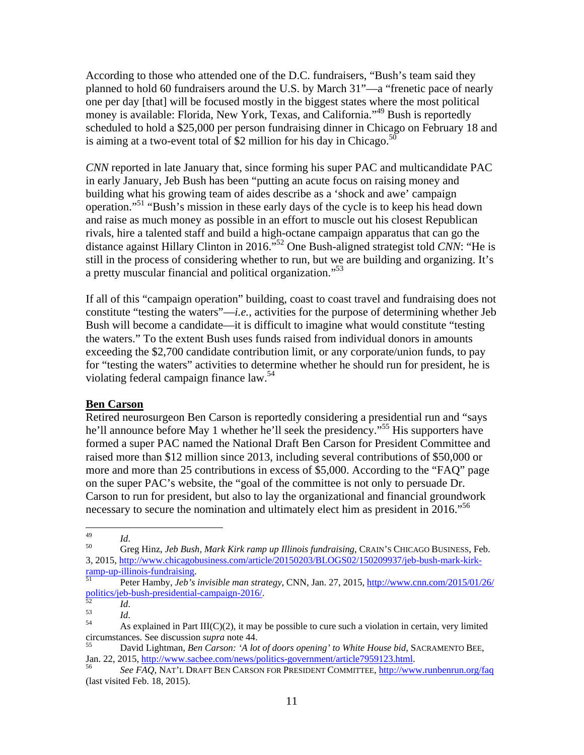According to those who attended one of the D.C. fundraisers, "Bush's team said they planned to hold 60 fundraisers around the U.S. by March 31"—a "frenetic pace of nearly one per day [that] will be focused mostly in the biggest states where the most political money is available: Florida, New York, Texas, and California."<sup>49</sup> Bush is reportedly scheduled to hold a \$25,000 per person fundraising dinner in Chicago on February 18 and is aiming at a two-event total of \$2 million for his day in Chicago. $50$ 

*CNN* reported in late January that, since forming his super PAC and multicandidate PAC in early January, Jeb Bush has been "putting an acute focus on raising money and building what his growing team of aides describe as a 'shock and awe' campaign operation."51 "Bush's mission in these early days of the cycle is to keep his head down and raise as much money as possible in an effort to muscle out his closest Republican rivals, hire a talented staff and build a high-octane campaign apparatus that can go the distance against Hillary Clinton in 2016."52 One Bush-aligned strategist told *CNN*: "He is still in the process of considering whether to run, but we are building and organizing. It's a pretty muscular financial and political organization."53

If all of this "campaign operation" building, coast to coast travel and fundraising does not constitute "testing the waters"—*i.e.*, activities for the purpose of determining whether Jeb Bush will become a candidate—it is difficult to imagine what would constitute "testing the waters." To the extent Bush uses funds raised from individual donors in amounts exceeding the \$2,700 candidate contribution limit, or any corporate/union funds, to pay for "testing the waters" activities to determine whether he should run for president, he is violating federal campaign finance law.<sup>54</sup>

#### **Ben Carson**

Retired neurosurgeon Ben Carson is reportedly considering a presidential run and "says he'll announce before May 1 whether he'll seek the presidency."<sup>55</sup> His supporters have formed a super PAC named the National Draft Ben Carson for President Committee and raised more than \$12 million since 2013, including several contributions of \$50,000 or more and more than 25 contributions in excess of \$5,000. According to the "FAQ" page on the super PAC's website, the "goal of the committee is not only to persuade Dr. Carson to run for president, but also to lay the organizational and financial groundwork necessary to secure the nomination and ultimately elect him as president in 2016.<sup>556</sup>

<sup>49</sup> 

<sup>49</sup>*Id*. 50 Greg Hinz, *Jeb Bush, Mark Kirk ramp up Illinois fundraising*, CRAIN'S CHICAGO BUSINESS, Feb. 3, 2015, http://www.chicagobusiness.com/article/20150203/BLOGS02/150209937/jeb-bush-mark-kirk-<br>ramp-up-illinois-fundraising.

<sup>&</sup>lt;sup>51</sup> Peter Hamby, *Jeb's invisible man strategy*, CNN, Jan. 27, 2015, <u>http://www.cnn.com/2015/01/26/</u><br>politics/jeb-bush-presidential-campaign-2016/.

politics<sup>52</sup> *Id. Id. Id.* 53 *Id.* 53 *Id.* 54 **As explained in Part III(C)(2), it may be possible to cure such a violation in certain, very limited 6.** 

circumstances. See discussion *supra* note 44.<br>
55 David Lightman, *Ben Carson: 'A lot of doors opening' to White House bid*, SACRAMENTO BEE,<br>
Jan. 22, 2015, http://www.sacbee.com/news/politics-government/article7959123.ht

Jan. 22, 2015, http://www.sacbee.com/news/politics-government/article7959123.html. 56 *See FAQ*, NAT'L DRAFT BEN CARSON FOR PRESIDENT COMMITTEE, http://www.runbenrun.org/faq (last visited Feb. 18, 2015).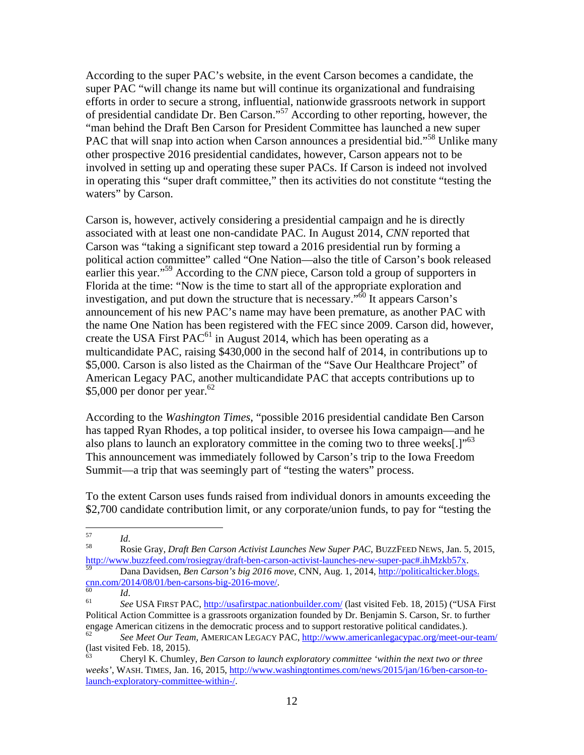According to the super PAC's website, in the event Carson becomes a candidate, the super PAC "will change its name but will continue its organizational and fundraising efforts in order to secure a strong, influential, nationwide grassroots network in support of presidential candidate Dr. Ben Carson."57 According to other reporting, however, the "man behind the Draft Ben Carson for President Committee has launched a new super PAC that will snap into action when Carson announces a presidential bid."<sup>58</sup> Unlike many other prospective 2016 presidential candidates, however, Carson appears not to be involved in setting up and operating these super PACs. If Carson is indeed not involved in operating this "super draft committee," then its activities do not constitute "testing the waters" by Carson.

Carson is, however, actively considering a presidential campaign and he is directly associated with at least one non-candidate PAC. In August 2014, *CNN* reported that Carson was "taking a significant step toward a 2016 presidential run by forming a political action committee" called "One Nation—also the title of Carson's book released earlier this year."<sup>59</sup> According to the *CNN* piece, Carson told a group of supporters in Florida at the time: "Now is the time to start all of the appropriate exploration and investigation, and put down the structure that is necessary."60 It appears Carson's announcement of his new PAC's name may have been premature, as another PAC with the name One Nation has been registered with the FEC since 2009. Carson did, however, create the USA First  $PAC^{61}$  in August 2014, which has been operating as a multicandidate PAC, raising \$430,000 in the second half of 2014, in contributions up to \$5,000. Carson is also listed as the Chairman of the "Save Our Healthcare Project" of American Legacy PAC, another multicandidate PAC that accepts contributions up to \$5,000 per donor per year.<sup>62</sup>

According to the *Washington Times*, "possible 2016 presidential candidate Ben Carson has tapped Ryan Rhodes, a top political insider, to oversee his Iowa campaign—and he also plans to launch an exploratory committee in the coming two to three weeks[.]"<sup>63</sup> This announcement was immediately followed by Carson's trip to the Iowa Freedom Summit—a trip that was seemingly part of "testing the waters" process.

To the extent Carson uses funds raised from individual donors in amounts exceeding the \$2,700 candidate contribution limit, or any corporate/union funds, to pay for "testing the

<sup>57</sup> 

<sup>57</sup>*Id*. 58 Rosie Gray, *Draft Ben Carson Activist Launches New Super PAC*, BUZZFEED NEWS, Jan. 5, 2015, http://www.buzzfeed.com/rosiegray/draft-ben-carson-activist-launches-new-super-pac#.ihMzkb57x. 59 Dana Davidsen, *Ben Carson's big 2016 move*, CNN, Aug. 1, 2014, http://politicalticker.blogs.

cnn.com/2014/08/01/ben-carsons-big-2016-move/. 60 *Id*. 61 *See* USA FIRST PAC, http://usafirstpac.nationbuilder.com/ (last visited Feb. 18, 2015) ("USA First

Political Action Committee is a grassroots organization founded by Dr. Benjamin S. Carson, Sr. to further engage American citizens in the democratic process and to support restorative political candidates.).

<sup>62</sup> *See Meet Our Team*, AMERICAN LEGACY PAC, http://www.americanlegacypac.org/meet-our-team/ (last visited Feb. 18, 2015).

<sup>63</sup> Cheryl K. Chumley, *Ben Carson to launch exploratory committee 'within the next two or three weeks'*, WASH. TIMES, Jan. 16, 2015, http://www.washingtontimes.com/news/2015/jan/16/ben-carson-tolaunch-exploratory-committee-within-/.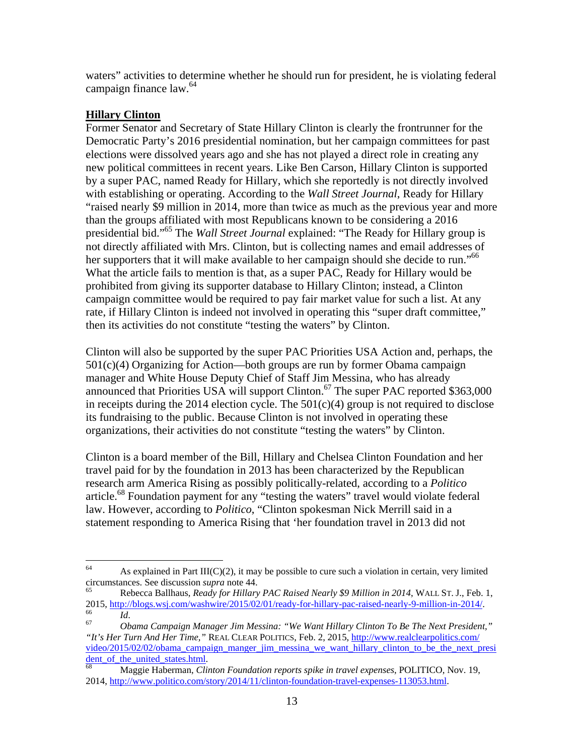waters" activities to determine whether he should run for president, he is violating federal campaign finance law.<sup>64</sup>

# **Hillary Clinton**

Former Senator and Secretary of State Hillary Clinton is clearly the frontrunner for the Democratic Party's 2016 presidential nomination, but her campaign committees for past elections were dissolved years ago and she has not played a direct role in creating any new political committees in recent years. Like Ben Carson, Hillary Clinton is supported by a super PAC, named Ready for Hillary, which she reportedly is not directly involved with establishing or operating. According to the *Wall Street Journal*, Ready for Hillary "raised nearly \$9 million in 2014, more than twice as much as the previous year and more than the groups affiliated with most Republicans known to be considering a 2016 presidential bid."65 The *Wall Street Journal* explained: "The Ready for Hillary group is not directly affiliated with Mrs. Clinton, but is collecting names and email addresses of her supporters that it will make available to her campaign should she decide to run."<sup>66</sup> What the article fails to mention is that, as a super PAC, Ready for Hillary would be prohibited from giving its supporter database to Hillary Clinton; instead, a Clinton campaign committee would be required to pay fair market value for such a list. At any rate, if Hillary Clinton is indeed not involved in operating this "super draft committee," then its activities do not constitute "testing the waters" by Clinton.

Clinton will also be supported by the super PAC Priorities USA Action and, perhaps, the  $501(c)(4)$  Organizing for Action—both groups are run by former Obama campaign manager and White House Deputy Chief of Staff Jim Messina, who has already announced that Priorities USA will support Clinton.<sup>67</sup> The super PAC reported \$363,000 in receipts during the 2014 election cycle. The  $501(c)(4)$  group is not required to disclose its fundraising to the public. Because Clinton is not involved in operating these organizations, their activities do not constitute "testing the waters" by Clinton.

Clinton is a board member of the Bill, Hillary and Chelsea Clinton Foundation and her travel paid for by the foundation in 2013 has been characterized by the Republican research arm America Rising as possibly politically-related, according to a *Politico* article.<sup>68</sup> Foundation payment for any "testing the waters" travel would violate federal law. However, according to *Politico*, "Clinton spokesman Nick Merrill said in a statement responding to America Rising that 'her foundation travel in 2013 did not

<sup>64</sup> As explained in Part III( $C(2)$ , it may be possible to cure such a violation in certain, very limited circumstances. See discussion *supra* note 44. 65 Rebecca Ballhaus, *Ready for Hillary PAC Raised Nearly \$9 Million in 2014*, WALL ST. J., Feb. 1,

<sup>2015,</sup> http://blogs.wsj.com/washwire/2015/02/01/ready-for-hillary-pac-raised-nearly-9-million-in-2014/. 66 *Id*. 67 *Obama Campaign Manager Jim Messina: "We Want Hillary Clinton To Be The Next President,"* 

*<sup>&</sup>quot;It's Her Turn And Her Time,"* REAL CLEAR POLITICS, Feb. 2, 2015, http://www.realclearpolitics.com/ video/2015/02/02/obama campaign\_manger\_jim\_messina\_we\_want\_hillary\_clinton\_to\_be\_the\_next\_presi dent\_of\_the\_united\_states.html.<br><sup>68</sup> Maggie Haberman, *Clinton Foundation reports spike in travel expenses*, POLITICO, Nov. 19,

<sup>2014,</sup> http://www.politico.com/story/2014/11/clinton-foundation-travel-expenses-113053.html.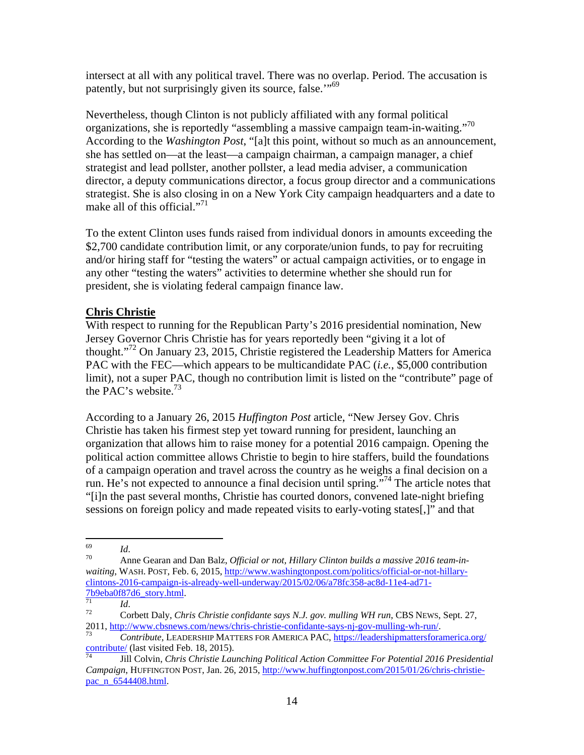intersect at all with any political travel. There was no overlap. Period. The accusation is patently, but not surprisingly given its source, false."<sup>69</sup>

Nevertheless, though Clinton is not publicly affiliated with any formal political organizations, she is reportedly "assembling a massive campaign team-in-waiting."<sup>70</sup> According to the *Washington Post*, "[a]t this point, without so much as an announcement, she has settled on—at the least—a campaign chairman, a campaign manager, a chief strategist and lead pollster, another pollster, a lead media adviser, a communication director, a deputy communications director, a focus group director and a communications strategist. She is also closing in on a New York City campaign headquarters and a date to make all of this official."<sup>71</sup>

To the extent Clinton uses funds raised from individual donors in amounts exceeding the \$2,700 candidate contribution limit, or any corporate/union funds, to pay for recruiting and/or hiring staff for "testing the waters" or actual campaign activities, or to engage in any other "testing the waters" activities to determine whether she should run for president, she is violating federal campaign finance law.

# **Chris Christie**

With respect to running for the Republican Party's 2016 presidential nomination, New Jersey Governor Chris Christie has for years reportedly been "giving it a lot of thought."<sup>72</sup> On January 23, 2015, Christie registered the Leadership Matters for America PAC with the FEC—which appears to be multicandidate PAC (*i.e.*, \$5,000 contribution limit), not a super PAC, though no contribution limit is listed on the "contribute" page of the PAC's website. $73$ 

According to a January 26, 2015 *Huffington Post* article, "New Jersey Gov. Chris Christie has taken his firmest step yet toward running for president, launching an organization that allows him to raise money for a potential 2016 campaign. Opening the political action committee allows Christie to begin to hire staffers, build the foundations of a campaign operation and travel across the country as he weighs a final decision on a run. He's not expected to announce a final decision until spring."74 The article notes that "[i]n the past several months, Christie has courted donors, convened late-night briefing sessions on foreign policy and made repeated visits to early-voting states[,]" and that

<sup>69</sup> 

<sup>&</sup>lt;sup>69</sup> Id.<br><sup>70</sup> Anne Gearan and Dan Balz, *Official or not, Hillary Clinton builds a massive 2016 team-inwaiting*, WASH. POST, Feb. 6, 2015, http://www.washingtonpost.com/politics/official-or-not-hillaryclintons-2016-campaign-is-already-well-underway/2015/02/06/a78fc358-ac8d-11e4-ad71-

<sup>&</sup>lt;sup>71</sup> *Id. Id. Zatemagas Corbett Daly, Chris Christie confidante says N.J. gov. mulling WH run, CBS NEWS, Sept. 27, Particular 12* 

<sup>2011, &</sup>lt;u>http://www.cbsnews.com/news/chris-christie-confidante-says-nj-gov-mulling-wh-run/.</u><br> *Contribute*, LEADERSHIP MATTERS FOR AMERICA PAC, <u>https://leadershipmattersforamerica.org/</u><br>
<u>Contribute</u>/ (last visited Feb. 18,

contribute/ (last visited Feb. 18, 2015). 74 Jill Colvin, *Chris Christie Launching Political Action Committee For Potential 2016 Presidential Campaign*, HUFFINGTON POST, Jan. 26, 2015, http://www.huffingtonpost.com/2015/01/26/chris-christiepac\_n\_6544408.html.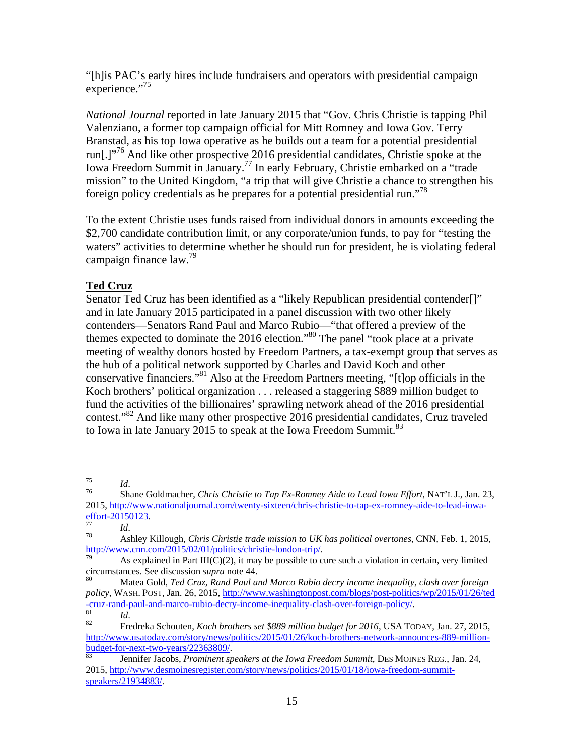"[h]is PAC's early hires include fundraisers and operators with presidential campaign experience."<sup>75</sup>

*National Journal* reported in late January 2015 that "Gov. Chris Christie is tapping Phil Valenziano, a former top campaign official for Mitt Romney and Iowa Gov. Terry Branstad, as his top Iowa operative as he builds out a team for a potential presidential run[.]<sup>"76</sup> And like other prospective 2016 presidential candidates, Christie spoke at the Iowa Freedom Summit in January.77 In early February, Christie embarked on a "trade mission" to the United Kingdom, "a trip that will give Christie a chance to strengthen his foreign policy credentials as he prepares for a potential presidential run."<sup>78</sup>

To the extent Christie uses funds raised from individual donors in amounts exceeding the \$2,700 candidate contribution limit, or any corporate/union funds, to pay for "testing the waters" activities to determine whether he should run for president, he is violating federal campaign finance law.<sup>79</sup>

# **Ted Cruz**

Senator Ted Cruz has been identified as a "likely Republican presidential contender[]" and in late January 2015 participated in a panel discussion with two other likely contenders—Senators Rand Paul and Marco Rubio—"that offered a preview of the themes expected to dominate the 2016 election."80 The panel "took place at a private meeting of wealthy donors hosted by Freedom Partners, a tax-exempt group that serves as the hub of a political network supported by Charles and David Koch and other conservative financiers."81 Also at the Freedom Partners meeting, "[t]op officials in the Koch brothers' political organization . . . released a staggering \$889 million budget to fund the activities of the billionaires' sprawling network ahead of the 2016 presidential contest."<sup>82</sup> And like many other prospective 2016 presidential candidates, Cruz traveled to Iowa in late January 2015 to speak at the Iowa Freedom Summit.<sup>83</sup>

<sup>75</sup> 

<sup>75</sup>*Id*. 76 Shane Goldmacher, *Chris Christie to Tap Ex-Romney Aide to Lead Iowa Effort*, NAT'L J., Jan. 23, 2015, http://www.nationaljournal.com/twenty-sixteen/chris-christie-to-tap-ex-romney-aide-to-lead-iowa-<br>effort-20150123.

<sup>17</sup> *Id.* Ashley Killough, *Chris Christie trade mission to UK has political overtones*, CNN, Feb. 1, 2015,<br>http://www.cnn.com/2015/02/01/politics/christie-london-trip/.

As explained in Part III(C)(2), it may be possible to cure such a violation in certain, very limited circumstances. See discussion *supra* note 44.

circumstances. See discussion *supra* note 44. 80 Matea Gold, *Ted Cruz, Rand Paul and Marco Rubio decry income inequality, clash over foreign policy*, WASH. POST, Jan. 26, 2015, http://www.washingtonpost.com/blogs/post-politics/wp/2015/01/26/ted -cruz-rand-paul-and-marco-rubio-decry-income-inequality-clash-over-foreign-policy/. 81 *Id*. 82 Fredreka Schouten, *Koch brothers set \$889 million budget for 2016*, USA TODAY, Jan. 27, 2015,

http://www.usatoday.com/story/news/politics/2015/01/26/koch-brothers-network-announces-889-millionbudget-for-next-two-years/22363809/. 83 Jennifer Jacobs, *Prominent speakers at the Iowa Freedom Summit*, DES MOINES REG., Jan. 24,

<sup>2015,</sup> http://www.desmoinesregister.com/story/news/politics/2015/01/18/iowa-freedom-summitspeakers/21934883/.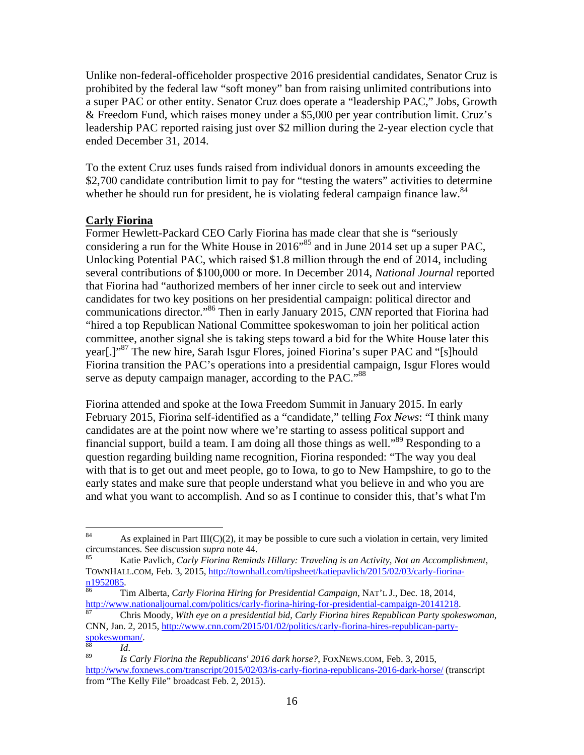Unlike non-federal-officeholder prospective 2016 presidential candidates, Senator Cruz is prohibited by the federal law "soft money" ban from raising unlimited contributions into a super PAC or other entity. Senator Cruz does operate a "leadership PAC," Jobs, Growth & Freedom Fund, which raises money under a \$5,000 per year contribution limit. Cruz's leadership PAC reported raising just over \$2 million during the 2-year election cycle that ended December 31, 2014.

To the extent Cruz uses funds raised from individual donors in amounts exceeding the \$2,700 candidate contribution limit to pay for "testing the waters" activities to determine whether he should run for president, he is violating federal campaign finance law.<sup>84</sup>

#### **Carly Fiorina**

Former Hewlett-Packard CEO Carly Fiorina has made clear that she is "seriously considering a run for the White House in 2016<sup> $,85$ </sup> and in June 2014 set up a super PAC, Unlocking Potential PAC, which raised \$1.8 million through the end of 2014, including several contributions of \$100,000 or more. In December 2014, *National Journal* reported that Fiorina had "authorized members of her inner circle to seek out and interview candidates for two key positions on her presidential campaign: political director and communications director."86 Then in early January 2015, *CNN* reported that Fiorina had "hired a top Republican National Committee spokeswoman to join her political action committee, another signal she is taking steps toward a bid for the White House later this year[.]"<sup>87</sup> The new hire, Sarah Isgur Flores, joined Fiorina's super PAC and "[s]hould Fiorina transition the PAC's operations into a presidential campaign, Isgur Flores would serve as deputy campaign manager, according to the PAC."<sup>88</sup>

Fiorina attended and spoke at the Iowa Freedom Summit in January 2015. In early February 2015, Fiorina self-identified as a "candidate," telling *Fox News*: "I think many candidates are at the point now where we're starting to assess political support and financial support, build a team. I am doing all those things as well."89 Responding to a question regarding building name recognition, Fiorina responded: "The way you deal with that is to get out and meet people, go to Iowa, to go to New Hampshire, to go to the early states and make sure that people understand what you believe in and who you are and what you want to accomplish. And so as I continue to consider this, that's what I'm

<sup>84</sup> <sup>84</sup> As explained in Part III(C)(2), it may be possible to cure such a violation in certain, very limited circumstances. See discussion *supra* note 44.

Katie Pavlich, *Carly Fiorina Reminds Hillary: Traveling is an Activity, Not an Accomplishment*, TOWNHALL.COM, Feb. 3, 2015, http://townhall.com/tipsheet/katiepavlich/2015/02/03/carly-fiorina-<br>n1952085.

Tim Alberta, *Carly Fiorina Hiring for Presidential Campaign*, NAT'L J., Dec. 18, 2014, http://www.nationaljournal.com/politics/carly-fiorina-hiring-for-presidential-campaign-20141218. 87 Chris Moody, *With eye on a presidential bid, Carly Fiorina hires Republican Party spokeswoman*,

CNN, Jan. 2, 2015, http://www.cnn.com/2015/01/02/politics/carly-fiorina-hires-republican-party-<br>spokeswoman/.

<sup>&</sup>lt;sup>88</sup> *Id. Id. Id. Id.* 89 *Id. Is Carly Fiorina the Republicans' 2016 dark horse?*, FOXNEWS.COM, Feb. 3, 2015, http://www.foxnews.com/transcript/2015/02/03/is-carly-fiorina-republicans-2016-dark-horse/ (transcript from "The Kelly File" broadcast Feb. 2, 2015).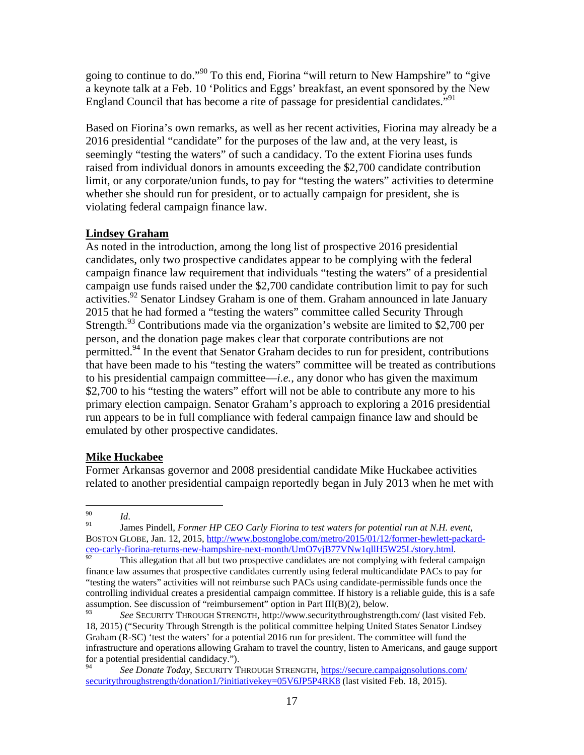going to continue to do."90 To this end, Fiorina "will return to New Hampshire" to "give a keynote talk at a Feb. 10 'Politics and Eggs' breakfast, an event sponsored by the New England Council that has become a rite of passage for presidential candidates."<sup>91</sup>

Based on Fiorina's own remarks, as well as her recent activities, Fiorina may already be a 2016 presidential "candidate" for the purposes of the law and, at the very least, is seemingly "testing the waters" of such a candidacy. To the extent Fiorina uses funds raised from individual donors in amounts exceeding the \$2,700 candidate contribution limit, or any corporate/union funds, to pay for "testing the waters" activities to determine whether she should run for president, or to actually campaign for president, she is violating federal campaign finance law.

# **Lindsey Graham**

As noted in the introduction, among the long list of prospective 2016 presidential candidates, only two prospective candidates appear to be complying with the federal campaign finance law requirement that individuals "testing the waters" of a presidential campaign use funds raised under the \$2,700 candidate contribution limit to pay for such activities.<sup>92</sup> Senator Lindsey Graham is one of them. Graham announced in late January 2015 that he had formed a "testing the waters" committee called Security Through Strength.<sup>93</sup> Contributions made via the organization's website are limited to \$2,700 per person, and the donation page makes clear that corporate contributions are not permitted.<sup>94</sup> In the event that Senator Graham decides to run for president, contributions that have been made to his "testing the waters" committee will be treated as contributions to his presidential campaign committee—*i.e.*, any donor who has given the maximum \$2,700 to his "testing the waters" effort will not be able to contribute any more to his primary election campaign. Senator Graham's approach to exploring a 2016 presidential run appears to be in full compliance with federal campaign finance law and should be emulated by other prospective candidates.

# **Mike Huckabee**

Former Arkansas governor and 2008 presidential candidate Mike Huckabee activities related to another presidential campaign reportedly began in July 2013 when he met with

<sup>90</sup> 

<sup>&</sup>lt;sup>90</sup>*Id. Id. Id. Sames Pindell, <i>Former HP CEO Carly Fiorina to test waters for potential run at N.H. event, Pulmer HP CEO Carly Fiorina to test waters for potential run at N.H. event,* BOSTON GLOBE, Jan. 12, 2015, http://www.bostonglobe.com/metro/2015/01/12/former-hewlett-packardceo-carly-fiorina-returns-new-hampshire-next-month/UmO7vjB77VNw1qllH5W25L/story.html.<br><sup>92</sup> This allegation that all but two prospective candidates are not complying with federal campaign

finance law assumes that prospective candidates currently using federal multicandidate PACs to pay for "testing the waters" activities will not reimburse such PACs using candidate-permissible funds once the controlling individual creates a presidential campaign committee. If history is a reliable guide, this is a safe assumption. See discussion of "reimbursement" option in Part III(B)(2), below.

<sup>93</sup> *See* SECURITY THROUGH STRENGTH, http://www.securitythroughstrength.com/ (last visited Feb. 18, 2015) ("Security Through Strength is the political committee helping United States Senator Lindsey Graham (R-SC) 'test the waters' for a potential 2016 run for president. The committee will fund the infrastructure and operations allowing Graham to travel the country, listen to Americans, and gauge support for a potential presidential candidacy.").

<sup>94</sup> *See Donate Today*, SECURITY THROUGH STRENGTH, https://secure.campaignsolutions.com/ securitythroughstrength/donation1/?initiativekey=05V6JP5P4RK8 (last visited Feb. 18, 2015).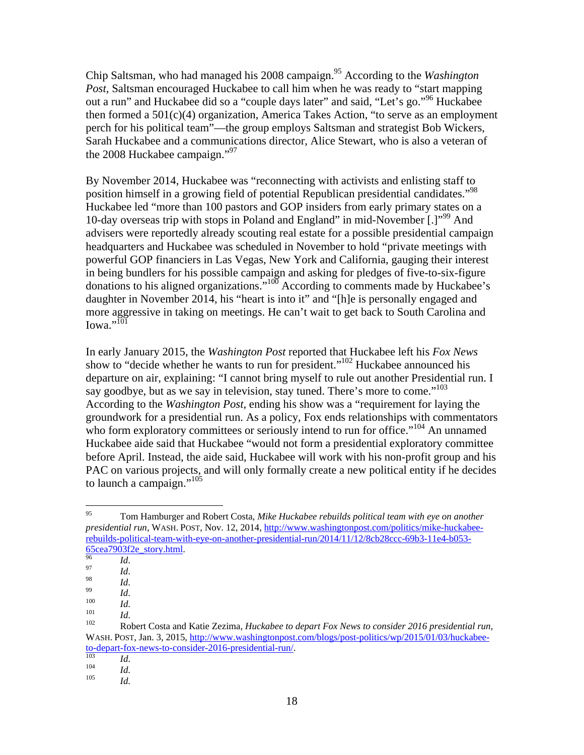Chip Saltsman, who had managed his 2008 campaign.95 According to the *Washington Post*, Saltsman encouraged Huckabee to call him when he was ready to "start mapping out a run" and Huckabee did so a "couple days later" and said, "Let's go."<sup>96</sup> Huckabee then formed a 501(c)(4) organization, America Takes Action, "to serve as an employment perch for his political team"—the group employs Saltsman and strategist Bob Wickers, Sarah Huckabee and a communications director, Alice Stewart, who is also a veteran of the 2008 Huckabee campaign."97

By November 2014, Huckabee was "reconnecting with activists and enlisting staff to position himself in a growing field of potential Republican presidential candidates."<sup>98</sup> Huckabee led "more than 100 pastors and GOP insiders from early primary states on a 10-day overseas trip with stops in Poland and England" in mid-November [.]"<sup>99</sup> And advisers were reportedly already scouting real estate for a possible presidential campaign headquarters and Huckabee was scheduled in November to hold "private meetings with powerful GOP financiers in Las Vegas, New York and California, gauging their interest in being bundlers for his possible campaign and asking for pledges of five-to-six-figure donations to his aligned organizations."100 According to comments made by Huckabee's daughter in November 2014, his "heart is into it" and "[h]e is personally engaged and more aggressive in taking on meetings. He can't wait to get back to South Carolina and  $I<sub>0</sub>$ wa."<sup>101</sup>

In early January 2015, the *Washington Post* reported that Huckabee left his *Fox News* show to "decide whether he wants to run for president."102 Huckabee announced his departure on air, explaining: "I cannot bring myself to rule out another Presidential run. I say goodbye, but as we say in television, stay tuned. There's more to come."<sup>103</sup> According to the *Washington Post*, ending his show was a "requirement for laying the groundwork for a presidential run. As a policy, Fox ends relationships with commentators who form exploratory committees or seriously intend to run for office."<sup>104</sup> An unnamed Huckabee aide said that Huckabee "would not form a presidential exploratory committee before April. Instead, the aide said, Huckabee will work with his non-profit group and his PAC on various projects, and will only formally create a new political entity if he decides to launch a campaign."<sup>105</sup>

<sup>95</sup> 95 Tom Hamburger and Robert Costa, *Mike Huckabee rebuilds political team with eye on another presidential run*, WASH. POST, Nov. 12, 2014, http://www.washingtonpost.com/politics/mike-huckabeerebuilds-political-team-with-eye-on-another-presidential-run/2014/11/12/8cb28ccc-69b3-11e4-b053-<br>65cea7903f2e story.html.

<sup>65</sup>cea7903f2e\_story.html.<br><sup>97</sup> *Id.*<br><sup>98</sup> *Id. Id.*<br><sup>100</sup> *Id.* 101 *Id.* 102 *Id.* 102 Robert Costa and Katie Zezima, *Huckabee to depart Fox News to consider 2016 presidential run*, WASH. POST, Jan. 3, 2015, http://www.washingtonpost.com/blogs/post-politics/wp/2015/01/03/huckabeeto-depart-fox-news-to-consider-2016-presidential-run/. 103 *Id*. 104 *Id*. 105 *Id*.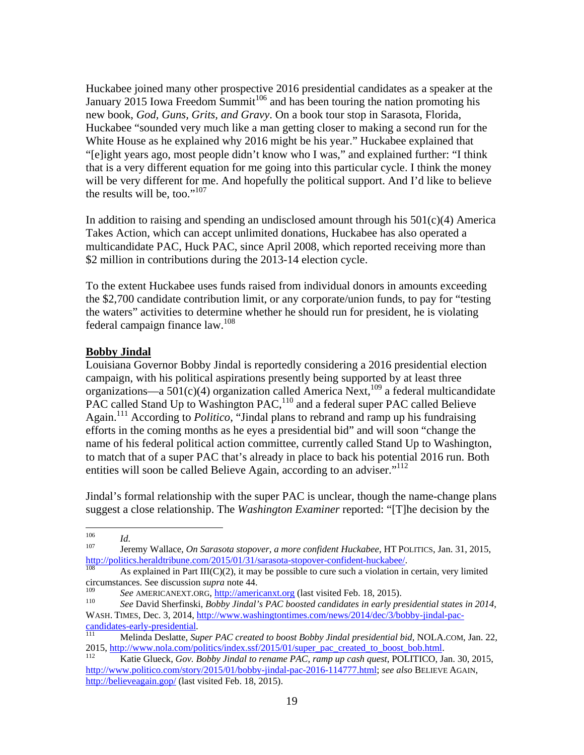Huckabee joined many other prospective 2016 presidential candidates as a speaker at the January  $2015$  Iowa Freedom Summit<sup>106</sup> and has been touring the nation promoting his new book, *God, Guns, Grits, and Gravy*. On a book tour stop in Sarasota, Florida, Huckabee "sounded very much like a man getting closer to making a second run for the White House as he explained why 2016 might be his year." Huckabee explained that "[e]ight years ago, most people didn't know who I was," and explained further: "I think that is a very different equation for me going into this particular cycle. I think the money will be very different for me. And hopefully the political support. And I'd like to believe the results will be, too." $107$ 

In addition to raising and spending an undisclosed amount through his  $501(c)(4)$  America Takes Action, which can accept unlimited donations, Huckabee has also operated a multicandidate PAC, Huck PAC, since April 2008, which reported receiving more than \$2 million in contributions during the 2013-14 election cycle.

To the extent Huckabee uses funds raised from individual donors in amounts exceeding the \$2,700 candidate contribution limit, or any corporate/union funds, to pay for "testing the waters" activities to determine whether he should run for president, he is violating federal campaign finance law.108

### **Bobby Jindal**

Louisiana Governor Bobby Jindal is reportedly considering a 2016 presidential election campaign, with his political aspirations presently being supported by at least three organizations—a  $501(c)(4)$  organization called America Next,<sup>109</sup> a federal multicandidate PAC called Stand Up to Washington PAC,110 and a federal super PAC called Believe Again.111 According to *Politico*, "Jindal plans to rebrand and ramp up his fundraising efforts in the coming months as he eyes a presidential bid" and will soon "change the name of his federal political action committee, currently called Stand Up to Washington, to match that of a super PAC that's already in place to back his potential 2016 run. Both entities will soon be called Believe Again, according to an adviser."<sup>112</sup>

Jindal's formal relationship with the super PAC is unclear, though the name-change plans suggest a close relationship. The *Washington Examiner* reported: "[T]he decision by the

<sup>106</sup> 

<sup>106</sup>*Id*. 107 Jeremy Wallace, *On Sarasota stopover, a more confident Huckabee*, HT POLITICS, Jan. 31, 2015, http://politics.heraldtribune.com/2015/01/31/sarasota-stopover-confident-huckabee/.<br><sup>108</sup> As explained in Part III(C)(2), it may be possible to cure such a violation in certain, very limited

circumstances. See discussion *supra* note 44.<br><sup>109</sup> See AMERICANEXT.ORG, <u>http://americanxt.org</u> (last visited Feb. 18, 2015).

<sup>&</sup>lt;sup>110</sup> See David Sherfinski, *Bobby Jindal's PAC boosted candidates in early presidential states in 2014*, WASH. TIMES, Dec. 3, 2014, <u>http://www.washingtontimes.com/news/2014/dec/3/bobby-jindal-pac-</u><br>candidates-early-presidential.<br> $\frac{M}{111}$  Melinda Daslattic S

Melinda Deslatte, Super PAC created to boost Bobby Jindal presidential bid, NOLA.COM, Jan. 22, 2015, http://www.nola.com/politics/index.ssf/2015/01/super\_pac\_created\_to\_boost\_bob.html. 112 Katie Glueck, *Gov. Bobby Jindal to rename PAC, ramp up cash quest*, POLITICO, Jan. 30, 2015,

http://www.politico.com/story/2015/01/bobby-jindal-pac-2016-114777.html; *see also* BELIEVE AGAIN, http://believeagain.gop/ (last visited Feb. 18, 2015).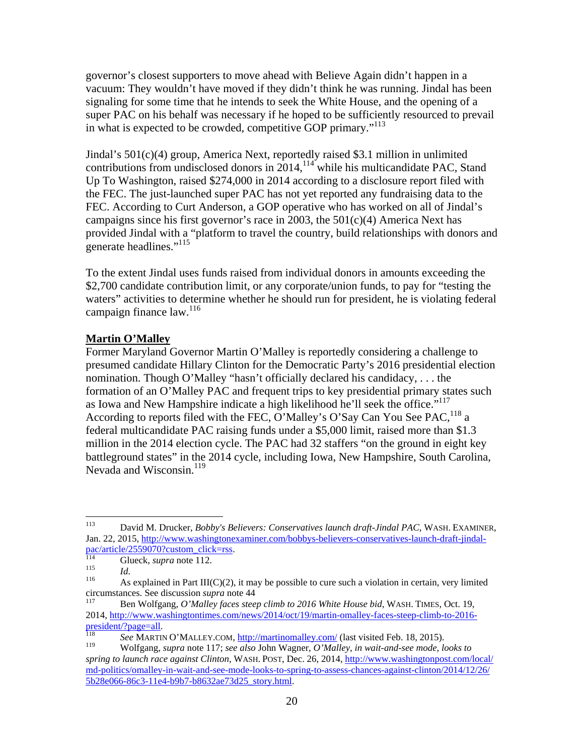governor's closest supporters to move ahead with Believe Again didn't happen in a vacuum: They wouldn't have moved if they didn't think he was running. Jindal has been signaling for some time that he intends to seek the White House, and the opening of a super PAC on his behalf was necessary if he hoped to be sufficiently resourced to prevail in what is expected to be crowded, competitive GOP primary."<sup>113</sup>

Jindal's 501(c)(4) group, America Next, reportedly raised \$3.1 million in unlimited contributions from undisclosed donors in 2014,<sup>114</sup> while his multicandidate PAC, Stand Up To Washington, raised \$274,000 in 2014 according to a disclosure report filed with the FEC. The just-launched super PAC has not yet reported any fundraising data to the FEC. According to Curt Anderson, a GOP operative who has worked on all of Jindal's campaigns since his first governor's race in 2003, the 501(c)(4) America Next has provided Jindal with a "platform to travel the country, build relationships with donors and generate headlines."<sup>115</sup>

To the extent Jindal uses funds raised from individual donors in amounts exceeding the \$2,700 candidate contribution limit, or any corporate/union funds, to pay for "testing the waters" activities to determine whether he should run for president, he is violating federal campaign finance  $law.<sup>116</sup>$ 

### **Martin O'Malley**

Former Maryland Governor Martin O'Malley is reportedly considering a challenge to presumed candidate Hillary Clinton for the Democratic Party's 2016 presidential election nomination. Though O'Malley "hasn't officially declared his candidacy, . . . the formation of an O'Malley PAC and frequent trips to key presidential primary states such as Iowa and New Hampshire indicate a high likelihood he'll seek the office."<sup>117</sup> According to reports filed with the FEC, O'Malley's O'Say Can You See PAC,  $^{118}$  a federal multicandidate PAC raising funds under a \$5,000 limit, raised more than \$1.3 million in the 2014 election cycle. The PAC had 32 staffers "on the ground in eight key battleground states" in the 2014 cycle, including Iowa, New Hampshire, South Carolina, Nevada and Wisconsin.<sup>119</sup>

<sup>113</sup> 113 David M. Drucker, *Bobby's Believers: Conservatives launch draft-Jindal PAC*, WASH. EXAMINER, Jan. 22, 2015, http://www.washingtonexaminer.com/bobbys-believers-conservatives-launch-draft-jindal-<br>pac/article/2559070?custom\_click=rss.<br> $\frac{114}$  Clusck\_surve setting 11.

<sup>&</sup>lt;sup>114</sup> Glueck, *supra* note 112.<br><sup>115</sup> *Id.* As explained in Part III(C)(2), it may be possible to cure such a violation in certain, very limited circumstances. See discussion *supra* note 44 117 Ben Wolfgang, *O'Malley faces steep climb to 2016 White House bid*, WASH. TIMES, Oct. 19,

<sup>2014,</sup> http://www.washingtontimes.com/news/2014/oct/19/martin-omalley-faces-steep-climb-to-2016-

president/?page=all.<br><sup>118</sup> *See* MARTIN O'MALLEY.COM, <u>http://martinomalley.com/</u> (last visited Feb. 18, 2015).<br><sup>119</sup> Welfsong, summa poto 117: see glas John Wegner, *O'Mallay in weit and see mode.* 

<sup>119</sup> Wolfgang, *supra* note 117; *see also* John Wagner, *O'Malley, in wait-and-see mode, looks to spring to launch race against Clinton*, WASH. POST, Dec. 26, 2014, http://www.washingtonpost.com/local/ md-politics/omalley-in-wait-and-see-mode-looks-to-spring-to-assess-chances-against-clinton/2014/12/26/ 5b28e066-86c3-11e4-b9b7-b8632ae73d25\_story.html.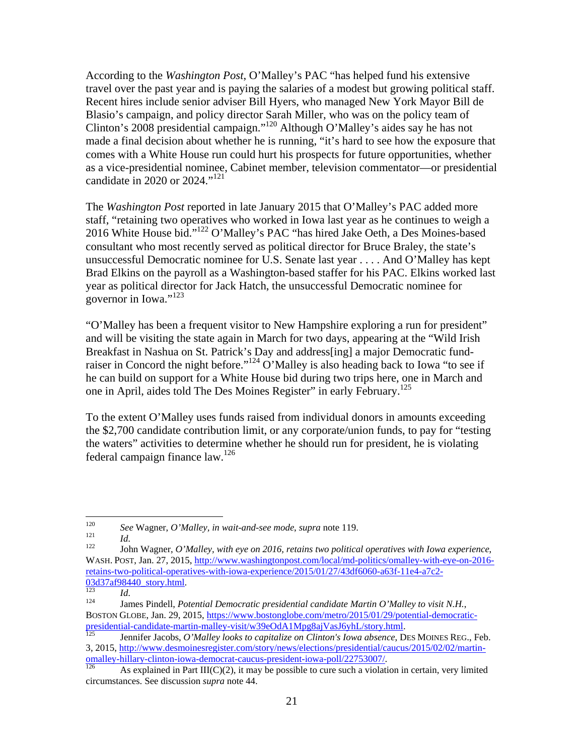According to the *Washington Post*, O'Malley's PAC "has helped fund his extensive travel over the past year and is paying the salaries of a modest but growing political staff. Recent hires include senior adviser Bill Hyers, who managed New York Mayor Bill de Blasio's campaign, and policy director Sarah Miller, who was on the policy team of Clinton's 2008 presidential campaign."120 Although O'Malley's aides say he has not made a final decision about whether he is running, "it's hard to see how the exposure that comes with a White House run could hurt his prospects for future opportunities, whether as a vice-presidential nominee, Cabinet member, television commentator—or presidential candidate in 2020 or 2024."<sup>121</sup>

The *Washington Post* reported in late January 2015 that O'Malley's PAC added more staff, "retaining two operatives who worked in Iowa last year as he continues to weigh a 2016 White House bid."122 O'Malley's PAC "has hired Jake Oeth, a Des Moines-based consultant who most recently served as political director for Bruce Braley, the state's unsuccessful Democratic nominee for U.S. Senate last year . . . . And O'Malley has kept Brad Elkins on the payroll as a Washington-based staffer for his PAC. Elkins worked last year as political director for Jack Hatch, the unsuccessful Democratic nominee for governor in Iowa."<sup>123</sup>

"O'Malley has been a frequent visitor to New Hampshire exploring a run for president" and will be visiting the state again in March for two days, appearing at the "Wild Irish Breakfast in Nashua on St. Patrick's Day and address[ing] a major Democratic fundraiser in Concord the night before."<sup>124</sup> O'Malley is also heading back to Iowa "to see if he can build on support for a White House bid during two trips here, one in March and one in April, aides told The Des Moines Register" in early February.<sup>125</sup>

To the extent O'Malley uses funds raised from individual donors in amounts exceeding the \$2,700 candidate contribution limit, or any corporate/union funds, to pay for "testing the waters" activities to determine whether he should run for president, he is violating federal campaign finance law.126

<sup>120</sup> 

<sup>&</sup>lt;sup>120</sup> See Wagner, *O'Malley, in wait-and-see mode, supra* note 119.<br><sup>121</sup> *Id.* John Wagner, *O'Malley, with eye on 2016, retains two political operatives with Iowa experience,* WASH. POST, Jan. 27, 2015, http://www.washingtonpost.com/local/md-politics/omalley-with-eye-on-2016 retains-two-political-operatives-with-iowa-experience/2015/01/27/43df6060-a63f-11e4-a7c2-<br> $\frac{03d37a f98440 \text{ story.html}}{423}$ 

<sup>&</sup>lt;sup>123</sup> *Id. Id.* 124 *Id.* 124 *Id.* 124 *Id. 124 Idd. 124 Idd. 124 <i>Idmes Pindell, Potential Democratic presidential candidate Martin O'Malley to visit N.H.*, BOSTON GLOBE, Jan. 29, 2015, https://www.bostonglobe.com/metro/2015/01/29/potential-democratic-<br>presidential-candidate-martin-malley-visit/w39eOdA1Mpg8ajVasJ6yhL/story.html.

Jennifer Jacobs, O'Malley looks to capitalize on Clinton's Iowa absence, DES MOINES REG., Feb. 3, 2015, http://www.desmoinesregister.com/story/news/elections/presidential/caucus/2015/02/02/martin-<br>omalley-hillary-clinton-iowa-democrat-caucus-president-iowa-poll/22753007/.

 $\frac{126}{126}$  As explained in Part III(C)(2), it may be possible to cure such a violation in certain, very limited circumstances. See discussion *supra* note 44.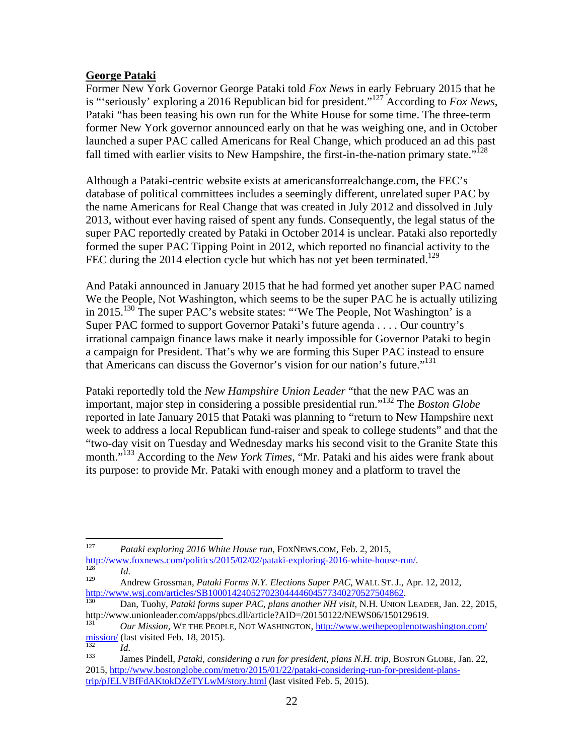### **George Pataki**

Former New York Governor George Pataki told *Fox News* in early February 2015 that he is "'seriously' exploring a 2016 Republican bid for president."127 According to *Fox News*, Pataki "has been teasing his own run for the White House for some time. The three-term former New York governor announced early on that he was weighing one, and in October launched a super PAC called Americans for Real Change, which produced an ad this past fall timed with earlier visits to New Hampshire, the first-in-the-nation primary state."<sup>128</sup>

Although a Pataki-centric website exists at americansforrealchange.com, the FEC's database of political committees includes a seemingly different, unrelated super PAC by the name Americans for Real Change that was created in July 2012 and dissolved in July 2013, without ever having raised of spent any funds. Consequently, the legal status of the super PAC reportedly created by Pataki in October 2014 is unclear. Pataki also reportedly formed the super PAC Tipping Point in 2012, which reported no financial activity to the FEC during the 2014 election cycle but which has not yet been terminated.<sup>129</sup>

And Pataki announced in January 2015 that he had formed yet another super PAC named We the People, Not Washington, which seems to be the super PAC he is actually utilizing in 2015.130 The super PAC's website states: "'We The People, Not Washington' is a Super PAC formed to support Governor Pataki's future agenda . . . . Our country's irrational campaign finance laws make it nearly impossible for Governor Pataki to begin a campaign for President. That's why we are forming this Super PAC instead to ensure that Americans can discuss the Governor's vision for our nation's future."<sup>131</sup>

Pataki reportedly told the *New Hampshire Union Leader* "that the new PAC was an important, major step in considering a possible presidential run."132 The *Boston Globe* reported in late January 2015 that Pataki was planning to "return to New Hampshire next week to address a local Republican fund-raiser and speak to college students" and that the "two-day visit on Tuesday and Wednesday marks his second visit to the Granite State this month."133 According to the *New York Times*, "Mr. Pataki and his aides were frank about its purpose: to provide Mr. Pataki with enough money and a platform to travel the

<sup>127</sup> Pataki exploring 2016 White House run, FOXNEWS.COM, Feb. 2, 2015,

http://www.foxnews.com/politics/2015/02/02/pataki-exploring-2016-white-house-run/.<br> *Id.* Andrew Grossman, *Pataki Forms N.Y. Elections Super PAC*, WALL ST. J., Apr. 12, 2012,<br>
http://www.wsj.com/articles/SB100014240527023

http://www.patakiforms.super PAC, plans another NH visit, N.H. UNION LEADER, Jan. 22, 2015,

http://www.unionleader.com/apps/pbcs.dll/article?AID=/20150122/NEWS06/150129619.<br> *Our Mission*, WE THE PEOPLE, NOT WASHINGTON, <u>http://www.wethepeoplenotwashington.com/</u><br>
<u>mission/</u> (last visited Feb. 18, 2015).

missionalism<br><sup>133</sup> James Pindell, *Pataki, considering a run for president, plans N.H. trip*, BOSTON GLOBE, Jan. 22, 2015, http://www.bostonglobe.com/metro/2015/01/22/pataki-considering-run-for-president-planstrip/pJELVBfFdAKtokDZeTYLwM/story.html (last visited Feb. 5, 2015).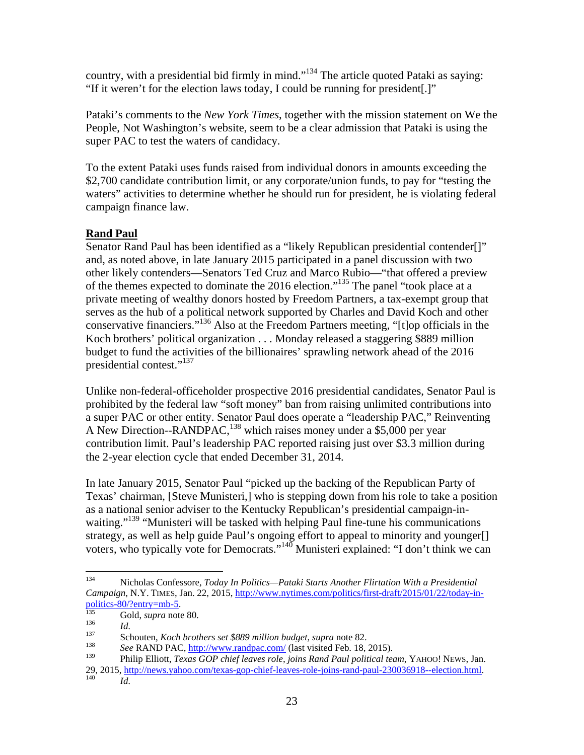country, with a presidential bid firmly in mind."134 The article quoted Pataki as saying: "If it weren't for the election laws today, I could be running for president[.]"

Pataki's comments to the *New York Times*, together with the mission statement on We the People, Not Washington's website, seem to be a clear admission that Pataki is using the super PAC to test the waters of candidacy.

To the extent Pataki uses funds raised from individual donors in amounts exceeding the \$2,700 candidate contribution limit, or any corporate/union funds, to pay for "testing the waters" activities to determine whether he should run for president, he is violating federal campaign finance law.

# **Rand Paul**

Senator Rand Paul has been identified as a "likely Republican presidential contender[]" and, as noted above, in late January 2015 participated in a panel discussion with two other likely contenders—Senators Ted Cruz and Marco Rubio—"that offered a preview of the themes expected to dominate the 2016 election."135 The panel "took place at a private meeting of wealthy donors hosted by Freedom Partners, a tax-exempt group that serves as the hub of a political network supported by Charles and David Koch and other conservative financiers."136 Also at the Freedom Partners meeting, "[t]op officials in the Koch brothers' political organization . . . Monday released a staggering \$889 million budget to fund the activities of the billionaires' sprawling network ahead of the 2016 presidential contest."137

Unlike non-federal-officeholder prospective 2016 presidential candidates, Senator Paul is prohibited by the federal law "soft money" ban from raising unlimited contributions into a super PAC or other entity. Senator Paul does operate a "leadership PAC," Reinventing A New Direction--RANDPAC, <sup>138</sup> which raises money under a \$5,000 per year contribution limit. Paul's leadership PAC reported raising just over \$3.3 million during the 2-year election cycle that ended December 31, 2014.

In late January 2015, Senator Paul "picked up the backing of the Republican Party of Texas' chairman, [Steve Munisteri,] who is stepping down from his role to take a position as a national senior adviser to the Kentucky Republican's presidential campaign-inwaiting."<sup>139</sup> "Munisteri will be tasked with helping Paul fine-tune his communications strategy, as well as help guide Paul's ongoing effort to appeal to minority and younger[] voters, who typically vote for Democrats."140 Munisteri explained: "I don't think we can

<sup>134</sup> 134 Nicholas Confessore, *Today In Politics—Pataki Starts Another Flirtation With a Presidential Campaign*, N.Y. TIMES, Jan. 22, 2015, <u>http://www.nytimes.com/politics/first-draft/2015/01/22/today-in-politics-80/?entry=mb-5</u>.

<sup>&</sup>lt;sup>135</sup> Gold, *supra* note 80.<br> *Id.*<br>
Schouten, *Koch brothers set* \$889 million budget, *supra* note 82.<br> *See* RAND PAC, <u>http://www.randpac.com/</u> (last visited Feb. 18, 2015).

<sup>139</sup> Philip Elliott, *Texas GOP chief leaves role, joins Rand Paul political team*, YAHOO! NEWS, Jan. 29, 2015, http://news.yahoo.com/texas-gop-chief-leaves-role-joins-rand-paul-230036918--election.html. 140 *Id*.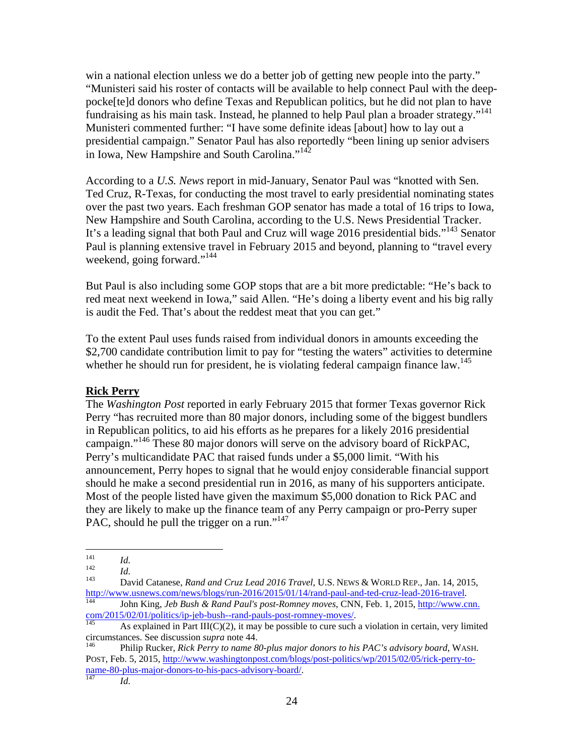win a national election unless we do a better job of getting new people into the party." "Munisteri said his roster of contacts will be available to help connect Paul with the deeppocke[te]d donors who define Texas and Republican politics, but he did not plan to have fundraising as his main task. Instead, he planned to help Paul plan a broader strategy."<sup>141</sup> Munisteri commented further: "I have some definite ideas [about] how to lay out a presidential campaign." Senator Paul has also reportedly "been lining up senior advisers in Iowa, New Hampshire and South Carolina."<sup>142</sup>

According to a *U.S. News* report in mid-January, Senator Paul was "knotted with Sen. Ted Cruz, R-Texas, for conducting the most travel to early presidential nominating states over the past two years. Each freshman GOP senator has made a total of 16 trips to Iowa, New Hampshire and South Carolina, according to the U.S. News Presidential Tracker. It's a leading signal that both Paul and Cruz will wage 2016 presidential bids."<sup>143</sup> Senator Paul is planning extensive travel in February 2015 and beyond, planning to "travel every weekend, going forward."<sup>144</sup>

But Paul is also including some GOP stops that are a bit more predictable: "He's back to red meat next weekend in Iowa," said Allen. "He's doing a liberty event and his big rally is audit the Fed. That's about the reddest meat that you can get."

To the extent Paul uses funds raised from individual donors in amounts exceeding the \$2,700 candidate contribution limit to pay for "testing the waters" activities to determine whether he should run for president, he is violating federal campaign finance law.<sup>145</sup>

#### **Rick Perry**

The *Washington Post* reported in early February 2015 that former Texas governor Rick Perry "has recruited more than 80 major donors, including some of the biggest bundlers in Republican politics, to aid his efforts as he prepares for a likely 2016 presidential campaign."146 These 80 major donors will serve on the advisory board of RickPAC, Perry's multicandidate PAC that raised funds under a \$5,000 limit. "With his announcement, Perry hopes to signal that he would enjoy considerable financial support should he make a second presidential run in 2016, as many of his supporters anticipate. Most of the people listed have given the maximum \$5,000 donation to Rick PAC and they are likely to make up the finance team of any Perry campaign or pro-Perry super PAC, should he pull the trigger on a run."<sup>147</sup>

POST, Feb. 5, 2015, http://www.washingtonpost.com/blogs/post-politics/wp/2015/02/05/rick-perry-toname-80-plus-major-donors-to-his-pacs-advisory-board/.<br><sup>147</sup>*Id.* 

 $141$ 

<sup>141</sup> *Id.*<br><sup>142</sup> *Id.* 2015<br><sup>143</sup> David Catanese, *Rand and Cruz Lead 2016 Travel*, U.S. News & WORLD REP., Jan. 14, 2015, http://www.usnews.com/news/blogs/run-2016/2015/01/14/rand-paul-and-ted-cruz-lead-2016-travel. 144 John King, *Jeb Bush & Rand Paul's post-Romney moves*, CNN, Feb. 1, 2015, http://www.cnn.

 $\frac{\text{com}/2015/02/01/\text{politics/ip-jeb-bush-rand-pauls-post-romney-moves/}}{145}$ . As explained in Part III(C)(2), it may be possible to cure such a violation in certain, very limited

circumstances. See discussion *supra* note 44. 146 Philip Rucker, *Rick Perry to name 80-plus major donors to his PAC's advisory board*, WASH.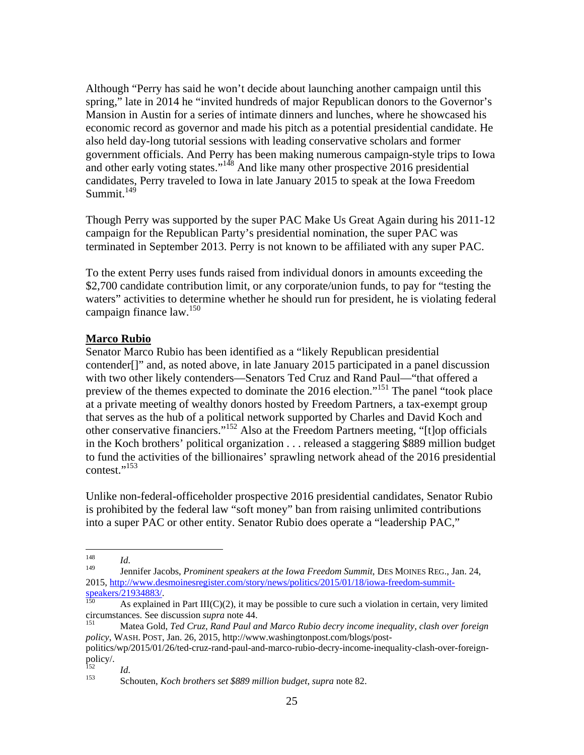Although "Perry has said he won't decide about launching another campaign until this spring," late in 2014 he "invited hundreds of major Republican donors to the Governor's Mansion in Austin for a series of intimate dinners and lunches, where he showcased his economic record as governor and made his pitch as a potential presidential candidate. He also held day-long tutorial sessions with leading conservative scholars and former government officials. And Perry has been making numerous campaign-style trips to Iowa and other early voting states."<sup>148</sup> And like many other prospective 2016 presidential candidates, Perry traveled to Iowa in late January 2015 to speak at the Iowa Freedom  $Summit<sup>149</sup>$ 

Though Perry was supported by the super PAC Make Us Great Again during his 2011-12 campaign for the Republican Party's presidential nomination, the super PAC was terminated in September 2013. Perry is not known to be affiliated with any super PAC.

To the extent Perry uses funds raised from individual donors in amounts exceeding the \$2,700 candidate contribution limit, or any corporate/union funds, to pay for "testing the waters" activities to determine whether he should run for president, he is violating federal campaign finance law.<sup>150</sup>

### **Marco Rubio**

Senator Marco Rubio has been identified as a "likely Republican presidential contender[]" and, as noted above, in late January 2015 participated in a panel discussion with two other likely contenders—Senators Ted Cruz and Rand Paul—"that offered a preview of the themes expected to dominate the 2016 election."151 The panel "took place at a private meeting of wealthy donors hosted by Freedom Partners, a tax-exempt group that serves as the hub of a political network supported by Charles and David Koch and other conservative financiers."152 Also at the Freedom Partners meeting, "[t]op officials in the Koch brothers' political organization . . . released a staggering \$889 million budget to fund the activities of the billionaires' sprawling network ahead of the 2016 presidential contest."<sup>153</sup>

Unlike non-federal-officeholder prospective 2016 presidential candidates, Senator Rubio is prohibited by the federal law "soft money" ban from raising unlimited contributions into a super PAC or other entity. Senator Rubio does operate a "leadership PAC,"

<sup>148</sup> 

<sup>148</sup>*Id*. 149 Jennifer Jacobs, *Prominent speakers at the Iowa Freedom Summit*, DES MOINES REG., Jan. 24, 2015, http://www.desmoinesregister.com/story/news/politics/2015/01/18/iowa-freedom-summit-<br>speakers/21934883/.<br> $\frac{150}{150}$  As explained in Pert WCNO. it was also as

As explained in Part III( $C(2)$ , it may be possible to cure such a violation in certain, very limited circumstances. See discussion *supra* note 44.<br><sup>151</sup> Matea Gold, *Ted Cruz, Rand Paul and Marco Rubio decry income inequality, clash over foreign* 

*policy*, WASH. POST, Jan. 26, 2015, http://www.washingtonpost.com/blogs/post-

politics/wp/2015/01/26/ted-cruz-rand-paul-and-marco-rubio-decry-income-inequality-clash-over-foreignpolicy/.

<sup>152</sup>*Id*. 153 Schouten, *Koch brothers set \$889 million budget*, *supra* note 82.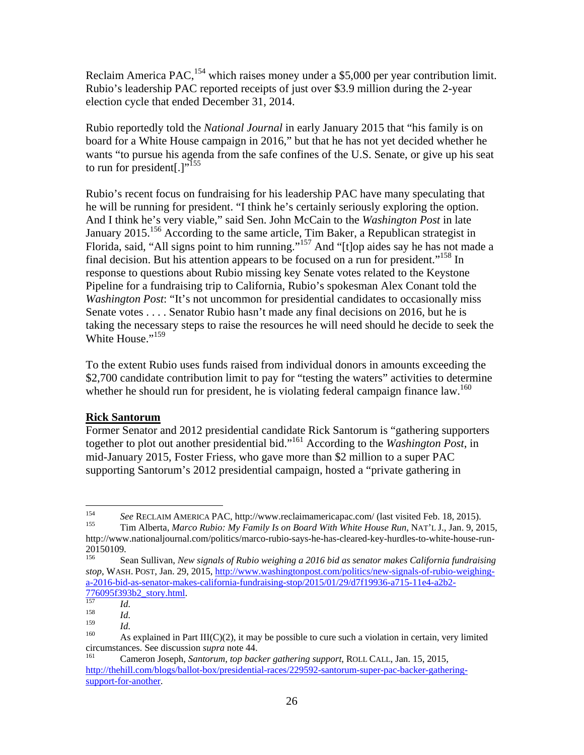Reclaim America PAC,<sup>154</sup> which raises money under a \$5,000 per year contribution limit. Rubio's leadership PAC reported receipts of just over \$3.9 million during the 2-year election cycle that ended December 31, 2014.

Rubio reportedly told the *National Journal* in early January 2015 that "his family is on board for a White House campaign in 2016," but that he has not yet decided whether he wants "to pursue his agenda from the safe confines of the U.S. Senate, or give up his seat to run for president[.]"<sup>155</sup>

Rubio's recent focus on fundraising for his leadership PAC have many speculating that he will be running for president. "I think he's certainly seriously exploring the option. And I think he's very viable," said Sen. John McCain to the *Washington Post* in late January 2015.<sup>156</sup> According to the same article, Tim Baker, a Republican strategist in Florida, said, "All signs point to him running."<sup>157</sup> And "[t]op aides say he has not made a final decision. But his attention appears to be focused on a run for president.<sup> $,158$ </sup> In response to questions about Rubio missing key Senate votes related to the Keystone Pipeline for a fundraising trip to California, Rubio's spokesman Alex Conant told the *Washington Post*: "It's not uncommon for presidential candidates to occasionally miss Senate votes . . . . Senator Rubio hasn't made any final decisions on 2016, but he is taking the necessary steps to raise the resources he will need should he decide to seek the White House."<sup>159</sup>

To the extent Rubio uses funds raised from individual donors in amounts exceeding the \$2,700 candidate contribution limit to pay for "testing the waters" activities to determine whether he should run for president, he is violating federal campaign finance law.<sup>160</sup>

#### **Rick Santorum**

Former Senator and 2012 presidential candidate Rick Santorum is "gathering supporters together to plot out another presidential bid."161 According to the *Washington Post*, in mid-January 2015, Foster Friess, who gave more than \$2 million to a super PAC supporting Santorum's 2012 presidential campaign, hosted a "private gathering in

154 <sup>154</sup>*See* RECLAIM AMERICA PAC, http://www.reclaimamericapac.com/ (last visited Feb. 18, 2015). 155 Tim Alberta, *Marco Rubio: My Family Is on Board With White House Run*, NAT'L J., Jan. 9, 2015,

http://www.nationaljournal.com/politics/marco-rubio-says-he-has-cleared-key-hurdles-to-white-house-run- $20150109.$ 

<sup>156</sup> Sean Sullivan, *New signals of Rubio weighing a 2016 bid as senator makes California fundraising stop*, WASH. POST, Jan. 29, 2015, http://www.washingtonpost.com/politics/new-signals-of-rubio-weighinga-2016-bid-as-senator-makes-california-fundraising-stop/2015/01/29/d7f19936-a715-11e4-a2b2-

<sup>&</sup>lt;sup>157</sup>*Id.* 158 *Id.* 159 *Id.* 159 *Id.* 159 *Id.* 159 *Id.* 159 *Id.* 159 *Id.* 159 **As explained in Part III(C)(2), it may be possible to cure such a violation in certain, very limited** circumstances. See discussion *supra* note 44.<br><sup>161</sup> Cameron Joseph, *Santorum, top backer gathering support*, ROLL CALL, Jan. 15, 2015,

http://thehill.com/blogs/ballot-box/presidential-races/229592-santorum-super-pac-backer-gatheringsupport-for-another.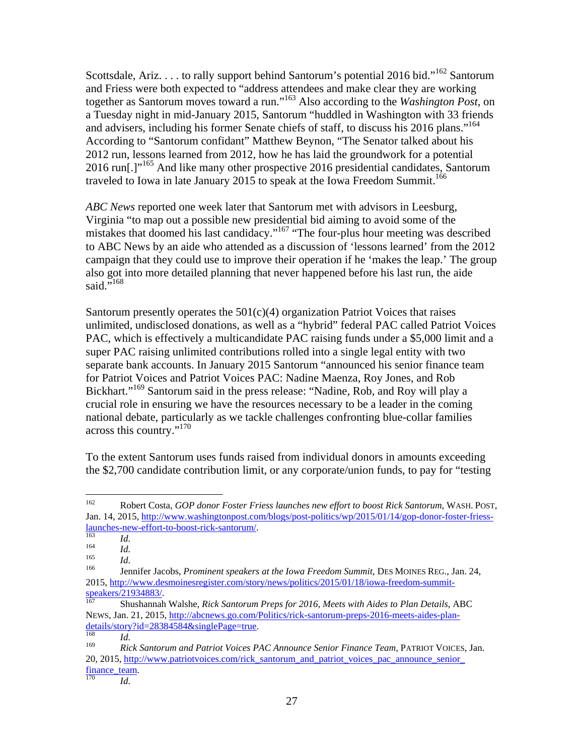Scottsdale, Ariz. . . . to rally support behind Santorum's potential 2016 bid."<sup>162</sup> Santorum and Friess were both expected to "address attendees and make clear they are working together as Santorum moves toward a run."163 Also according to the *Washington Post*, on a Tuesday night in mid-January 2015, Santorum "huddled in Washington with 33 friends and advisers, including his former Senate chiefs of staff, to discuss his 2016 plans."<sup>164</sup> According to "Santorum confidant" Matthew Beynon, "The Senator talked about his 2012 run, lessons learned from 2012, how he has laid the groundwork for a potential 2016 run[.]"165 And like many other prospective 2016 presidential candidates, Santorum traveled to Iowa in late January 2015 to speak at the Iowa Freedom Summit.<sup>166</sup>

*ABC News* reported one week later that Santorum met with advisors in Leesburg, Virginia "to map out a possible new presidential bid aiming to avoid some of the mistakes that doomed his last candidacy."167 "The four-plus hour meeting was described to ABC News by an aide who attended as a discussion of 'lessons learned' from the 2012 campaign that they could use to improve their operation if he 'makes the leap.' The group also got into more detailed planning that never happened before his last run, the aide said."<sup>168</sup>

Santorum presently operates the  $501(c)(4)$  organization Patriot Voices that raises unlimited, undisclosed donations, as well as a "hybrid" federal PAC called Patriot Voices PAC, which is effectively a multicandidate PAC raising funds under a \$5,000 limit and a super PAC raising unlimited contributions rolled into a single legal entity with two separate bank accounts. In January 2015 Santorum "announced his senior finance team for Patriot Voices and Patriot Voices PAC: Nadine Maenza, Roy Jones, and Rob Bickhart."169 Santorum said in the press release: "Nadine, Rob, and Roy will play a crucial role in ensuring we have the resources necessary to be a leader in the coming national debate, particularly as we tackle challenges confronting blue-collar families across this country."<sup>170</sup>

To the extent Santorum uses funds raised from individual donors in amounts exceeding the \$2,700 candidate contribution limit, or any corporate/union funds, to pay for "testing

<sup>162</sup> 162 Robert Costa, *GOP donor Foster Friess launches new effort to boost Rick Santorum*, WASH. POST, Jan. 14, 2015, http://www.washingtonpost.com/blogs/post-politics/wp/2015/01/14/gop-donor-foster-friesslaunches-new-effort-to-boost-rick-santorum/. 163 *Id*. 164 *Id*. 165 *Id*. 166 Jennifer Jacobs, *Prominent speakers at the Iowa Freedom Summit*, DES MOINES REG., Jan. 24,

<sup>2015,</sup> http://www.desmoinesregister.com/story/news/politics/2015/01/18/iowa-freedom-summit-speakers/21934883/.

Shushannah Walshe, *Rick Santorum Preps for 2016, Meets with Aides to Plan Details*, ABC NEWS, Jan. 21, 2015, http://abcnews.go.com/Politics/rick-santorum-preps-2016-meets-aides-plan-<br>details/story?id=28384584&singlePage=true.

<sup>&</sup>lt;sup>168</sup> *Id.*<br><sup>169</sup> *Rick Santorum and Patriot Voices PAC Announce Senior Finance Team*, PATRIOT VOICES, Jan. 20, 2015, http://www.patriotvoices.com/rick\_santorum\_and\_patriot\_voices\_pac\_announce\_senior  $rac{tanh}{170}$  *Id.*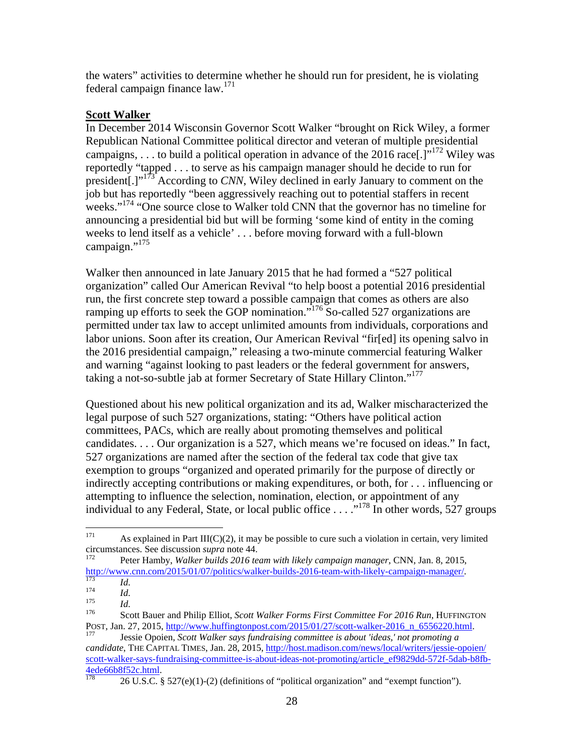the waters" activities to determine whether he should run for president, he is violating federal campaign finance law.171

### **Scott Walker**

In December 2014 Wisconsin Governor Scott Walker "brought on Rick Wiley, a former Republican National Committee political director and veteran of multiple presidential campaigns, ... to build a political operation in advance of the 2016 race[.]"<sup>172</sup> Wiley was reportedly "tapped . . . to serve as his campaign manager should he decide to run for president[.]"173 According to *CNN*, Wiley declined in early January to comment on the job but has reportedly "been aggressively reaching out to potential staffers in recent weeks."<sup>174</sup> "One source close to Walker told CNN that the governor has no timeline for announcing a presidential bid but will be forming 'some kind of entity in the coming weeks to lend itself as a vehicle' . . . before moving forward with a full-blown campaign."<sup>175</sup>

Walker then announced in late January 2015 that he had formed a "527 political organization" called Our American Revival "to help boost a potential 2016 presidential run, the first concrete step toward a possible campaign that comes as others are also ramping up efforts to seek the GOP nomination.<sup>"176</sup> So-called 527 organizations are permitted under tax law to accept unlimited amounts from individuals, corporations and labor unions. Soon after its creation, Our American Revival "fir[ed] its opening salvo in the 2016 presidential campaign," releasing a two-minute commercial featuring Walker and warning "against looking to past leaders or the federal government for answers, taking a not-so-subtle jab at former Secretary of State Hillary Clinton."<sup>177</sup>

Questioned about his new political organization and its ad, Walker mischaracterized the legal purpose of such 527 organizations, stating: "Others have political action committees, PACs, which are really about promoting themselves and political candidates. . . . Our organization is a 527, which means we're focused on ideas." In fact, 527 organizations are named after the section of the federal tax code that give tax exemption to groups "organized and operated primarily for the purpose of directly or indirectly accepting contributions or making expenditures, or both, for . . . influencing or attempting to influence the selection, nomination, election, or appointment of any individual to any Federal, State, or local public office  $\ldots$  ... <sup>178</sup> In other words, 527 groups

<sup>171</sup> <sup>171</sup> As explained in Part III(C)(2), it may be possible to cure such a violation in certain, very limited circumstances. See discussion *supra* note 44.

Peter Hamby, *Walker builds 2016 team with likely campaign manager*, CNN, Jan. 8, 2015,

http://www.cnn.com/2015/01/07/politics/walker-builds-2016-team-with-likely-campaign-manager/<br>
Id.<br>
Id.<br>
Id.<br>
Id.<br>
Scott Bauer and Philip Elliot, *Scott Walker Forms First Committee For 2016 Run*, HUFFINGTON<br>
POST, Jan. 27

Jessie Opoien, Scott Walker says fundraising committee is about 'ideas,' not promoting a *candidate*, THE CAPITAL TIMES, Jan. 28, 2015, http://host.madison.com/news/local/writers/jessie-opoien/ scott-walker-says-fundraising-committee-is-about-ideas-not-promoting/article\_ef9829dd-572f-5dab-b8fb-<br>4ede66b8f52c.html<br> $\frac{178}{178}$  26 U S C 8 527(c)(1) (2) (4) finally provided the commitment of the commitment of the co

<sup>26</sup> U.S.C. § 527(e)(1)-(2) (definitions of "political organization" and "exempt function").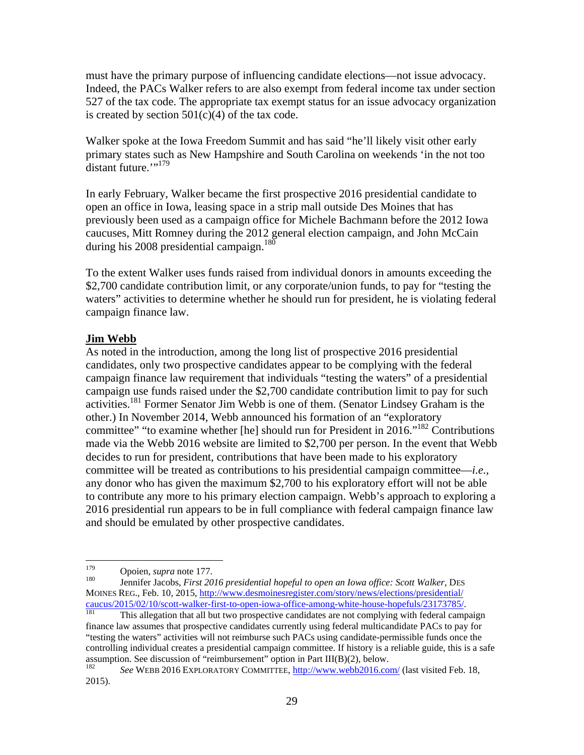must have the primary purpose of influencing candidate elections—not issue advocacy. Indeed, the PACs Walker refers to are also exempt from federal income tax under section 527 of the tax code. The appropriate tax exempt status for an issue advocacy organization is created by section  $501(c)(4)$  of the tax code.

Walker spoke at the Iowa Freedom Summit and has said "he'll likely visit other early primary states such as New Hampshire and South Carolina on weekends 'in the not too distant future.""<sup>179</sup>

In early February, Walker became the first prospective 2016 presidential candidate to open an office in Iowa, leasing space in a strip mall outside Des Moines that has previously been used as a campaign office for Michele Bachmann before the 2012 Iowa caucuses, Mitt Romney during the 2012 general election campaign, and John McCain during his 2008 presidential campaign.<sup>180</sup>

To the extent Walker uses funds raised from individual donors in amounts exceeding the \$2,700 candidate contribution limit, or any corporate/union funds, to pay for "testing the waters" activities to determine whether he should run for president, he is violating federal campaign finance law.

#### **Jim Webb**

As noted in the introduction, among the long list of prospective 2016 presidential candidates, only two prospective candidates appear to be complying with the federal campaign finance law requirement that individuals "testing the waters" of a presidential campaign use funds raised under the \$2,700 candidate contribution limit to pay for such activities.<sup>181</sup> Former Senator Jim Webb is one of them. (Senator Lindsey Graham is the other.) In November 2014, Webb announced his formation of an "exploratory committee" "to examine whether [he] should run for President in 2016."182 Contributions made via the Webb 2016 website are limited to \$2,700 per person. In the event that Webb decides to run for president, contributions that have been made to his exploratory committee will be treated as contributions to his presidential campaign committee—*i.e.*, any donor who has given the maximum \$2,700 to his exploratory effort will not be able to contribute any more to his primary election campaign. Webb's approach to exploring a 2016 presidential run appears to be in full compliance with federal campaign finance law and should be emulated by other prospective candidates.

finance law assumes that prospective candidates currently using federal multicandidate PACs to pay for "testing the waters" activities will not reimburse such PACs using candidate-permissible funds once the controlling individual creates a presidential campaign committee. If history is a reliable guide, this is a safe assumption. See discussion of "reimbursement" option in Part III(B)(2), below.<br> $\frac{182}{182}$  See WEBB 2016 EXBLOBATORY COMMITTEE, http://www.webb2016.co

<sup>179</sup> 

<sup>&</sup>lt;sup>179</sup> Opoien, *supra* note 177.<br><sup>180</sup> Jennifer Jacobs, *First 2016 presidential hopeful to open an Iowa office: Scott Walker*, DES MOINES REG., Feb. 10, 2015, http://www.desmoinesregister.com/story/news/elections/presidential/ caucus/2015/02/10/scott-walker-first-to-open-iowa-office-among-white-house-hopefuls/23173785/.<br><sup>181</sup> This allegation that all but two prospective candidates are not complying with federal campaign

<sup>182</sup> *See* WEBB 2016 EXPLORATORY COMMITTEE, http://www.webb2016.com/ (last visited Feb. 18, 2015).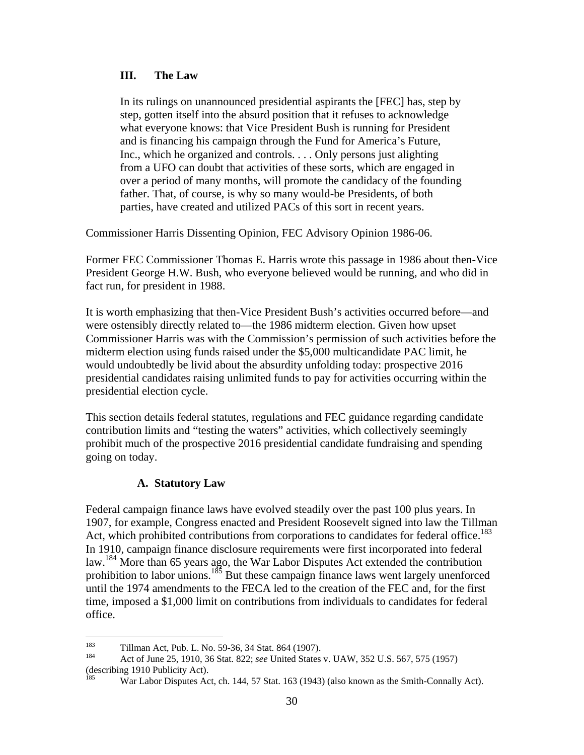#### **III. The Law**

In its rulings on unannounced presidential aspirants the [FEC] has, step by step, gotten itself into the absurd position that it refuses to acknowledge what everyone knows: that Vice President Bush is running for President and is financing his campaign through the Fund for America's Future, Inc., which he organized and controls. . . . Only persons just alighting from a UFO can doubt that activities of these sorts, which are engaged in over a period of many months, will promote the candidacy of the founding father. That, of course, is why so many would-be Presidents, of both parties, have created and utilized PACs of this sort in recent years.

Commissioner Harris Dissenting Opinion, FEC Advisory Opinion 1986-06.

Former FEC Commissioner Thomas E. Harris wrote this passage in 1986 about then-Vice President George H.W. Bush, who everyone believed would be running, and who did in fact run, for president in 1988.

It is worth emphasizing that then-Vice President Bush's activities occurred before—and were ostensibly directly related to—the 1986 midterm election. Given how upset Commissioner Harris was with the Commission's permission of such activities before the midterm election using funds raised under the \$5,000 multicandidate PAC limit, he would undoubtedly be livid about the absurdity unfolding today: prospective 2016 presidential candidates raising unlimited funds to pay for activities occurring within the presidential election cycle.

This section details federal statutes, regulations and FEC guidance regarding candidate contribution limits and "testing the waters" activities, which collectively seemingly prohibit much of the prospective 2016 presidential candidate fundraising and spending going on today.

#### **A. Statutory Law**

Federal campaign finance laws have evolved steadily over the past 100 plus years. In 1907, for example, Congress enacted and President Roosevelt signed into law the Tillman Act, which prohibited contributions from corporations to candidates for federal office.<sup>183</sup> In 1910, campaign finance disclosure requirements were first incorporated into federal law.<sup>184</sup> More than 65 years ago, the War Labor Disputes Act extended the contribution prohibition to labor unions.185 But these campaign finance laws went largely unenforced until the 1974 amendments to the FECA led to the creation of the FEC and, for the first time, imposed a \$1,000 limit on contributions from individuals to candidates for federal office.

<sup>183</sup> 

<sup>183</sup> Tillman Act, Pub. L. No. 59-36, 34 Stat. 864 (1907).<br><sup>184</sup> Act of June 25, 1910, 36 Stat. 822; *see* United States v. UAW, 352 U.S. 567, 575 (1957) (describing 1910 Publicity Act).

War Labor Disputes Act, ch. 144, 57 Stat. 163 (1943) (also known as the Smith-Connally Act).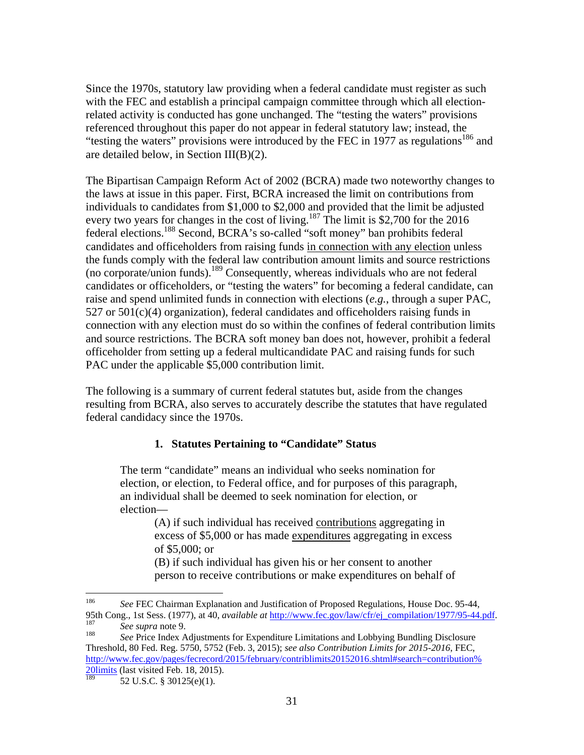Since the 1970s, statutory law providing when a federal candidate must register as such with the FEC and establish a principal campaign committee through which all electionrelated activity is conducted has gone unchanged. The "testing the waters" provisions referenced throughout this paper do not appear in federal statutory law; instead, the "testing the waters" provisions were introduced by the FEC in 1977 as regulations<sup>186</sup> and are detailed below, in Section III(B)(2).

The Bipartisan Campaign Reform Act of 2002 (BCRA) made two noteworthy changes to the laws at issue in this paper. First, BCRA increased the limit on contributions from individuals to candidates from \$1,000 to \$2,000 and provided that the limit be adjusted every two years for changes in the cost of living.<sup>187</sup> The limit is \$2,700 for the 2016 federal elections.188 Second, BCRA's so-called "soft money" ban prohibits federal candidates and officeholders from raising funds in connection with any election unless the funds comply with the federal law contribution amount limits and source restrictions (no corporate/union funds).189 Consequently, whereas individuals who are not federal candidates or officeholders, or "testing the waters" for becoming a federal candidate, can raise and spend unlimited funds in connection with elections (*e.g.*, through a super PAC,  $527$  or  $501(c)(4)$  organization), federal candidates and officeholders raising funds in connection with any election must do so within the confines of federal contribution limits and source restrictions. The BCRA soft money ban does not, however, prohibit a federal officeholder from setting up a federal multicandidate PAC and raising funds for such PAC under the applicable \$5,000 contribution limit.

The following is a summary of current federal statutes but, aside from the changes resulting from BCRA, also serves to accurately describe the statutes that have regulated federal candidacy since the 1970s.

#### **1. Statutes Pertaining to "Candidate" Status**

The term "candidate" means an individual who seeks nomination for election, or election, to Federal office, and for purposes of this paragraph, an individual shall be deemed to seek nomination for election, or election—

(A) if such individual has received contributions aggregating in excess of \$5,000 or has made expenditures aggregating in excess of \$5,000; or

(B) if such individual has given his or her consent to another person to receive contributions or make expenditures on behalf of

<sup>186</sup> 186 *See* FEC Chairman Explanation and Justification of Proposed Regulations, House Doc. 95-44, 95th Cong., 1st Sess. (1977), at 40, *available at* http://www.fec.gov/law/cfr/ej\_compilation/1977/95-44.pdf.<br><sup>187</sup> See supra note 9.<br><sup>188</sup> See Price Index Adjustments for Expenditure Limitations and Lobbying Bundling Disc

Threshold, 80 Fed. Reg. 5750, 5752 (Feb. 3, 2015); *see also Contribution Limits for 2015-2016*, FEC, http://www.fec.gov/pages/fecrecord/2015/february/contriblimits20152016.shtml#search=contribution% 20limits (last visited Feb. 18, 2015).

<sup>52</sup> U.S.C. § 30125(e)(1).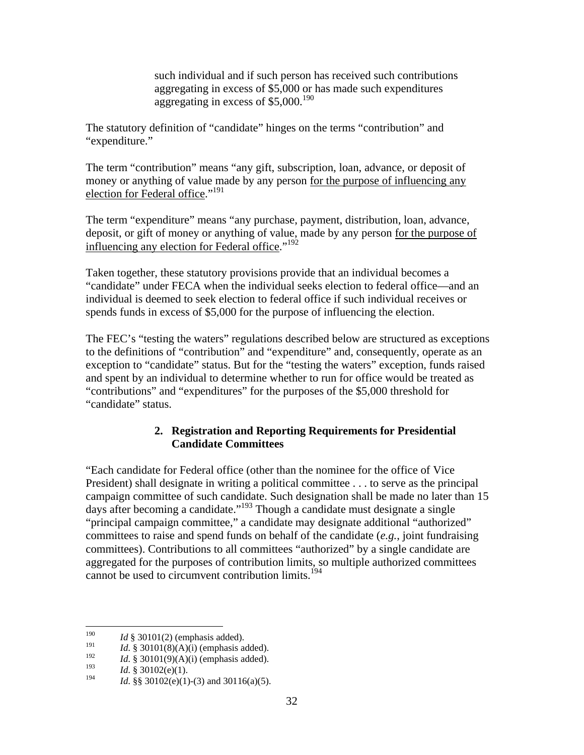such individual and if such person has received such contributions aggregating in excess of \$5,000 or has made such expenditures aggregating in excess of \$5,000.<sup>190</sup>

The statutory definition of "candidate" hinges on the terms "contribution" and "expenditure."

The term "contribution" means "any gift, subscription, loan, advance, or deposit of money or anything of value made by any person for the purpose of influencing any election for Federal office."<sup>191</sup>

The term "expenditure" means "any purchase, payment, distribution, loan, advance, deposit, or gift of money or anything of value, made by any person for the purpose of influencing any election for Federal office."<sup>192</sup>

Taken together, these statutory provisions provide that an individual becomes a "candidate" under FECA when the individual seeks election to federal office—and an individual is deemed to seek election to federal office if such individual receives or spends funds in excess of \$5,000 for the purpose of influencing the election.

The FEC's "testing the waters" regulations described below are structured as exceptions to the definitions of "contribution" and "expenditure" and, consequently, operate as an exception to "candidate" status. But for the "testing the waters" exception, funds raised and spent by an individual to determine whether to run for office would be treated as "contributions" and "expenditures" for the purposes of the \$5,000 threshold for "candidate" status.

# **2. Registration and Reporting Requirements for Presidential Candidate Committees**

"Each candidate for Federal office (other than the nominee for the office of Vice President) shall designate in writing a political committee . . . to serve as the principal campaign committee of such candidate. Such designation shall be made no later than 15 days after becoming a candidate."193 Though a candidate must designate a single "principal campaign committee," a candidate may designate additional "authorized" committees to raise and spend funds on behalf of the candidate (*e.g.*, joint fundraising committees). Contributions to all committees "authorized" by a single candidate are aggregated for the purposes of contribution limits, so multiple authorized committees cannot be used to circumvent contribution limits.<sup>194</sup>

<sup>190</sup> <sup>190</sup> *Id* § 30101(2) (emphasis added).

<sup>&</sup>lt;sup>191</sup> *Id.* § 30101(8)(A)(i) (emphasis added).

<sup>&</sup>lt;sup>192</sup> *Id.* § 30101(9)(A)(i) (emphasis added).<br><sup>193</sup> *Id.* § 20102(a)(1).

<sup>&</sup>lt;sup>193</sup> *Id.* § 30102(e)(1).<br><sup>194</sup> *IJ.* § 30102(c)(1).

*Id.* §§ 30102(e)(1)-(3) and 30116(a)(5).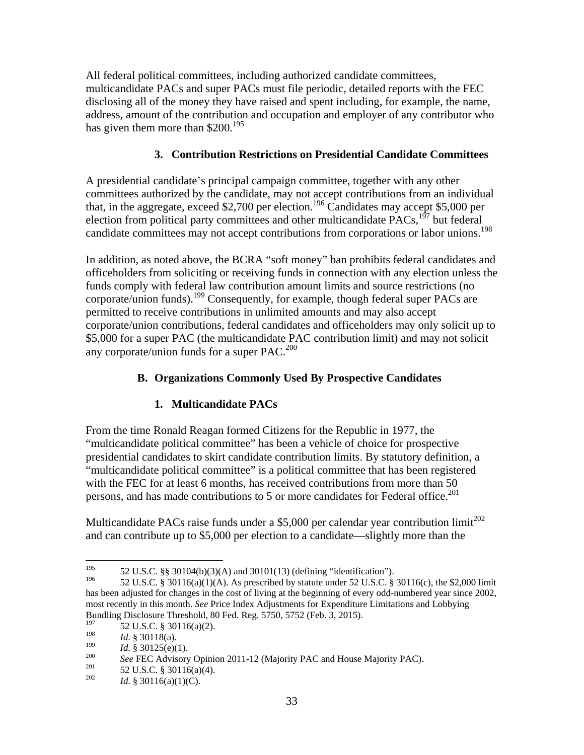All federal political committees, including authorized candidate committees, multicandidate PACs and super PACs must file periodic, detailed reports with the FEC disclosing all of the money they have raised and spent including, for example, the name, address, amount of the contribution and occupation and employer of any contributor who has given them more than \$200.<sup>195</sup>

### **3. Contribution Restrictions on Presidential Candidate Committees**

A presidential candidate's principal campaign committee, together with any other committees authorized by the candidate, may not accept contributions from an individual that, in the aggregate, exceed \$2,700 per election.<sup>196</sup> Candidates may accept \$5,000 per election from political party committees and other multicandidate PACs,<sup>197</sup> but federal candidate committees may not accept contributions from corporations or labor unions.<sup>198</sup>

In addition, as noted above, the BCRA "soft money" ban prohibits federal candidates and officeholders from soliciting or receiving funds in connection with any election unless the funds comply with federal law contribution amount limits and source restrictions (no corporate/union funds).199 Consequently, for example, though federal super PACs are permitted to receive contributions in unlimited amounts and may also accept corporate/union contributions, federal candidates and officeholders may only solicit up to \$5,000 for a super PAC (the multicandidate PAC contribution limit) and may not solicit any corporate/union funds for a super PAC.<sup>200</sup>

## **B. Organizations Commonly Used By Prospective Candidates**

#### **1. Multicandidate PACs**

From the time Ronald Reagan formed Citizens for the Republic in 1977, the "multicandidate political committee" has been a vehicle of choice for prospective presidential candidates to skirt candidate contribution limits. By statutory definition, a "multicandidate political committee" is a political committee that has been registered with the FEC for at least 6 months, has received contributions from more than 50 persons, and has made contributions to 5 or more candidates for Federal office.<sup>201</sup>

Multicandidate PACs raise funds under a \$5,000 per calendar year contribution limit<sup>202</sup> and can contribute up to \$5,000 per election to a candidate—slightly more than the

<sup>195</sup> <sup>195</sup> 52 U.S.C. §§ 30104(b)(3)(A) and 30101(13) (defining "identification").

<sup>52</sup> U.S.C. § 30116(a)(1)(A). As prescribed by statute under 52 U.S.C. § 30116(c), the \$2,000 limit has been adjusted for changes in the cost of living at the beginning of every odd-numbered year since 2002, most recently in this month. *See* Price Index Adjustments for Expenditure Limitations and Lobbying Bundling Disclosure Threshold, 80 Fed. Reg. 5750, 5752 (Feb. 3, 2015).

<sup>&</sup>lt;sup>197</sup> 52 U.S.C. § 30116(a)(2).<br><sup>198</sup> *14* 8 20119(a)

<sup>&</sup>lt;sup>198</sup> *Id.* § 30118(a).<br><sup>199</sup> *Id.* § 20125(a)(

<sup>199</sup> *Id.* § 30125(e)(1).<br>
200 *See* FEC Advisory Opinion 2011-12 (Majority PAC and House Majority PAC).<br>
201 *Id.* § 30116(a)(1)(C).<br> *Id.* § 30116(a)(1)(C).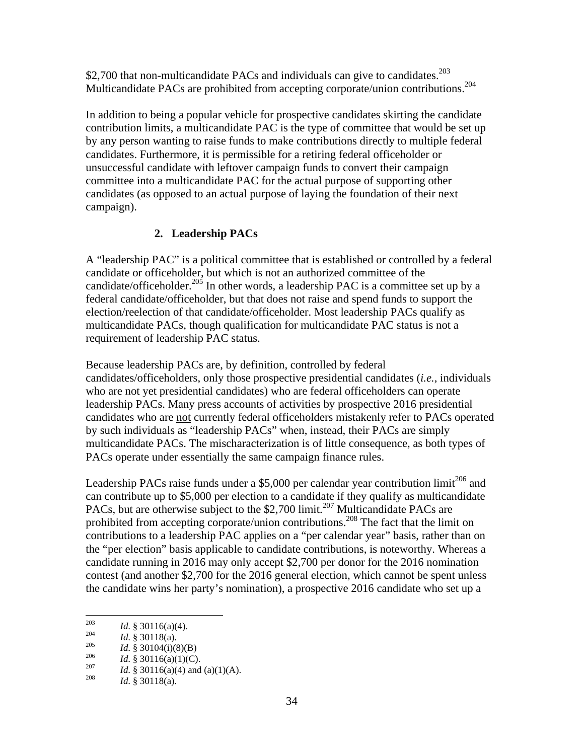\$2,700 that non-multicandidate PACs and individuals can give to candidates.<sup>203</sup> Multicandidate PACs are prohibited from accepting corporate/union contributions.204

In addition to being a popular vehicle for prospective candidates skirting the candidate contribution limits, a multicandidate PAC is the type of committee that would be set up by any person wanting to raise funds to make contributions directly to multiple federal candidates. Furthermore, it is permissible for a retiring federal officeholder or unsuccessful candidate with leftover campaign funds to convert their campaign committee into a multicandidate PAC for the actual purpose of supporting other candidates (as opposed to an actual purpose of laying the foundation of their next campaign).

# **2. Leadership PACs**

A "leadership PAC" is a political committee that is established or controlled by a federal candidate or officeholder, but which is not an authorized committee of the candidate/officeholder.<sup>205</sup> In other words, a leadership PAC is a committee set up by a federal candidate/officeholder, but that does not raise and spend funds to support the election/reelection of that candidate/officeholder. Most leadership PACs qualify as multicandidate PACs, though qualification for multicandidate PAC status is not a requirement of leadership PAC status.

Because leadership PACs are, by definition, controlled by federal candidates/officeholders, only those prospective presidential candidates (*i.e.*, individuals who are not yet presidential candidates) who are federal officeholders can operate leadership PACs. Many press accounts of activities by prospective 2016 presidential candidates who are not currently federal officeholders mistakenly refer to PACs operated by such individuals as "leadership PACs" when, instead, their PACs are simply multicandidate PACs. The mischaracterization is of little consequence, as both types of PACs operate under essentially the same campaign finance rules.

Leadership PACs raise funds under a \$5,000 per calendar year contribution limit<sup>206</sup> and can contribute up to \$5,000 per election to a candidate if they qualify as multicandidate PACs, but are otherwise subject to the \$2,700 limit.<sup>207</sup> Multicandidate PACs are prohibited from accepting corporate/union contributions.<sup>208</sup> The fact that the limit on contributions to a leadership PAC applies on a "per calendar year" basis, rather than on the "per election" basis applicable to candidate contributions, is noteworthy. Whereas a candidate running in 2016 may only accept \$2,700 per donor for the 2016 nomination contest (and another \$2,700 for the 2016 general election, which cannot be spent unless the candidate wins her party's nomination), a prospective 2016 candidate who set up a

<sup>203</sup> 

<sup>203&</sup>lt;br>
204 *Id.* § 30118(a).<br>
205 *Id.* § 30104(i)(8)(B)<br>
206 *Id.* § 30116(a)(1)(C).<br>
207 *Id.* § 30116(a)(4) and (a)(1)(A).<br> *Id.* § 30118(a).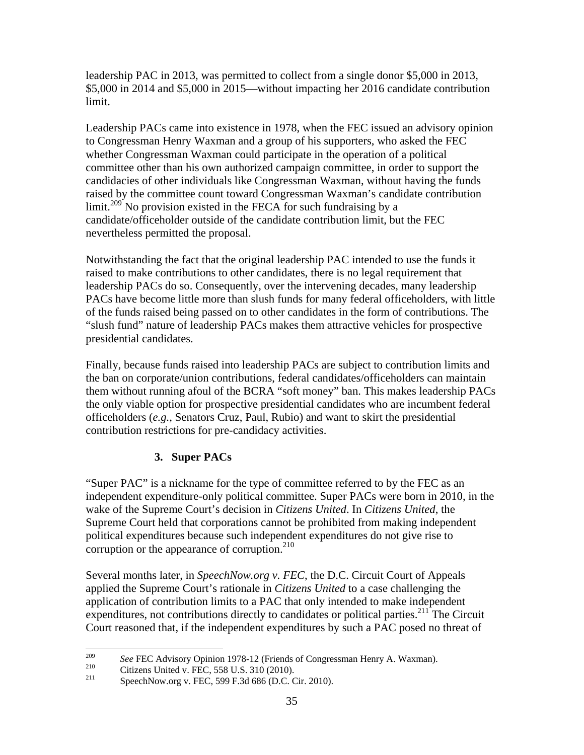leadership PAC in 2013, was permitted to collect from a single donor \$5,000 in 2013, \$5,000 in 2014 and \$5,000 in 2015—without impacting her 2016 candidate contribution limit.

Leadership PACs came into existence in 1978, when the FEC issued an advisory opinion to Congressman Henry Waxman and a group of his supporters, who asked the FEC whether Congressman Waxman could participate in the operation of a political committee other than his own authorized campaign committee, in order to support the candidacies of other individuals like Congressman Waxman, without having the funds raised by the committee count toward Congressman Waxman's candidate contribution  $\lim_{x \to 0}$  No provision existed in the FECA for such fundraising by a candidate/officeholder outside of the candidate contribution limit, but the FEC nevertheless permitted the proposal.

Notwithstanding the fact that the original leadership PAC intended to use the funds it raised to make contributions to other candidates, there is no legal requirement that leadership PACs do so. Consequently, over the intervening decades, many leadership PACs have become little more than slush funds for many federal officeholders, with little of the funds raised being passed on to other candidates in the form of contributions. The "slush fund" nature of leadership PACs makes them attractive vehicles for prospective presidential candidates.

Finally, because funds raised into leadership PACs are subject to contribution limits and the ban on corporate/union contributions, federal candidates/officeholders can maintain them without running afoul of the BCRA "soft money" ban. This makes leadership PACs the only viable option for prospective presidential candidates who are incumbent federal officeholders (*e.g.*, Senators Cruz, Paul, Rubio) and want to skirt the presidential contribution restrictions for pre-candidacy activities.

# **3. Super PACs**

"Super PAC" is a nickname for the type of committee referred to by the FEC as an independent expenditure-only political committee. Super PACs were born in 2010, in the wake of the Supreme Court's decision in *Citizens United*. In *Citizens United*, the Supreme Court held that corporations cannot be prohibited from making independent political expenditures because such independent expenditures do not give rise to corruption or the appearance of corruption. $^{210}$ 

Several months later, in *SpeechNow.org v. FEC*, the D.C. Circuit Court of Appeals applied the Supreme Court's rationale in *Citizens United* to a case challenging the application of contribution limits to a PAC that only intended to make independent expenditures, not contributions directly to candidates or political parties.<sup>211</sup> The Circuit Court reasoned that, if the independent expenditures by such a PAC posed no threat of

<sup>209</sup> <sup>209</sup> See FEC Advisory Opinion 1978-12 (Friends of Congressman Henry A. Waxman).<br><sup>210</sup> Citizens United v. FEC, 558 U.S. 310 (2010).<br><sup>211</sup> SpeechNow.org v. FEC, 599 F.3d 686 (D.C. Cir. 2010).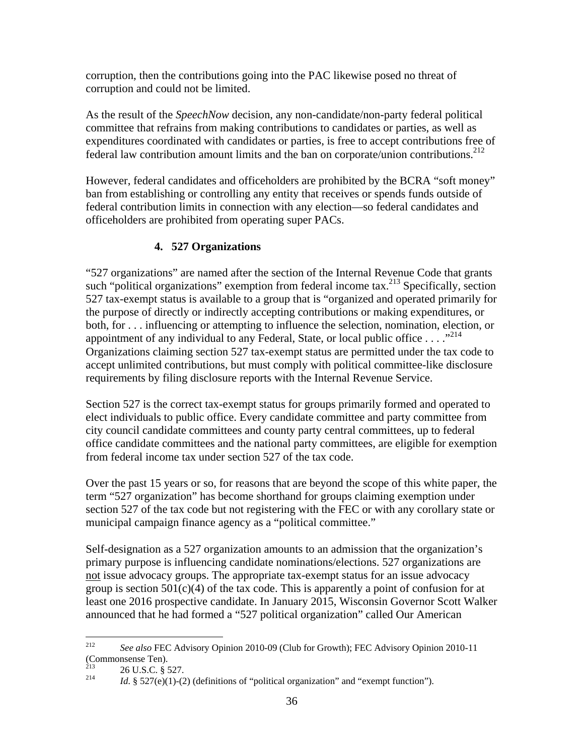corruption, then the contributions going into the PAC likewise posed no threat of corruption and could not be limited.

As the result of the *SpeechNow* decision, any non-candidate/non-party federal political committee that refrains from making contributions to candidates or parties, as well as expenditures coordinated with candidates or parties, is free to accept contributions free of federal law contribution amount limits and the ban on corporate/union contributions. $^{212}$ 

However, federal candidates and officeholders are prohibited by the BCRA "soft money" ban from establishing or controlling any entity that receives or spends funds outside of federal contribution limits in connection with any election—so federal candidates and officeholders are prohibited from operating super PACs.

# **4. 527 Organizations**

"527 organizations" are named after the section of the Internal Revenue Code that grants such "political organizations" exemption from federal income tax.<sup>213</sup> Specifically, section 527 tax-exempt status is available to a group that is "organized and operated primarily for the purpose of directly or indirectly accepting contributions or making expenditures, or both, for . . . influencing or attempting to influence the selection, nomination, election, or appointment of any individual to any Federal, State, or local public office . . . ."<sup>214</sup> Organizations claiming section 527 tax-exempt status are permitted under the tax code to accept unlimited contributions, but must comply with political committee-like disclosure requirements by filing disclosure reports with the Internal Revenue Service.

Section 527 is the correct tax-exempt status for groups primarily formed and operated to elect individuals to public office. Every candidate committee and party committee from city council candidate committees and county party central committees, up to federal office candidate committees and the national party committees, are eligible for exemption from federal income tax under section 527 of the tax code.

Over the past 15 years or so, for reasons that are beyond the scope of this white paper, the term "527 organization" has become shorthand for groups claiming exemption under section 527 of the tax code but not registering with the FEC or with any corollary state or municipal campaign finance agency as a "political committee."

Self-designation as a 527 organization amounts to an admission that the organization's primary purpose is influencing candidate nominations/elections. 527 organizations are not issue advocacy groups. The appropriate tax-exempt status for an issue advocacy group is section  $501(c)(4)$  of the tax code. This is apparently a point of confusion for at least one 2016 prospective candidate. In January 2015, Wisconsin Governor Scott Walker announced that he had formed a "527 political organization" called Our American

<sup>212</sup> 212 *See also* FEC Advisory Opinion 2010-09 (Club for Growth); FEC Advisory Opinion 2010-11 (Commonsense Ten).<br> $2(5.15 \times 10^{-8})$ 

<sup>&</sup>lt;sup>213</sup> 26 U.S.C. § 527.<br><sup>214</sup> *Id.* § 527(e)(1)-(2) (definitions of "political organization" and "exempt function").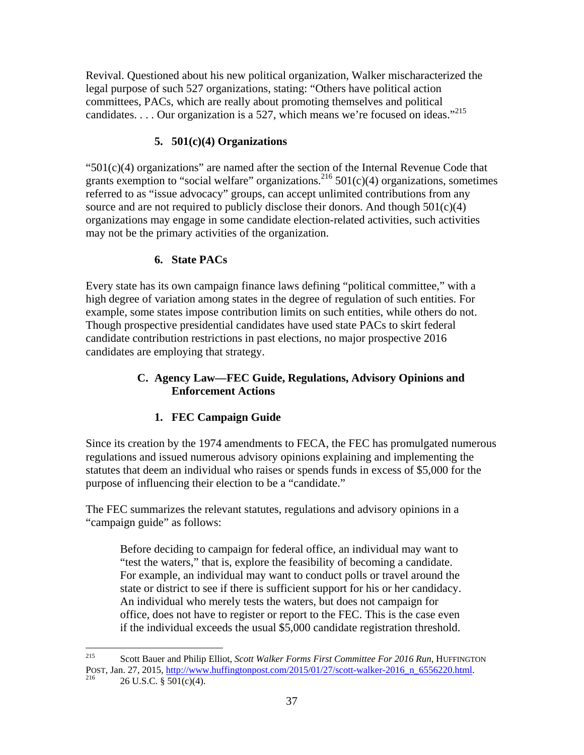Revival. Questioned about his new political organization, Walker mischaracterized the legal purpose of such 527 organizations, stating: "Others have political action committees, PACs, which are really about promoting themselves and political candidates. . . . Our organization is a 527, which means we're focused on ideas."215

# **5. 501(c)(4) Organizations**

" $501(c)(4)$  organizations" are named after the section of the Internal Revenue Code that grants exemption to "social welfare" organizations.<sup>216</sup> 501(c)(4) organizations, sometimes referred to as "issue advocacy" groups, can accept unlimited contributions from any source and are not required to publicly disclose their donors. And though  $501(c)(4)$ organizations may engage in some candidate election-related activities, such activities may not be the primary activities of the organization.

# **6. State PACs**

Every state has its own campaign finance laws defining "political committee," with a high degree of variation among states in the degree of regulation of such entities. For example, some states impose contribution limits on such entities, while others do not. Though prospective presidential candidates have used state PACs to skirt federal candidate contribution restrictions in past elections, no major prospective 2016 candidates are employing that strategy.

# **C. Agency Law—FEC Guide, Regulations, Advisory Opinions and Enforcement Actions**

# **1. FEC Campaign Guide**

Since its creation by the 1974 amendments to FECA, the FEC has promulgated numerous regulations and issued numerous advisory opinions explaining and implementing the statutes that deem an individual who raises or spends funds in excess of \$5,000 for the purpose of influencing their election to be a "candidate."

The FEC summarizes the relevant statutes, regulations and advisory opinions in a "campaign guide" as follows:

Before deciding to campaign for federal office, an individual may want to "test the waters," that is, explore the feasibility of becoming a candidate. For example, an individual may want to conduct polls or travel around the state or district to see if there is sufficient support for his or her candidacy. An individual who merely tests the waters, but does not campaign for office, does not have to register or report to the FEC. This is the case even if the individual exceeds the usual \$5,000 candidate registration threshold.

<sup>215</sup> 215 Scott Bauer and Philip Elliot, *Scott Walker Forms First Committee For 2016 Run*, HUFFINGTON POST, Jan. 27, 2015, http://www.huffingtonpost.com/2015/01/27/scott-walker-2016\_n\_6556220.html.<br>216 26 U.S.C. § 501(c)(4).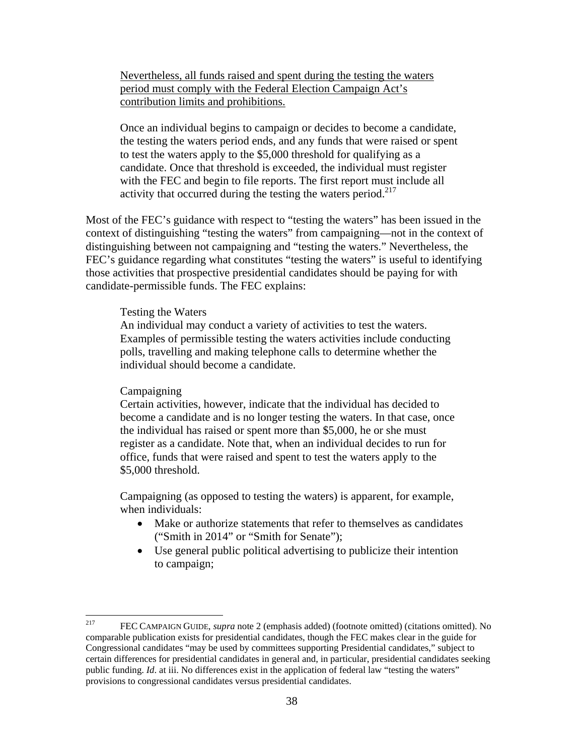Nevertheless, all funds raised and spent during the testing the waters period must comply with the Federal Election Campaign Act's contribution limits and prohibitions.

Once an individual begins to campaign or decides to become a candidate, the testing the waters period ends, and any funds that were raised or spent to test the waters apply to the \$5,000 threshold for qualifying as a candidate. Once that threshold is exceeded, the individual must register with the FEC and begin to file reports. The first report must include all activity that occurred during the testing the waters period. $217$ 

Most of the FEC's guidance with respect to "testing the waters" has been issued in the context of distinguishing "testing the waters" from campaigning—not in the context of distinguishing between not campaigning and "testing the waters." Nevertheless, the FEC's guidance regarding what constitutes "testing the waters" is useful to identifying those activities that prospective presidential candidates should be paying for with candidate-permissible funds. The FEC explains:

#### Testing the Waters

An individual may conduct a variety of activities to test the waters. Examples of permissible testing the waters activities include conducting polls, travelling and making telephone calls to determine whether the individual should become a candidate.

#### **Campaigning**

Certain activities, however, indicate that the individual has decided to become a candidate and is no longer testing the waters. In that case, once the individual has raised or spent more than \$5,000, he or she must register as a candidate. Note that, when an individual decides to run for office, funds that were raised and spent to test the waters apply to the \$5,000 threshold.

Campaigning (as opposed to testing the waters) is apparent, for example, when individuals:

- Make or authorize statements that refer to themselves as candidates ("Smith in 2014" or "Smith for Senate");
- Use general public political advertising to publicize their intention to campaign;

<sup>217</sup> 217 FEC CAMPAIGN GUIDE, *supra* note 2 (emphasis added) (footnote omitted) (citations omitted). No comparable publication exists for presidential candidates, though the FEC makes clear in the guide for Congressional candidates "may be used by committees supporting Presidential candidates," subject to certain differences for presidential candidates in general and, in particular, presidential candidates seeking public funding. *Id.* at iii. No differences exist in the application of federal law "testing the waters" provisions to congressional candidates versus presidential candidates.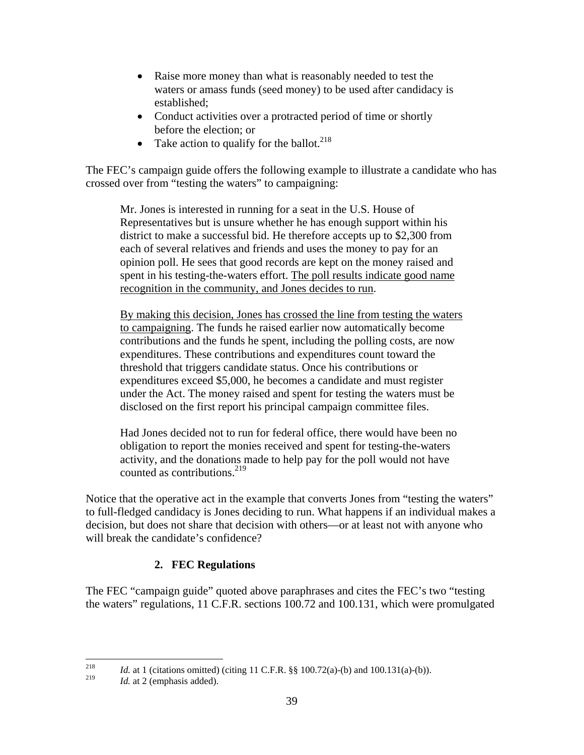- Raise more money than what is reasonably needed to test the waters or amass funds (seed money) to be used after candidacy is established;
- Conduct activities over a protracted period of time or shortly before the election; or
- Take action to qualify for the ballot.<sup>218</sup>

The FEC's campaign guide offers the following example to illustrate a candidate who has crossed over from "testing the waters" to campaigning:

Mr. Jones is interested in running for a seat in the U.S. House of Representatives but is unsure whether he has enough support within his district to make a successful bid. He therefore accepts up to \$2,300 from each of several relatives and friends and uses the money to pay for an opinion poll. He sees that good records are kept on the money raised and spent in his testing-the-waters effort. The poll results indicate good name recognition in the community, and Jones decides to run.

By making this decision, Jones has crossed the line from testing the waters to campaigning. The funds he raised earlier now automatically become contributions and the funds he spent, including the polling costs, are now expenditures. These contributions and expenditures count toward the threshold that triggers candidate status. Once his contributions or expenditures exceed \$5,000, he becomes a candidate and must register under the Act. The money raised and spent for testing the waters must be disclosed on the first report his principal campaign committee files.

Had Jones decided not to run for federal office, there would have been no obligation to report the monies received and spent for testing-the-waters activity, and the donations made to help pay for the poll would not have counted as contributions. $^{219}$ 

Notice that the operative act in the example that converts Jones from "testing the waters" to full-fledged candidacy is Jones deciding to run. What happens if an individual makes a decision, but does not share that decision with others—or at least not with anyone who will break the candidate's confidence?

# **2. FEC Regulations**

The FEC "campaign guide" quoted above paraphrases and cites the FEC's two "testing the waters" regulations, 11 C.F.R. sections 100.72 and 100.131, which were promulgated

<sup>218</sup> <sup>218</sup> *Id.* at 1 (citations omitted) (citing 11 C.F.R. §§ 100.72(a)-(b) and 100.131(a)-(b)).<br><sup>219</sup> *Id.* at 2 (omphasis added).

Id. at 2 (emphasis added).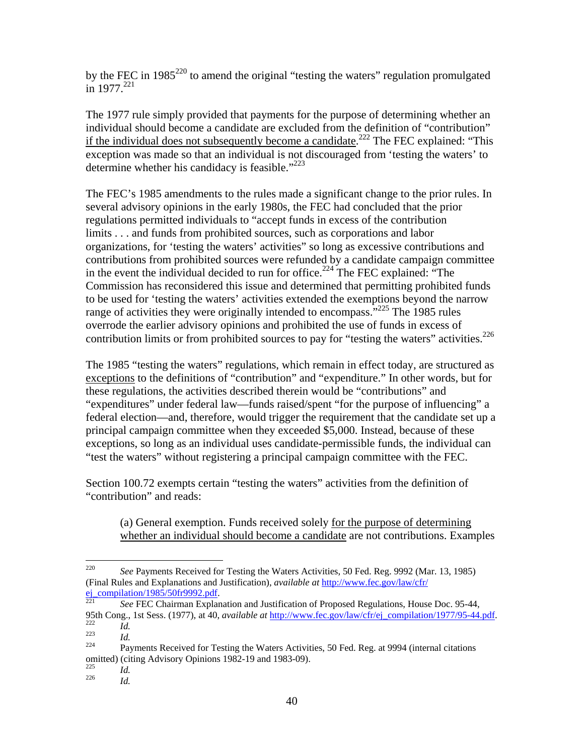by the FEC in  $1985^{220}$  to amend the original "testing the waters" regulation promulgated in 1977.<sup>221</sup>

The 1977 rule simply provided that payments for the purpose of determining whether an individual should become a candidate are excluded from the definition of "contribution" if the individual does not subsequently become a candidate.<sup>222</sup> The FEC explained: "This exception was made so that an individual is not discouraged from 'testing the waters' to determine whether his candidacy is feasible."<sup>223</sup>

The FEC's 1985 amendments to the rules made a significant change to the prior rules. In several advisory opinions in the early 1980s, the FEC had concluded that the prior regulations permitted individuals to "accept funds in excess of the contribution limits . . . and funds from prohibited sources, such as corporations and labor organizations, for 'testing the waters' activities" so long as excessive contributions and contributions from prohibited sources were refunded by a candidate campaign committee in the event the individual decided to run for office.<sup>224</sup> The FEC explained: "The Commission has reconsidered this issue and determined that permitting prohibited funds to be used for 'testing the waters' activities extended the exemptions beyond the narrow range of activities they were originally intended to encompass.<sup>7225</sup> The 1985 rules overrode the earlier advisory opinions and prohibited the use of funds in excess of contribution limits or from prohibited sources to pay for "testing the waters" activities.<sup>226</sup>

The 1985 "testing the waters" regulations, which remain in effect today, are structured as exceptions to the definitions of "contribution" and "expenditure." In other words, but for these regulations, the activities described therein would be "contributions" and "expenditures" under federal law—funds raised/spent "for the purpose of influencing" a federal election—and, therefore, would trigger the requirement that the candidate set up a principal campaign committee when they exceeded \$5,000. Instead, because of these exceptions, so long as an individual uses candidate-permissible funds, the individual can "test the waters" without registering a principal campaign committee with the FEC.

Section 100.72 exempts certain "testing the waters" activities from the definition of "contribution" and reads:

(a) General exemption. Funds received solely for the purpose of determining whether an individual should become a candidate are not contributions. Examples

<sup>220</sup> 220 *See* Payments Received for Testing the Waters Activities, 50 Fed. Reg. 9992 (Mar. 13, 1985) (Final Rules and Explanations and Justification), *available at* http://www.fec.gov/law/cfr/

See FEC Chairman Explanation and Justification of Proposed Regulations, House Doc. 95-44, 95th Cong., 1st Sess. (1977), at 40, *available at*  $\frac{http://www.fec.gov/law/cfr/ej$  compilation/1977/95-44.pdf.<br> *Id.*<br> *Payments Received for Testing the Waters Activities, 50 Fed. Reg. at 9994 (internal citations* 

omitted) (citing Advisory Opinions 1982-19 and 1983-09).<br> $\frac{225}{14}$ 

<sup>225</sup>*Id.* <sup>226</sup>*Id.*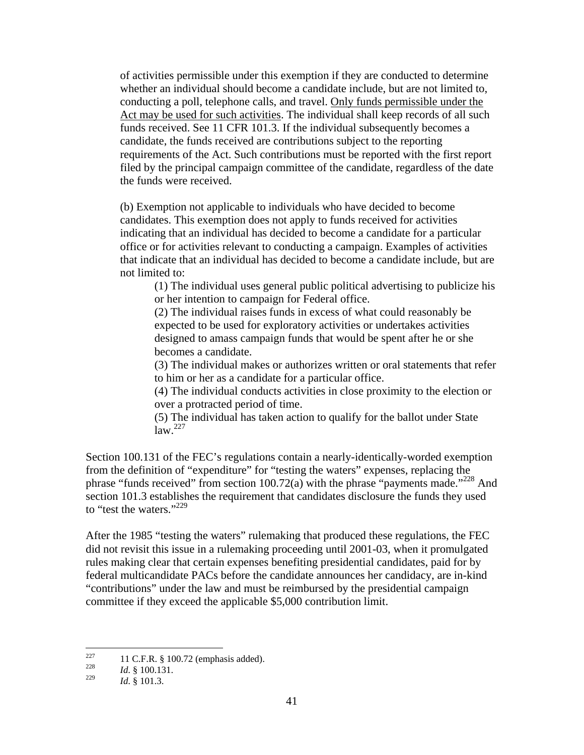of activities permissible under this exemption if they are conducted to determine whether an individual should become a candidate include, but are not limited to, conducting a poll, telephone calls, and travel. Only funds permissible under the Act may be used for such activities. The individual shall keep records of all such funds received. See 11 CFR 101.3. If the individual subsequently becomes a candidate, the funds received are contributions subject to the reporting requirements of the Act. Such contributions must be reported with the first report filed by the principal campaign committee of the candidate, regardless of the date the funds were received.

(b) Exemption not applicable to individuals who have decided to become candidates. This exemption does not apply to funds received for activities indicating that an individual has decided to become a candidate for a particular office or for activities relevant to conducting a campaign. Examples of activities that indicate that an individual has decided to become a candidate include, but are not limited to:

(1) The individual uses general public political advertising to publicize his or her intention to campaign for Federal office.

(2) The individual raises funds in excess of what could reasonably be expected to be used for exploratory activities or undertakes activities designed to amass campaign funds that would be spent after he or she becomes a candidate.

(3) The individual makes or authorizes written or oral statements that refer to him or her as a candidate for a particular office.

(4) The individual conducts activities in close proximity to the election or over a protracted period of time.

(5) The individual has taken action to qualify for the ballot under State  $law<sup>227</sup>$ 

Section 100.131 of the FEC's regulations contain a nearly-identically-worded exemption from the definition of "expenditure" for "testing the waters" expenses, replacing the phrase "funds received" from section 100.72(a) with the phrase "payments made."<sup>228</sup> And section 101.3 establishes the requirement that candidates disclosure the funds they used to "test the waters."<sup>229</sup>

After the 1985 "testing the waters" rulemaking that produced these regulations, the FEC did not revisit this issue in a rulemaking proceeding until 2001-03, when it promulgated rules making clear that certain expenses benefiting presidential candidates, paid for by federal multicandidate PACs before the candidate announces her candidacy, are in-kind "contributions" under the law and must be reimbursed by the presidential campaign committee if they exceed the applicable \$5,000 contribution limit.

 $227$ <sup>227</sup> 11 C.F.R. § 100.72 (emphasis added).<br><sup>228</sup> *Id*. § 100.131.

*Id.* § 101.3.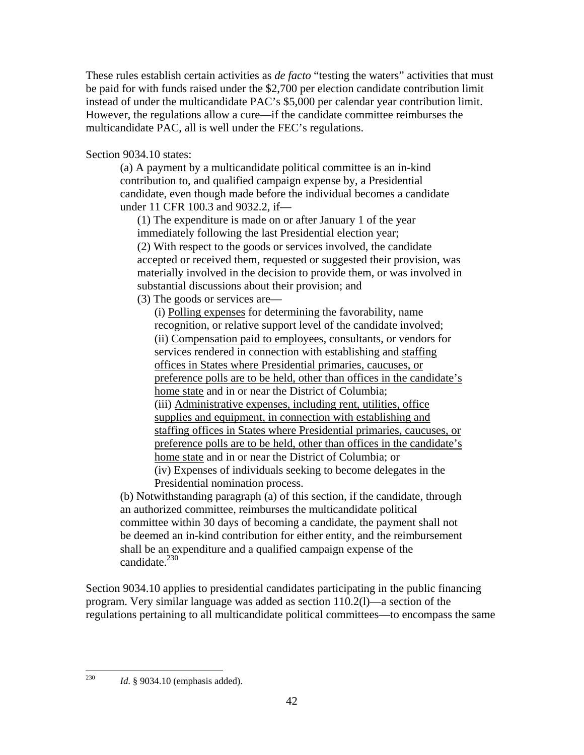These rules establish certain activities as *de facto* "testing the waters" activities that must be paid for with funds raised under the \$2,700 per election candidate contribution limit instead of under the multicandidate PAC's \$5,000 per calendar year contribution limit. However, the regulations allow a cure—if the candidate committee reimburses the multicandidate PAC, all is well under the FEC's regulations.

Section 9034.10 states:

(a) A payment by a multicandidate political committee is an in-kind contribution to, and qualified campaign expense by, a Presidential candidate, even though made before the individual becomes a candidate under 11 CFR 100.3 and 9032.2, if—

(1) The expenditure is made on or after January 1 of the year immediately following the last Presidential election year; (2) With respect to the goods or services involved, the candidate accepted or received them, requested or suggested their provision, was materially involved in the decision to provide them, or was involved in substantial discussions about their provision; and

(3) The goods or services are—

(i) Polling expenses for determining the favorability, name recognition, or relative support level of the candidate involved; (ii) Compensation paid to employees, consultants, or vendors for services rendered in connection with establishing and staffing offices in States where Presidential primaries, caucuses, or preference polls are to be held, other than offices in the candidate's home state and in or near the District of Columbia; (iii) Administrative expenses, including rent, utilities, office supplies and equipment, in connection with establishing and staffing offices in States where Presidential primaries, caucuses, or preference polls are to be held, other than offices in the candidate's home state and in or near the District of Columbia; or (iv) Expenses of individuals seeking to become delegates in the Presidential nomination process.

(b) Notwithstanding paragraph (a) of this section, if the candidate, through an authorized committee, reimburses the multicandidate political committee within 30 days of becoming a candidate, the payment shall not be deemed an in-kind contribution for either entity, and the reimbursement shall be an expenditure and a qualified campaign expense of the candidate.<sup>230</sup>

Section 9034.10 applies to presidential candidates participating in the public financing program. Very similar language was added as section 110.2(l)—a section of the regulations pertaining to all multicandidate political committees—to encompass the same

230 *Id.* § 9034.10 (emphasis added).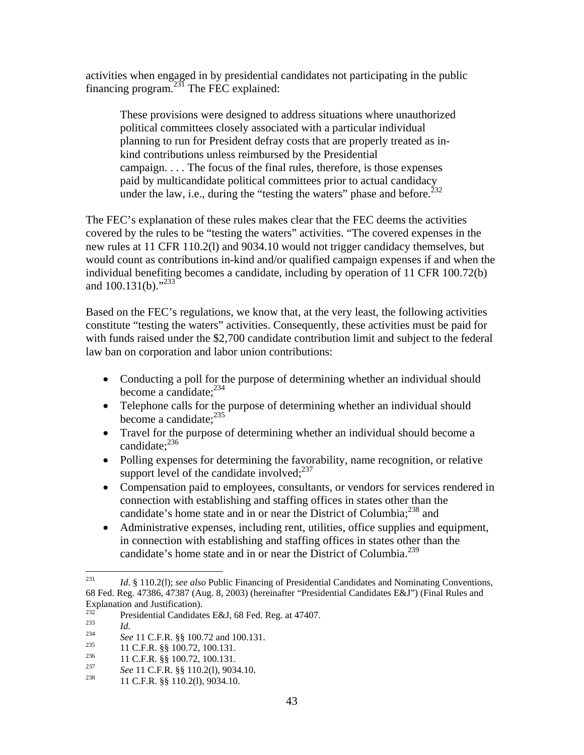activities when engaged in by presidential candidates not participating in the public financing program.<sup>231</sup> The FEC explained:

These provisions were designed to address situations where unauthorized political committees closely associated with a particular individual planning to run for President defray costs that are properly treated as inkind contributions unless reimbursed by the Presidential campaign. . . . The focus of the final rules, therefore, is those expenses paid by multicandidate political committees prior to actual candidacy under the law, i.e., during the "testing the waters" phase and before. $2^{32}$ 

The FEC's explanation of these rules makes clear that the FEC deems the activities covered by the rules to be "testing the waters" activities. "The covered expenses in the new rules at 11 CFR 110.2(l) and 9034.10 would not trigger candidacy themselves, but would count as contributions in-kind and/or qualified campaign expenses if and when the individual benefiting becomes a candidate, including by operation of 11 CFR 100.72(b) and  $100.131(b)$ ."<sup>233</sup>

Based on the FEC's regulations, we know that, at the very least, the following activities constitute "testing the waters" activities. Consequently, these activities must be paid for with funds raised under the \$2,700 candidate contribution limit and subject to the federal law ban on corporation and labor union contributions:

- Conducting a poll for the purpose of determining whether an individual should become a candidate: $234$
- Telephone calls for the purpose of determining whether an individual should become a candidate:<sup>235</sup>
- Travel for the purpose of determining whether an individual should become a candidate: $^{236}$
- Polling expenses for determining the favorability, name recognition, or relative support level of the candidate involved: $237$
- Compensation paid to employees, consultants, or vendors for services rendered in connection with establishing and staffing offices in states other than the candidate's home state and in or near the District of Columbia;<sup>238</sup> and
- Administrative expenses, including rent, utilities, office supplies and equipment, in connection with establishing and staffing offices in states other than the candidate's home state and in or near the District of Columbia.<sup>239</sup>

<sup>231</sup> Id. § 110.2(1); see also Public Financing of Presidential Candidates and Nominating Conventions, 68 Fed. Reg. 47386, 47387 (Aug. 8, 2003) (hereinafter "Presidential Candidates E&J") (Final Rules and Explanation and Justification).

<sup>&</sup>lt;sup>232</sup><br>
Presidential Candidates E&J, 68 Fed. Reg. at 47407.<br> *Id.*<br> *See* 11 C.F.R. §§ 100.72 and 100.131.<br>
<sup>235</sup><br>
<sup>236</sup><br>
11 C.F.R. §§ 100.72, 100.131.<br> *See* 11 C.F.R. §§ 100.72, 100.131.<br> *See* 11 C.F.R. §§ 110.2(1), 9034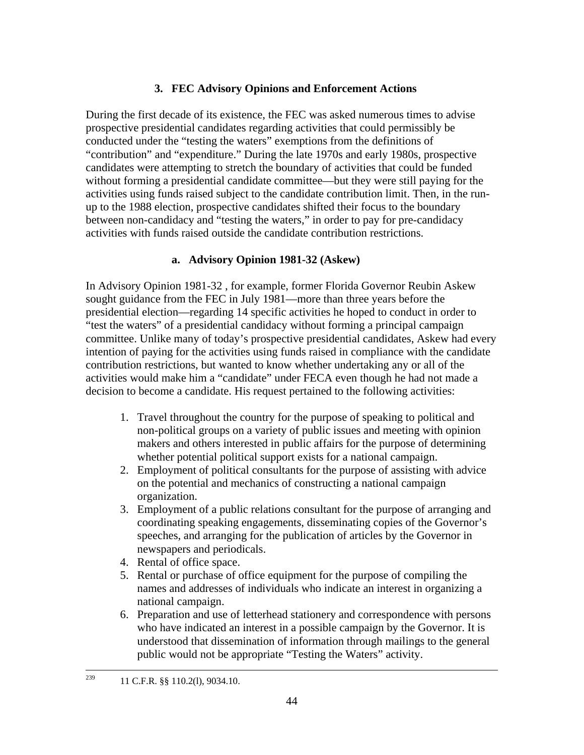# **3. FEC Advisory Opinions and Enforcement Actions**

During the first decade of its existence, the FEC was asked numerous times to advise prospective presidential candidates regarding activities that could permissibly be conducted under the "testing the waters" exemptions from the definitions of "contribution" and "expenditure." During the late 1970s and early 1980s, prospective candidates were attempting to stretch the boundary of activities that could be funded without forming a presidential candidate committee—but they were still paying for the activities using funds raised subject to the candidate contribution limit. Then, in the runup to the 1988 election, prospective candidates shifted their focus to the boundary between non-candidacy and "testing the waters," in order to pay for pre-candidacy activities with funds raised outside the candidate contribution restrictions.

# **a. Advisory Opinion 1981-32 (Askew)**

In Advisory Opinion 1981-32 , for example, former Florida Governor Reubin Askew sought guidance from the FEC in July 1981—more than three years before the presidential election—regarding 14 specific activities he hoped to conduct in order to "test the waters" of a presidential candidacy without forming a principal campaign committee. Unlike many of today's prospective presidential candidates, Askew had every intention of paying for the activities using funds raised in compliance with the candidate contribution restrictions, but wanted to know whether undertaking any or all of the activities would make him a "candidate" under FECA even though he had not made a decision to become a candidate. His request pertained to the following activities:

- 1. Travel throughout the country for the purpose of speaking to political and non-political groups on a variety of public issues and meeting with opinion makers and others interested in public affairs for the purpose of determining whether potential political support exists for a national campaign.
- 2. Employment of political consultants for the purpose of assisting with advice on the potential and mechanics of constructing a national campaign organization.
- 3. Employment of a public relations consultant for the purpose of arranging and coordinating speaking engagements, disseminating copies of the Governor's speeches, and arranging for the publication of articles by the Governor in newspapers and periodicals.
- 4. Rental of office space.
- 5. Rental or purchase of office equipment for the purpose of compiling the names and addresses of individuals who indicate an interest in organizing a national campaign.
- 6. Preparation and use of letterhead stationery and correspondence with persons who have indicated an interest in a possible campaign by the Governor. It is understood that dissemination of information through mailings to the general public would not be appropriate "Testing the Waters" activity.

<sup>&</sup>lt;sup>239</sup> 11 C.F.R. §§ 110.2(1), 9034.10.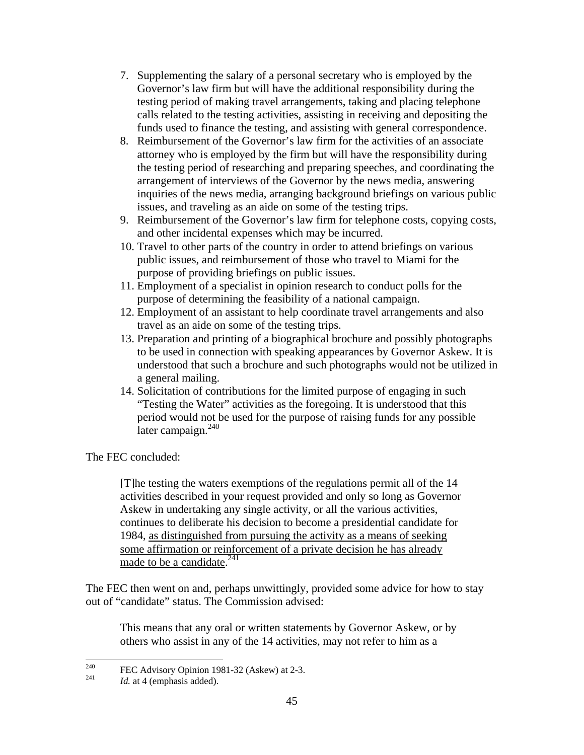- 7. Supplementing the salary of a personal secretary who is employed by the Governor's law firm but will have the additional responsibility during the testing period of making travel arrangements, taking and placing telephone calls related to the testing activities, assisting in receiving and depositing the funds used to finance the testing, and assisting with general correspondence.
- 8. Reimbursement of the Governor's law firm for the activities of an associate attorney who is employed by the firm but will have the responsibility during the testing period of researching and preparing speeches, and coordinating the arrangement of interviews of the Governor by the news media, answering inquiries of the news media, arranging background briefings on various public issues, and traveling as an aide on some of the testing trips.
- 9. Reimbursement of the Governor's law firm for telephone costs, copying costs, and other incidental expenses which may be incurred.
- 10. Travel to other parts of the country in order to attend briefings on various public issues, and reimbursement of those who travel to Miami for the purpose of providing briefings on public issues.
- 11. Employment of a specialist in opinion research to conduct polls for the purpose of determining the feasibility of a national campaign.
- 12. Employment of an assistant to help coordinate travel arrangements and also travel as an aide on some of the testing trips.
- 13. Preparation and printing of a biographical brochure and possibly photographs to be used in connection with speaking appearances by Governor Askew. It is understood that such a brochure and such photographs would not be utilized in a general mailing.
- 14. Solicitation of contributions for the limited purpose of engaging in such "Testing the Water" activities as the foregoing. It is understood that this period would not be used for the purpose of raising funds for any possible later campaign. $240$

The FEC concluded:

[T]he testing the waters exemptions of the regulations permit all of the 14 activities described in your request provided and only so long as Governor Askew in undertaking any single activity, or all the various activities, continues to deliberate his decision to become a presidential candidate for 1984, as distinguished from pursuing the activity as a means of seeking some affirmation or reinforcement of a private decision he has already made to be a candidate.<sup>241</sup>

The FEC then went on and, perhaps unwittingly, provided some advice for how to stay out of "candidate" status. The Commission advised:

This means that any oral or written statements by Governor Askew, or by others who assist in any of the 14 activities, may not refer to him as a

<sup>240</sup> <sup>240</sup> FEC Advisory Opinion 1981-32 (Askew) at 2-3.<br> *Id.* at 4 (emphasis added).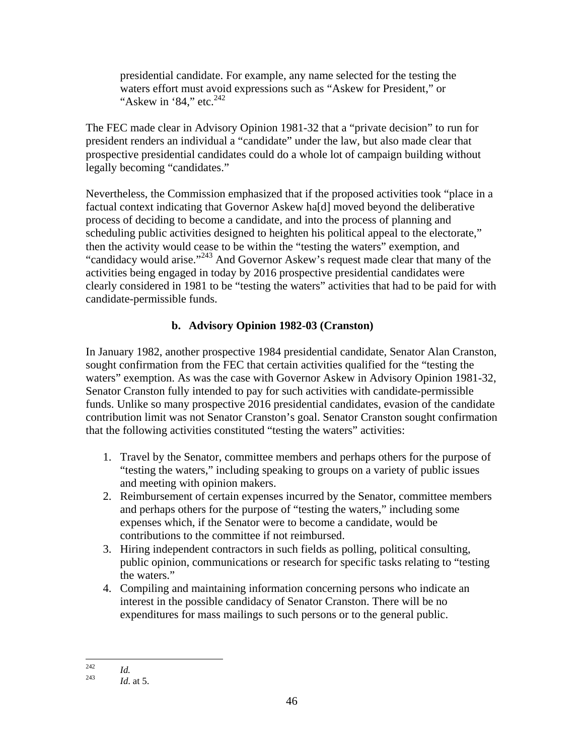presidential candidate. For example, any name selected for the testing the waters effort must avoid expressions such as "Askew for President," or "Askew in '84," etc. $242$ 

The FEC made clear in Advisory Opinion 1981-32 that a "private decision" to run for president renders an individual a "candidate" under the law, but also made clear that prospective presidential candidates could do a whole lot of campaign building without legally becoming "candidates."

Nevertheless, the Commission emphasized that if the proposed activities took "place in a factual context indicating that Governor Askew ha[d] moved beyond the deliberative process of deciding to become a candidate, and into the process of planning and scheduling public activities designed to heighten his political appeal to the electorate," then the activity would cease to be within the "testing the waters" exemption, and "candidacy would arise."243 And Governor Askew's request made clear that many of the activities being engaged in today by 2016 prospective presidential candidates were clearly considered in 1981 to be "testing the waters" activities that had to be paid for with candidate-permissible funds.

# **b. Advisory Opinion 1982-03 (Cranston)**

In January 1982, another prospective 1984 presidential candidate, Senator Alan Cranston, sought confirmation from the FEC that certain activities qualified for the "testing the waters" exemption. As was the case with Governor Askew in Advisory Opinion 1981-32, Senator Cranston fully intended to pay for such activities with candidate-permissible funds. Unlike so many prospective 2016 presidential candidates, evasion of the candidate contribution limit was not Senator Cranston's goal. Senator Cranston sought confirmation that the following activities constituted "testing the waters" activities:

- 1. Travel by the Senator, committee members and perhaps others for the purpose of "testing the waters," including speaking to groups on a variety of public issues and meeting with opinion makers.
- 2. Reimbursement of certain expenses incurred by the Senator, committee members and perhaps others for the purpose of "testing the waters," including some expenses which, if the Senator were to become a candidate, would be contributions to the committee if not reimbursed.
- 3. Hiring independent contractors in such fields as polling, political consulting, public opinion, communications or research for specific tasks relating to "testing the waters."
- 4. Compiling and maintaining information concerning persons who indicate an interest in the possible candidacy of Senator Cranston. There will be no expenditures for mass mailings to such persons or to the general public.

<sup>242</sup> 

 $\frac{242}{243}$  *Id.* at 5.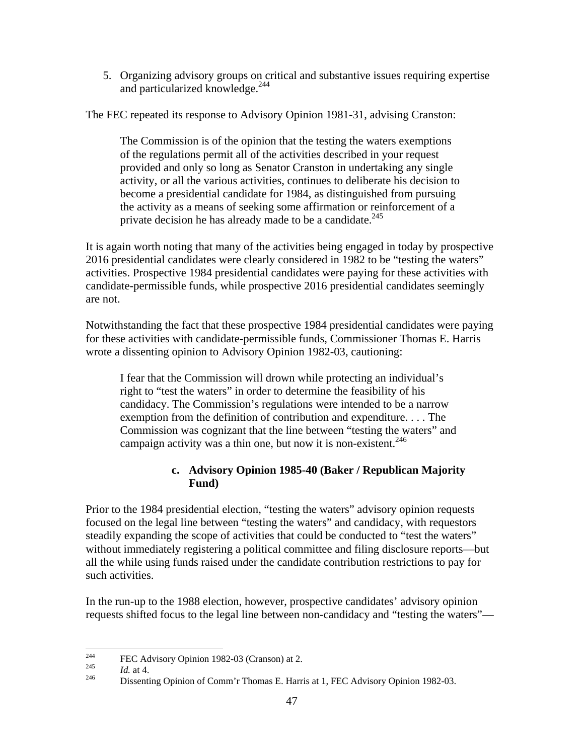5. Organizing advisory groups on critical and substantive issues requiring expertise and particularized knowledge.<sup>244</sup>

The FEC repeated its response to Advisory Opinion 1981-31, advising Cranston:

The Commission is of the opinion that the testing the waters exemptions of the regulations permit all of the activities described in your request provided and only so long as Senator Cranston in undertaking any single activity, or all the various activities, continues to deliberate his decision to become a presidential candidate for 1984, as distinguished from pursuing the activity as a means of seeking some affirmation or reinforcement of a private decision he has already made to be a candidate.<sup>245</sup>

It is again worth noting that many of the activities being engaged in today by prospective 2016 presidential candidates were clearly considered in 1982 to be "testing the waters" activities. Prospective 1984 presidential candidates were paying for these activities with candidate-permissible funds, while prospective 2016 presidential candidates seemingly are not.

Notwithstanding the fact that these prospective 1984 presidential candidates were paying for these activities with candidate-permissible funds, Commissioner Thomas E. Harris wrote a dissenting opinion to Advisory Opinion 1982-03, cautioning:

I fear that the Commission will drown while protecting an individual's right to "test the waters" in order to determine the feasibility of his candidacy. The Commission's regulations were intended to be a narrow exemption from the definition of contribution and expenditure. . . . The Commission was cognizant that the line between "testing the waters" and campaign activity was a thin one, but now it is non-existent.<sup>246</sup>

# **c. Advisory Opinion 1985-40 (Baker / Republican Majority Fund)**

Prior to the 1984 presidential election, "testing the waters" advisory opinion requests focused on the legal line between "testing the waters" and candidacy, with requestors steadily expanding the scope of activities that could be conducted to "test the waters" without immediately registering a political committee and filing disclosure reports—but all the while using funds raised under the candidate contribution restrictions to pay for such activities.

In the run-up to the 1988 election, however, prospective candidates' advisory opinion requests shifted focus to the legal line between non-candidacy and "testing the waters"—

<sup>244</sup> 

<sup>&</sup>lt;sup>244</sup> FEC Advisory Opinion 1982-03 (Cranson) at 2.<br>
<sup>245</sup> *Id.* at 4. Dissenting Opinion of Comm'r Thomas E. Harris at 1, FEC Advisory Opinion 1982-03.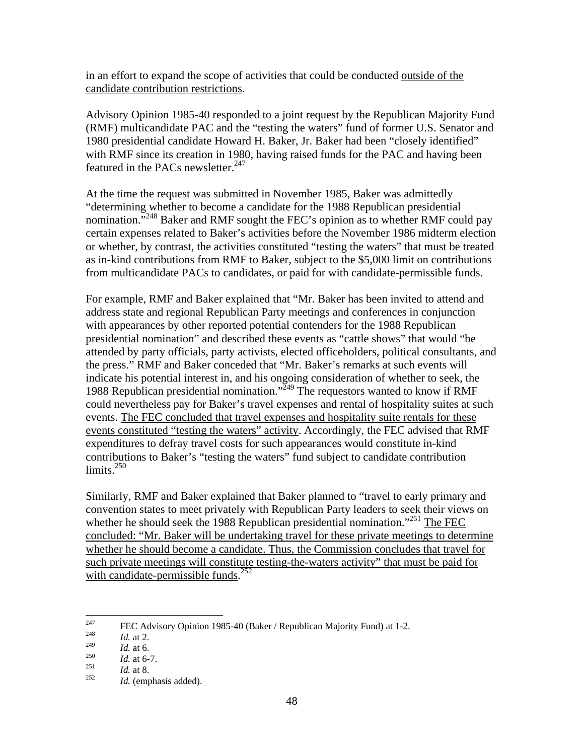in an effort to expand the scope of activities that could be conducted outside of the candidate contribution restrictions.

Advisory Opinion 1985-40 responded to a joint request by the Republican Majority Fund (RMF) multicandidate PAC and the "testing the waters" fund of former U.S. Senator and 1980 presidential candidate Howard H. Baker, Jr. Baker had been "closely identified" with RMF since its creation in 1980, having raised funds for the PAC and having been featured in the PACs newsletter.<sup>247</sup>

At the time the request was submitted in November 1985, Baker was admittedly "determining whether to become a candidate for the 1988 Republican presidential nomination."<sup>248</sup> Baker and RMF sought the FEC's opinion as to whether RMF could pay certain expenses related to Baker's activities before the November 1986 midterm election or whether, by contrast, the activities constituted "testing the waters" that must be treated as in-kind contributions from RMF to Baker, subject to the \$5,000 limit on contributions from multicandidate PACs to candidates, or paid for with candidate-permissible funds.

For example, RMF and Baker explained that "Mr. Baker has been invited to attend and address state and regional Republican Party meetings and conferences in conjunction with appearances by other reported potential contenders for the 1988 Republican presidential nomination" and described these events as "cattle shows" that would "be attended by party officials, party activists, elected officeholders, political consultants, and the press." RMF and Baker conceded that "Mr. Baker's remarks at such events will indicate his potential interest in, and his ongoing consideration of whether to seek, the 1988 Republican presidential nomination."249 The requestors wanted to know if RMF could nevertheless pay for Baker's travel expenses and rental of hospitality suites at such events. The FEC concluded that travel expenses and hospitality suite rentals for these events constituted "testing the waters" activity. Accordingly, the FEC advised that RMF expenditures to defray travel costs for such appearances would constitute in-kind contributions to Baker's "testing the waters" fund subject to candidate contribution limits. $250$ 

Similarly, RMF and Baker explained that Baker planned to "travel to early primary and convention states to meet privately with Republican Party leaders to seek their views on whether he should seek the 1988 Republican presidential nomination.<sup>"251</sup> The FEC concluded: "Mr. Baker will be undertaking travel for these private meetings to determine whether he should become a candidate. Thus, the Commission concludes that travel for such private meetings will constitute testing-the-waters activity" that must be paid for with candidate-permissible funds.<sup>252</sup>

<sup>247</sup> <sup>247</sup> FEC Advisory Opinion 1985-40 (Baker / Republican Majority Fund) at 1-2.<br> *Id.* at 2.<br>
<sup>249</sup> *Id.* at 6.

<sup>249</sup> *Id.* at 6.<br>
250 *Id.* at 6-7.<br>
251 *Id.* at 8.<br> *Id.* (emphasis added).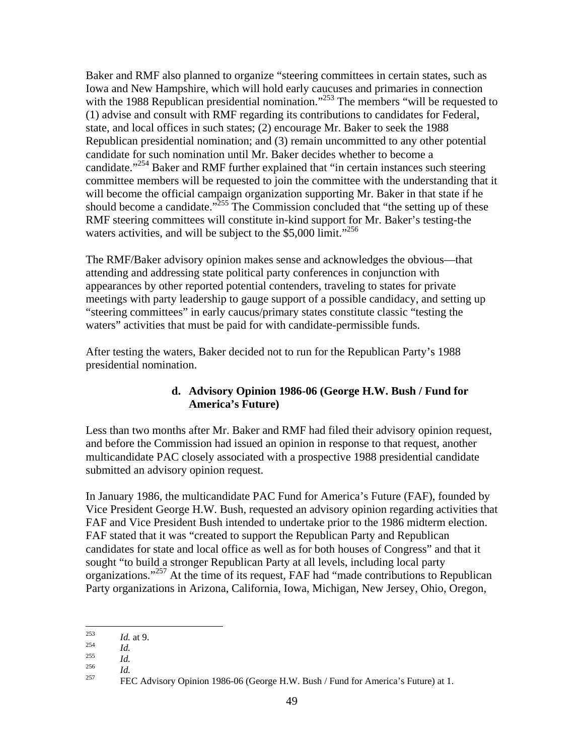Baker and RMF also planned to organize "steering committees in certain states, such as Iowa and New Hampshire, which will hold early caucuses and primaries in connection with the 1988 Republican presidential nomination."<sup>253</sup> The members "will be requested to (1) advise and consult with RMF regarding its contributions to candidates for Federal, state, and local offices in such states; (2) encourage Mr. Baker to seek the 1988 Republican presidential nomination; and (3) remain uncommitted to any other potential candidate for such nomination until Mr. Baker decides whether to become a candidate."<sup>254</sup> Baker and RMF further explained that "in certain instances such steering committee members will be requested to join the committee with the understanding that it will become the official campaign organization supporting Mr. Baker in that state if he should become a candidate."<sup>255</sup> The Commission concluded that "the setting up of these RMF steering committees will constitute in-kind support for Mr. Baker's testing-the waters activities, and will be subject to the \$5,000 limit."<sup>256</sup>

The RMF/Baker advisory opinion makes sense and acknowledges the obvious—that attending and addressing state political party conferences in conjunction with appearances by other reported potential contenders, traveling to states for private meetings with party leadership to gauge support of a possible candidacy, and setting up "steering committees" in early caucus/primary states constitute classic "testing the waters" activities that must be paid for with candidate-permissible funds.

After testing the waters, Baker decided not to run for the Republican Party's 1988 presidential nomination.

# **d. Advisory Opinion 1986-06 (George H.W. Bush / Fund for America's Future)**

Less than two months after Mr. Baker and RMF had filed their advisory opinion request, and before the Commission had issued an opinion in response to that request, another multicandidate PAC closely associated with a prospective 1988 presidential candidate submitted an advisory opinion request.

In January 1986, the multicandidate PAC Fund for America's Future (FAF), founded by Vice President George H.W. Bush, requested an advisory opinion regarding activities that FAF and Vice President Bush intended to undertake prior to the 1986 midterm election. FAF stated that it was "created to support the Republican Party and Republican candidates for state and local office as well as for both houses of Congress" and that it sought "to build a stronger Republican Party at all levels, including local party organizations."257 At the time of its request, FAF had "made contributions to Republican Party organizations in Arizona, California, Iowa, Michigan, New Jersey, Ohio, Oregon,

<sup>253</sup> 

<sup>&</sup>lt;sup>253</sup><br> *Id. Id.*<br>
<sup>255</sup><br>
<sup>256</sup><br>
<sup>257</sup> FEC Advisory Opinion 1986-06 (George H.W. Bush / Fund for America's Future) at 1.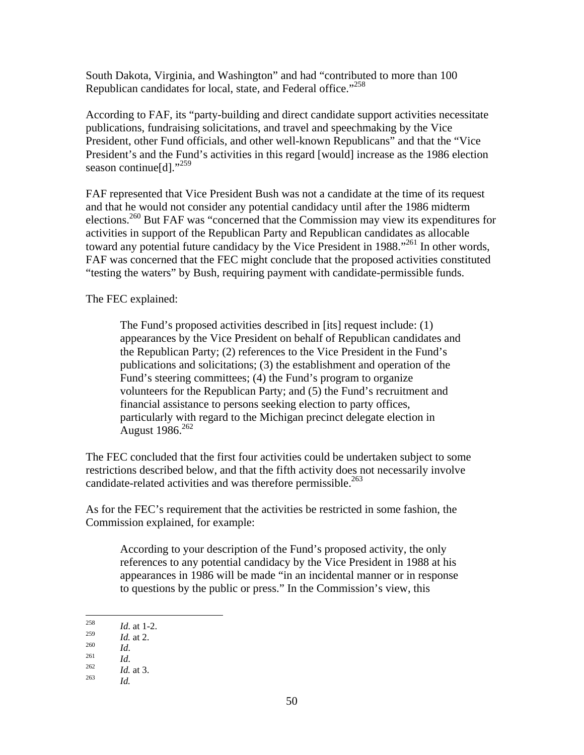South Dakota, Virginia, and Washington" and had "contributed to more than 100 Republican candidates for local, state, and Federal office."258

According to FAF, its "party-building and direct candidate support activities necessitate publications, fundraising solicitations, and travel and speechmaking by the Vice President, other Fund officials, and other well-known Republicans" and that the "Vice President's and the Fund's activities in this regard [would] increase as the 1986 election season continue<sup>[d]."259</sup>

FAF represented that Vice President Bush was not a candidate at the time of its request and that he would not consider any potential candidacy until after the 1986 midterm elections.260 But FAF was "concerned that the Commission may view its expenditures for activities in support of the Republican Party and Republican candidates as allocable toward any potential future candidacy by the Vice President in 1988.<sup>"261</sup> In other words, FAF was concerned that the FEC might conclude that the proposed activities constituted "testing the waters" by Bush, requiring payment with candidate-permissible funds.

The FEC explained:

The Fund's proposed activities described in [its] request include: (1) appearances by the Vice President on behalf of Republican candidates and the Republican Party; (2) references to the Vice President in the Fund's publications and solicitations; (3) the establishment and operation of the Fund's steering committees; (4) the Fund's program to organize volunteers for the Republican Party; and (5) the Fund's recruitment and financial assistance to persons seeking election to party offices, particularly with regard to the Michigan precinct delegate election in August 1986.<sup>262</sup>

The FEC concluded that the first four activities could be undertaken subject to some restrictions described below, and that the fifth activity does not necessarily involve candidate-related activities and was therefore permissible.<sup>263</sup>

As for the FEC's requirement that the activities be restricted in some fashion, the Commission explained, for example:

According to your description of the Fund's proposed activity, the only references to any potential candidacy by the Vice President in 1988 at his appearances in 1986 will be made "in an incidental manner or in response to questions by the public or press." In the Commission's view, this

<sup>258</sup>  $\frac{258}{259}$  *Id.* at 1-2.

<sup>259</sup>*Id.* at 2. 260 *Id*. 261 *Id*. 262 *Id.* at 3. 263 *Id.*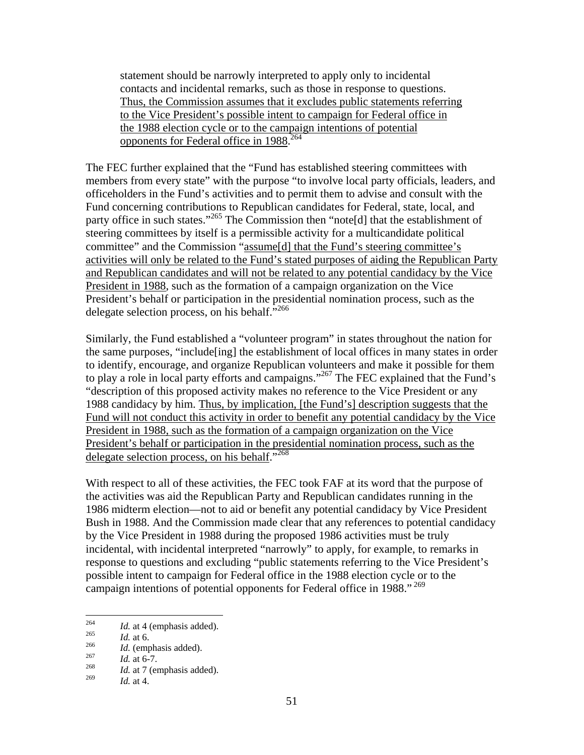statement should be narrowly interpreted to apply only to incidental contacts and incidental remarks, such as those in response to questions. Thus, the Commission assumes that it excludes public statements referring to the Vice President's possible intent to campaign for Federal office in the 1988 election cycle or to the campaign intentions of potential opponents for Federal office in 1988.<sup>264</sup>

The FEC further explained that the "Fund has established steering committees with members from every state" with the purpose "to involve local party officials, leaders, and officeholders in the Fund's activities and to permit them to advise and consult with the Fund concerning contributions to Republican candidates for Federal, state, local, and party office in such states."<sup>265</sup> The Commission then "note[d] that the establishment of steering committees by itself is a permissible activity for a multicandidate political committee" and the Commission "assume[d] that the Fund's steering committee's activities will only be related to the Fund's stated purposes of aiding the Republican Party and Republican candidates and will not be related to any potential candidacy by the Vice President in 1988, such as the formation of a campaign organization on the Vice President's behalf or participation in the presidential nomination process, such as the delegate selection process, on his behalf."<sup>266</sup>

Similarly, the Fund established a "volunteer program" in states throughout the nation for the same purposes, "include[ing] the establishment of local offices in many states in order to identify, encourage, and organize Republican volunteers and make it possible for them to play a role in local party efforts and campaigns."<sup>267</sup> The FEC explained that the Fund's "description of this proposed activity makes no reference to the Vice President or any 1988 candidacy by him. Thus, by implication, [the Fund's] description suggests that the Fund will not conduct this activity in order to benefit any potential candidacy by the Vice President in 1988, such as the formation of a campaign organization on the Vice President's behalf or participation in the presidential nomination process, such as the delegate selection process, on his behalf."<sup>268</sup>

With respect to all of these activities, the FEC took FAF at its word that the purpose of the activities was aid the Republican Party and Republican candidates running in the 1986 midterm election—not to aid or benefit any potential candidacy by Vice President Bush in 1988. And the Commission made clear that any references to potential candidacy by the Vice President in 1988 during the proposed 1986 activities must be truly incidental, with incidental interpreted "narrowly" to apply, for example, to remarks in response to questions and excluding "public statements referring to the Vice President's possible intent to campaign for Federal office in the 1988 election cycle or to the campaign intentions of potential opponents for Federal office in 1988."<sup>269</sup>

<sup>264</sup> 

<sup>264</sup> *Id.* at 4 (emphasis added).<br>
265 *Id.* at 6.<br>
266 *Id.* (emphasis added).<br>
268 *Id.* at 7 (emphasis added).

*Id.* at 4.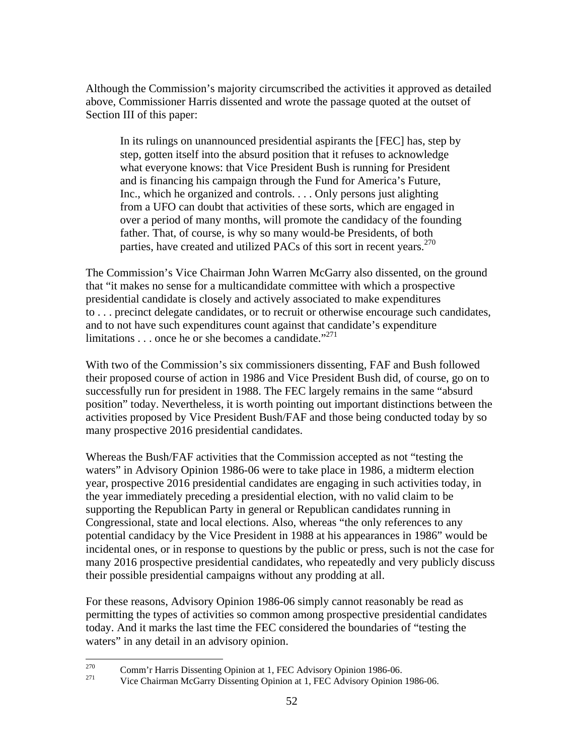Although the Commission's majority circumscribed the activities it approved as detailed above, Commissioner Harris dissented and wrote the passage quoted at the outset of Section III of this paper:

In its rulings on unannounced presidential aspirants the [FEC] has, step by step, gotten itself into the absurd position that it refuses to acknowledge what everyone knows: that Vice President Bush is running for President and is financing his campaign through the Fund for America's Future, Inc., which he organized and controls. . . . Only persons just alighting from a UFO can doubt that activities of these sorts, which are engaged in over a period of many months, will promote the candidacy of the founding father. That, of course, is why so many would-be Presidents, of both parties, have created and utilized PACs of this sort in recent years. $270$ 

The Commission's Vice Chairman John Warren McGarry also dissented, on the ground that "it makes no sense for a multicandidate committee with which a prospective presidential candidate is closely and actively associated to make expenditures to . . . precinct delegate candidates, or to recruit or otherwise encourage such candidates, and to not have such expenditures count against that candidate's expenditure limitations . . . once he or she becomes a candidate."271

With two of the Commission's six commissioners dissenting, FAF and Bush followed their proposed course of action in 1986 and Vice President Bush did, of course, go on to successfully run for president in 1988. The FEC largely remains in the same "absurd position" today. Nevertheless, it is worth pointing out important distinctions between the activities proposed by Vice President Bush/FAF and those being conducted today by so many prospective 2016 presidential candidates.

Whereas the Bush/FAF activities that the Commission accepted as not "testing the waters" in Advisory Opinion 1986-06 were to take place in 1986, a midterm election year, prospective 2016 presidential candidates are engaging in such activities today, in the year immediately preceding a presidential election, with no valid claim to be supporting the Republican Party in general or Republican candidates running in Congressional, state and local elections. Also, whereas "the only references to any potential candidacy by the Vice President in 1988 at his appearances in 1986" would be incidental ones, or in response to questions by the public or press, such is not the case for many 2016 prospective presidential candidates, who repeatedly and very publicly discuss their possible presidential campaigns without any prodding at all.

For these reasons, Advisory Opinion 1986-06 simply cannot reasonably be read as permitting the types of activities so common among prospective presidential candidates today. And it marks the last time the FEC considered the boundaries of "testing the waters" in any detail in an advisory opinion.

<sup>270</sup> 

<sup>&</sup>lt;sup>270</sup> Comm'r Harris Dissenting Opinion at 1, FEC Advisory Opinion 1986-06.<br><sup>271</sup> Vice Chairman McGarry Dissenting Opinion at 1, FEC Advisory Opinion 1986-06.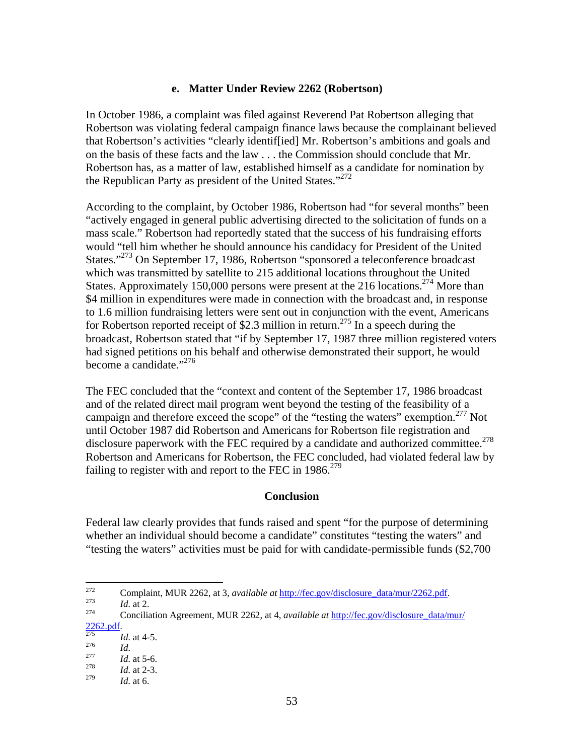#### **e. Matter Under Review 2262 (Robertson)**

In October 1986, a complaint was filed against Reverend Pat Robertson alleging that Robertson was violating federal campaign finance laws because the complainant believed that Robertson's activities "clearly identif[ied] Mr. Robertson's ambitions and goals and on the basis of these facts and the law . . . the Commission should conclude that Mr. Robertson has, as a matter of law, established himself as a candidate for nomination by the Republican Party as president of the United States."<sup>272</sup>

According to the complaint, by October 1986, Robertson had "for several months" been "actively engaged in general public advertising directed to the solicitation of funds on a mass scale." Robertson had reportedly stated that the success of his fundraising efforts would "tell him whether he should announce his candidacy for President of the United States."<sup>273</sup> On September 17, 1986, Robertson "sponsored a teleconference broadcast which was transmitted by satellite to 215 additional locations throughout the United States. Approximately 150,000 persons were present at the 216 locations.<sup>274</sup> More than \$4 million in expenditures were made in connection with the broadcast and, in response to 1.6 million fundraising letters were sent out in conjunction with the event, Americans for Robertson reported receipt of \$2.3 million in return.<sup>275</sup> In a speech during the broadcast, Robertson stated that "if by September 17, 1987 three million registered voters had signed petitions on his behalf and otherwise demonstrated their support, he would become a candidate."<sup>276</sup>

The FEC concluded that the "context and content of the September 17, 1986 broadcast and of the related direct mail program went beyond the testing of the feasibility of a campaign and therefore exceed the scope" of the "testing the waters" exemption.<sup>277</sup> Not until October 1987 did Robertson and Americans for Robertson file registration and disclosure paperwork with the FEC required by a candidate and authorized committee.<sup>278</sup> Robertson and Americans for Robertson, the FEC concluded, had violated federal law by failing to register with and report to the FEC in  $1986$ <sup>279</sup>

#### **Conclusion**

Federal law clearly provides that funds raised and spent "for the purpose of determining whether an individual should become a candidate" constitutes "testing the waters" and "testing the waters" activities must be paid for with candidate-permissible funds (\$2,700

2262.pdf. 275 *Id*. at 4-5. 276 *Id*. 277 *Id*. at 5-6. 278 *Id*. at 2-3.

<sup>272</sup> 272 Complaint, MUR 2262, at 3, *available at* http://fec.gov/disclosure\_data/mur/2262.pdf. 273 *Id*. at 2. 274 Conciliation Agreement, MUR 2262, at 4, *available at* http://fec.gov/disclosure\_data/mur/

<sup>279</sup> *Id*. at 6.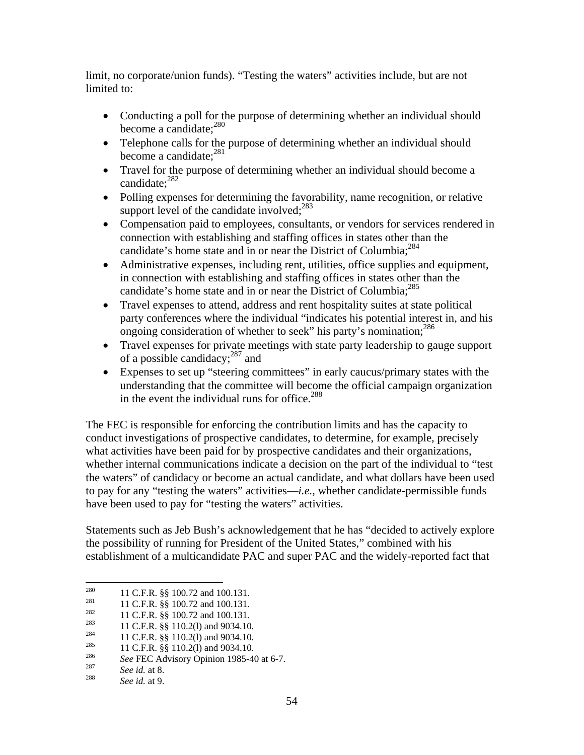limit, no corporate/union funds). "Testing the waters" activities include, but are not limited to:

- Conducting a poll for the purpose of determining whether an individual should become a candidate:<sup>280</sup>
- Telephone calls for the purpose of determining whether an individual should become a candidate:<sup>281</sup>
- Travel for the purpose of determining whether an individual should become a candidate:<sup>282</sup>
- Polling expenses for determining the favorability, name recognition, or relative support level of the candidate involved: $283$
- Compensation paid to employees, consultants, or vendors for services rendered in connection with establishing and staffing offices in states other than the candidate's home state and in or near the District of Columbia;<sup>284</sup>
- Administrative expenses, including rent, utilities, office supplies and equipment, in connection with establishing and staffing offices in states other than the candidate's home state and in or near the District of Columbia;<sup>285</sup>
- Travel expenses to attend, address and rent hospitality suites at state political party conferences where the individual "indicates his potential interest in, and his ongoing consideration of whether to seek" his party's nomination;<sup>286</sup>
- Travel expenses for private meetings with state party leadership to gauge support of a possible candidacy; $^{287}$  and
- Expenses to set up "steering committees" in early caucus/primary states with the understanding that the committee will become the official campaign organization in the event the individual runs for office.<sup>288</sup>

The FEC is responsible for enforcing the contribution limits and has the capacity to conduct investigations of prospective candidates, to determine, for example, precisely what activities have been paid for by prospective candidates and their organizations, whether internal communications indicate a decision on the part of the individual to "test the waters" of candidacy or become an actual candidate, and what dollars have been used to pay for any "testing the waters" activities—*i.e.*, whether candidate-permissible funds have been used to pay for "testing the waters" activities.

Statements such as Jeb Bush's acknowledgement that he has "decided to actively explore the possibility of running for President of the United States," combined with his establishment of a multicandidate PAC and super PAC and the widely-reported fact that

<sup>280</sup> 

<sup>&</sup>lt;sup>280</sup> 11 C.F.R. §§ 100.72 and 100.131.<br>
<sup>281</sup> 11 C.F.R. §§ 100.72 and 100.131.<br>
<sup>282</sup> 11 C.F.R. §§ 100.72 and 100.131.<br>
<sup>283</sup> 11 C.F.R. §§ 110.2(1) and 9034.10.<br>
<sup>284</sup> 11 C.F.R. §§ 110.2(1) and 9034.10.<br>
<sup>285</sup> 11 C.F.R. §§